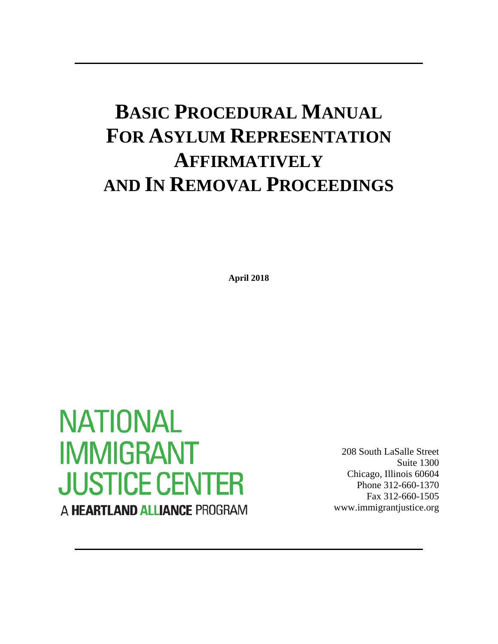# **BASIC PROCEDURAL MANUAL FOR ASYLUM REPRESENTATION AFFIRMATIVELY AND IN REMOVAL PROCEEDINGS**

**April 2018**

# **NATIONAL IMMIGRANT JUSTICE CENTER** A HEARTLAND ALLIANCE PROGRAM

208 South LaSalle Street Suite 1300 Chicago, Illinois 60604 Phone 312-660-1370 Fax 312-660-1505 www.immigrantjustice.org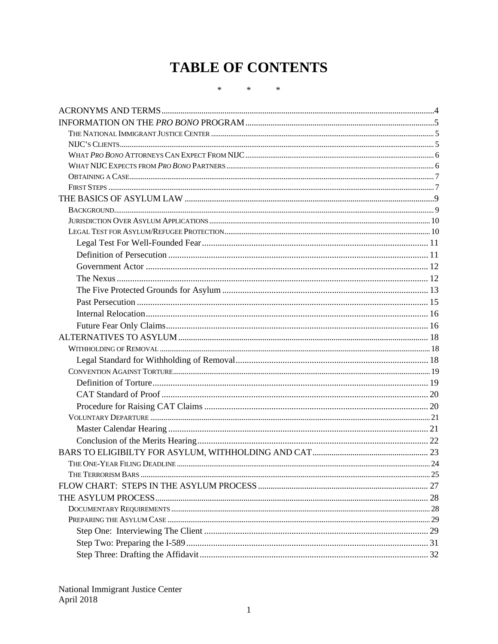# **TABLE OF CONTENTS**

 $\ast$  $\ast$  $\ast$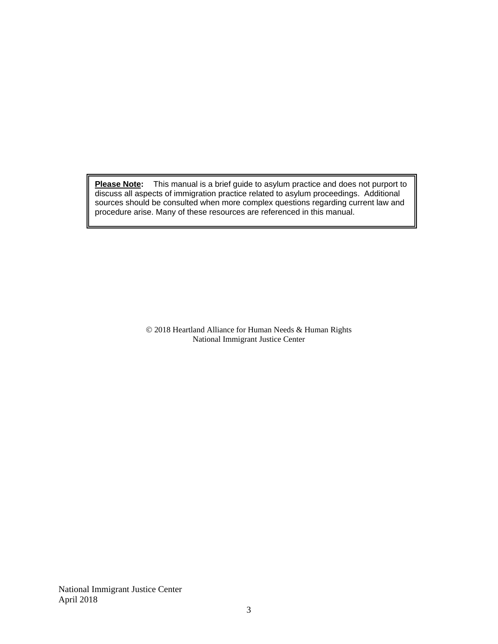**Please Note:** This manual is a brief guide to asylum practice and does not purport to discuss all aspects of immigration practice related to asylum proceedings. Additional sources should be consulted when more complex questions regarding current law and procedure arise. Many of these resources are referenced in this manual.

> 2018 Heartland Alliance for Human Needs & Human Rights National Immigrant Justice Center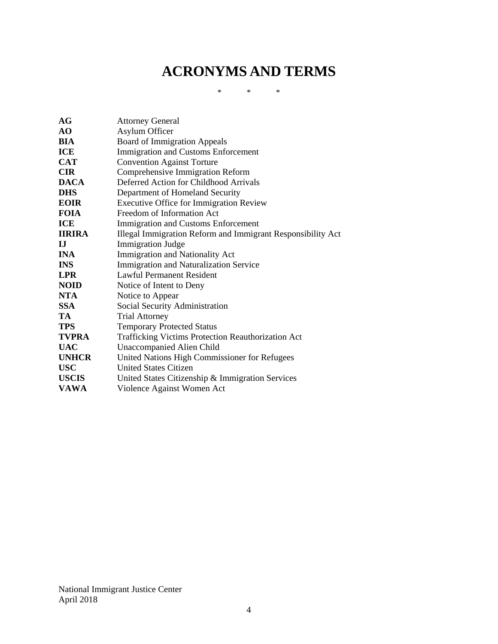# <span id="page-4-0"></span>**ACRONYMS AND TERMS**

\* \* \*

| AG            | <b>Attorney General</b>                                     |
|---------------|-------------------------------------------------------------|
| AO            | Asylum Officer                                              |
| BIA           | <b>Board of Immigration Appeals</b>                         |
| ICE           | Immigration and Customs Enforcement                         |
| <b>CAT</b>    | <b>Convention Against Torture</b>                           |
| <b>CIR</b>    | Comprehensive Immigration Reform                            |
| <b>DACA</b>   | Deferred Action for Childhood Arrivals                      |
| <b>DHS</b>    | Department of Homeland Security                             |
| <b>EOIR</b>   | <b>Executive Office for Immigration Review</b>              |
| <b>FOIA</b>   | Freedom of Information Act                                  |
| ICE           | Immigration and Customs Enforcement                         |
| <b>IIRIRA</b> | Illegal Immigration Reform and Immigrant Responsibility Act |
| ${\bf I}$     | <b>Immigration Judge</b>                                    |
| <b>INA</b>    | Immigration and Nationality Act                             |
| <b>INS</b>    | Immigration and Naturalization Service                      |
| <b>LPR</b>    | <b>Lawful Permanent Resident</b>                            |
| <b>NOID</b>   | Notice of Intent to Deny                                    |
| <b>NTA</b>    | Notice to Appear                                            |
| <b>SSA</b>    | Social Security Administration                              |
| TA            | <b>Trial Attorney</b>                                       |
| <b>TPS</b>    | <b>Temporary Protected Status</b>                           |
| <b>TVPRA</b>  | <b>Trafficking Victims Protection Reauthorization Act</b>   |
| <b>UAC</b>    | <b>Unaccompanied Alien Child</b>                            |
| <b>UNHCR</b>  | United Nations High Commissioner for Refugees               |
| <b>USC</b>    | <b>United States Citizen</b>                                |
| <b>USCIS</b>  | United States Citizenship & Immigration Services            |
| <b>VAWA</b>   | Violence Against Women Act                                  |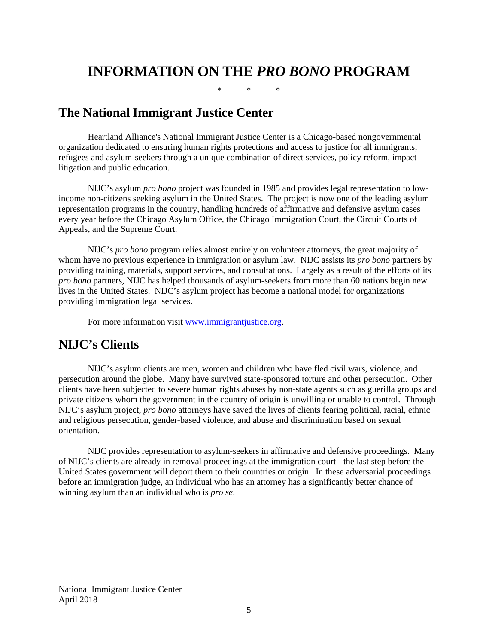# <span id="page-5-0"></span>**INFORMATION ON THE** *PRO BONO* **PROGRAM**

\* \* \*

# <span id="page-5-1"></span>**The National Immigrant Justice Center**

Heartland Alliance's National Immigrant Justice Center is a Chicago-based nongovernmental organization dedicated to ensuring human rights protections and access to justice for all immigrants, refugees and asylum-seekers through a unique combination of direct services, policy reform, impact litigation and public education.

NIJC's asylum *pro bono* project was founded in 1985 and provides legal representation to lowincome non-citizens seeking asylum in the United States. The project is now one of the leading asylum representation programs in the country, handling hundreds of affirmative and defensive asylum cases every year before the Chicago Asylum Office, the Chicago Immigration Court, the Circuit Courts of Appeals, and the Supreme Court.

NIJC's *pro bono* program relies almost entirely on volunteer attorneys, the great majority of whom have no previous experience in immigration or asylum law. NIJC assists its *pro bono* partners by providing training, materials, support services, and consultations. Largely as a result of the efforts of its *pro bono* partners, NIJC has helped thousands of asylum-seekers from more than 60 nations begin new lives in the United States. NIJC's asylum project has become a national model for organizations providing immigration legal services.

For more information visit [www.immigrantjustice.org.](http://www.immigrantjustice.org/)

# <span id="page-5-2"></span>**NIJC's Clients**

NIJC's asylum clients are men, women and children who have fled civil wars, violence, and persecution around the globe. Many have survived state-sponsored torture and other persecution. Other clients have been subjected to severe human rights abuses by non-state agents such as guerilla groups and private citizens whom the government in the country of origin is unwilling or unable to control. Through NIJC's asylum project, *pro bono* attorneys have saved the lives of clients fearing political, racial, ethnic and religious persecution, gender-based violence, and abuse and discrimination based on sexual orientation.

NIJC provides representation to asylum-seekers in affirmative and defensive proceedings. Many of NIJC's clients are already in removal proceedings at the immigration court - the last step before the United States government will deport them to their countries or origin. In these adversarial proceedings before an immigration judge, an individual who has an attorney has a significantly better chance of winning asylum than an individual who is *pro se*.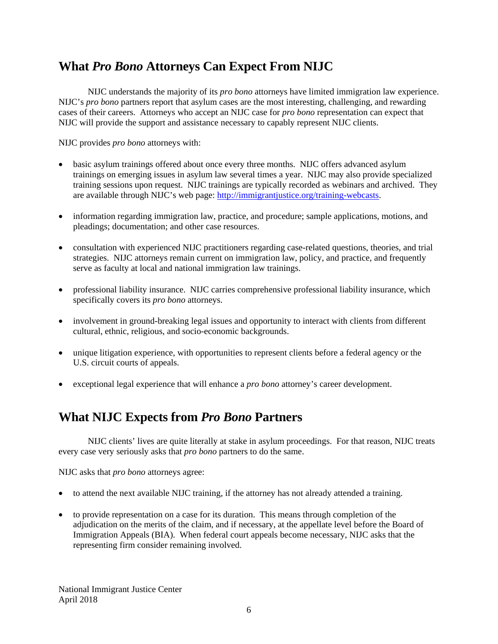# <span id="page-6-0"></span>**What** *Pro Bono* **Attorneys Can Expect From NIJC**

NIJC understands the majority of its *pro bono* attorneys have limited immigration law experience. NIJC's *pro bono* partners report that asylum cases are the most interesting, challenging, and rewarding cases of their careers. Attorneys who accept an NIJC case for *pro bono* representation can expect that NIJC will provide the support and assistance necessary to capably represent NIJC clients.

NIJC provides *pro bono* attorneys with:

- basic asylum trainings offered about once every three months. NIJC offers advanced asylum trainings on emerging issues in asylum law several times a year. NIJC may also provide specialized training sessions upon request. NIJC trainings are typically recorded as webinars and archived. They are available through NIJC's web page: [http://immigrantjustice.org/training-webcasts.](http://immigrantjustice.org/training-webcasts)
- information regarding immigration law, practice, and procedure; sample applications, motions, and pleadings; documentation; and other case resources.
- consultation with experienced NIJC practitioners regarding case-related questions, theories, and trial strategies. NIJC attorneys remain current on immigration law, policy, and practice, and frequently serve as faculty at local and national immigration law trainings.
- professional liability insurance. NIJC carries comprehensive professional liability insurance, which specifically covers its *pro bono* attorneys.
- involvement in ground-breaking legal issues and opportunity to interact with clients from different cultural, ethnic, religious, and socio-economic backgrounds.
- unique litigation experience, with opportunities to represent clients before a federal agency or the U.S. circuit courts of appeals.
- exceptional legal experience that will enhance a *pro bono* attorney's career development.

# <span id="page-6-1"></span>**What NIJC Expects from** *Pro Bono* **Partners**

NIJC clients' lives are quite literally at stake in asylum proceedings. For that reason, NIJC treats every case very seriously asks that *pro bono* partners to do the same.

NIJC asks that *pro bono* attorneys agree:

- to attend the next available NIJC training, if the attorney has not already attended a training.
- to provide representation on a case for its duration. This means through completion of the adjudication on the merits of the claim, and if necessary, at the appellate level before the Board of Immigration Appeals (BIA). When federal court appeals become necessary, NIJC asks that the representing firm consider remaining involved.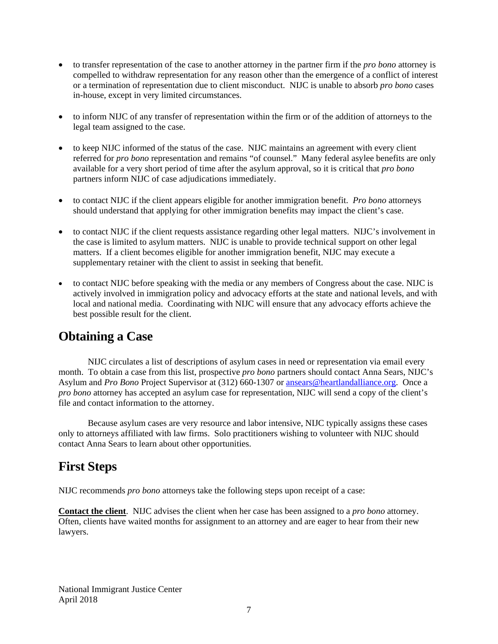- to transfer representation of the case to another attorney in the partner firm if the *pro bono* attorney is compelled to withdraw representation for any reason other than the emergence of a conflict of interest or a termination of representation due to client misconduct. NIJC is unable to absorb *pro bono* cases in-house, except in very limited circumstances.
- to inform NIJC of any transfer of representation within the firm or of the addition of attorneys to the legal team assigned to the case.
- to keep NIJC informed of the status of the case. NIJC maintains an agreement with every client referred for *pro bono* representation and remains "of counsel." Many federal asylee benefits are only available for a very short period of time after the asylum approval, so it is critical that *pro bono* partners inform NIJC of case adjudications immediately.
- to contact NIJC if the client appears eligible for another immigration benefit. *Pro bono* attorneys should understand that applying for other immigration benefits may impact the client's case.
- to contact NIJC if the client requests assistance regarding other legal matters. NIJC's involvement in the case is limited to asylum matters. NIJC is unable to provide technical support on other legal matters. If a client becomes eligible for another immigration benefit, NIJC may execute a supplementary retainer with the client to assist in seeking that benefit.
- to contact NIJC before speaking with the media or any members of Congress about the case. NIJC is actively involved in immigration policy and advocacy efforts at the state and national levels, and with local and national media. Coordinating with NIJC will ensure that any advocacy efforts achieve the best possible result for the client.

# <span id="page-7-0"></span>**Obtaining a Case**

NIJC circulates a list of descriptions of asylum cases in need or representation via email every month. To obtain a case from this list, prospective *pro bono* partners should contact Anna Sears, NIJC's Asylum and *Pro Bono* Project Supervisor at (312) 660-1307 or [ansears@heartlandalliance.org.](mailto:%20cramazzinavanmoorsel@heartlandalliance.org) Once a *pro bono* attorney has accepted an asylum case for representation, NIJC will send a copy of the client's file and contact information to the attorney.

Because asylum cases are very resource and labor intensive, NIJC typically assigns these cases only to attorneys affiliated with law firms. Solo practitioners wishing to volunteer with NIJC should contact Anna Sears to learn about other opportunities.

# <span id="page-7-1"></span>**First Steps**

NIJC recommends *pro bono* attorneys take the following steps upon receipt of a case:

**Contact the client**. NIJC advises the client when her case has been assigned to a *pro bono* attorney. Often, clients have waited months for assignment to an attorney and are eager to hear from their new lawyers.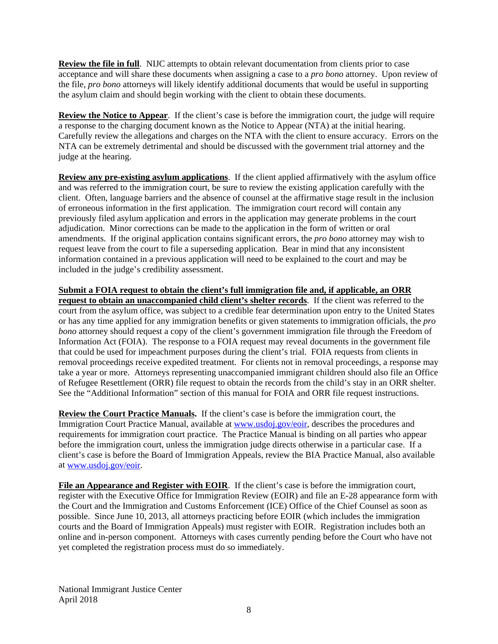**Review the file in full**. NIJC attempts to obtain relevant documentation from clients prior to case acceptance and will share these documents when assigning a case to a *pro bono* attorney. Upon review of the file, *pro bono* attorneys will likely identify additional documents that would be useful in supporting the asylum claim and should begin working with the client to obtain these documents.

**Review the Notice to Appear**. If the client's case is before the immigration court, the judge will require a response to the charging document known as the Notice to Appear (NTA) at the initial hearing. Carefully review the allegations and charges on the NTA with the client to ensure accuracy. Errors on the NTA can be extremely detrimental and should be discussed with the government trial attorney and the judge at the hearing.

**Review any pre-existing asylum applications**. If the client applied affirmatively with the asylum office and was referred to the immigration court, be sure to review the existing application carefully with the client. Often, language barriers and the absence of counsel at the affirmative stage result in the inclusion of erroneous information in the first application. The immigration court record will contain any previously filed asylum application and errors in the application may generate problems in the court adjudication. Minor corrections can be made to the application in the form of written or oral amendments. If the original application contains significant errors, the *pro bono* attorney may wish to request leave from the court to file a superseding application. Bear in mind that any inconsistent information contained in a previous application will need to be explained to the court and may be included in the judge's credibility assessment.

**Submit a FOIA request to obtain the client's full immigration file and, if applicable, an ORR request to obtain an unaccompanied child client's shelter records**. If the client was referred to the court from the asylum office, was subject to a credible fear determination upon entry to the United States or has any time applied for any immigration benefits or given statements to immigration officials, the *pro bono* attorney should request a copy of the client's government immigration file through the Freedom of Information Act (FOIA). The response to a FOIA request may reveal documents in the government file that could be used for impeachment purposes during the client's trial. FOIA requests from clients in removal proceedings receive expedited treatment. For clients not in removal proceedings, a response may take a year or more. Attorneys representing unaccompanied immigrant children should also file an Office of Refugee Resettlement (ORR) file request to obtain the records from the child's stay in an ORR shelter. See the "Additional Information" section of this manual for FOIA and ORR file request instructions.

**Review the Court Practice Manuals.** If the client's case is before the immigration court, the Immigration Court Practice Manual, available at [www.usdoj.gov/eoir,](http://www.usdoj.gov/eoir) describes the procedures and requirements for immigration court practice. The Practice Manual is binding on all parties who appear before the immigration court, unless the immigration judge directs otherwise in a particular case. If a client's case is before the Board of Immigration Appeals, review the BIA Practice Manual, also available at [www.usdoj.gov/eoir.](http://www.usdoj.gov/eoir)

**File an Appearance and Register with EOIR**. If the client's case is before the immigration court, register with the Executive Office for Immigration Review (EOIR) and file an E-28 appearance form with the Court and the Immigration and Customs Enforcement (ICE) Office of the Chief Counsel as soon as possible. Since June 10, 2013, all attorneys practicing before EOIR (which includes the immigration courts and the Board of Immigration Appeals) must register with EOIR. Registration includes both an online and in-person component. Attorneys with cases currently pending before the Court who have not yet completed the registration process must do so immediately.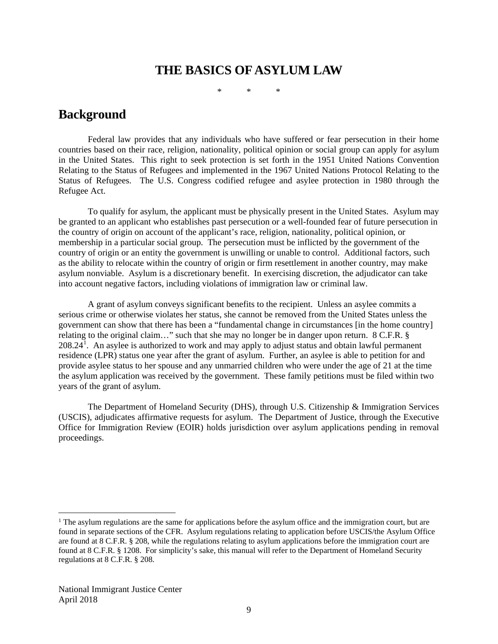# **THE BASICS OF ASYLUM LAW**

\* \* \*

# <span id="page-9-1"></span><span id="page-9-0"></span>**Background**

Federal law provides that any individuals who have suffered or fear persecution in their home countries based on their race, religion, nationality, political opinion or social group can apply for asylum in the United States. This right to seek protection is set forth in the 1951 United Nations Convention Relating to the Status of Refugees and implemented in the 1967 United Nations Protocol Relating to the Status of Refugees. The U.S. Congress codified refugee and asylee protection in 1980 through the Refugee Act.

To qualify for asylum, the applicant must be physically present in the United States. Asylum may be granted to an applicant who establishes past persecution or a well-founded fear of future persecution in the country of origin on account of the applicant's race, religion, nationality, political opinion, or membership in a particular social group. The persecution must be inflicted by the government of the country of origin or an entity the government is unwilling or unable to control. Additional factors, such as the ability to relocate within the country of origin or firm resettlement in another country, may make asylum nonviable. Asylum is a discretionary benefit. In exercising discretion, the adjudicator can take into account negative factors, including violations of immigration law or criminal law.

A grant of asylum conveys significant benefits to the recipient. Unless an asylee commits a serious crime or otherwise violates her status, she cannot be removed from the United States unless the government can show that there has been a "fundamental change in circumstances [in the home country] relating to the original claim…" such that she may no longer be in danger upon return. 8 C.F.R. §  $208.24<sup>1</sup>$  $208.24<sup>1</sup>$  $208.24<sup>1</sup>$ . An asylee is authorized to work and may apply to adjust status and obtain lawful permanent residence (LPR) status one year after the grant of asylum. Further, an asylee is able to petition for and provide asylee status to her spouse and any unmarried children who were under the age of 21 at the time the asylum application was received by the government. These family petitions must be filed within two years of the grant of asylum.

The Department of Homeland Security (DHS), through U.S. Citizenship & Immigration Services (USCIS), adjudicates affirmative requests for asylum. The Department of Justice, through the Executive Office for Immigration Review (EOIR) holds jurisdiction over asylum applications pending in removal proceedings.

<span id="page-9-2"></span> $<sup>1</sup>$  The asylum regulations are the same for applications before the asylum office and the immigration court, but are</sup> found in separate sections of the CFR. Asylum regulations relating to application before USCIS/the Asylum Office are found at 8 C.F.R. § 208, while the regulations relating to asylum applications before the immigration court are found at 8 C.F.R. § 1208. For simplicity's sake, this manual will refer to the Department of Homeland Security regulations at 8 C.F.R. § 208.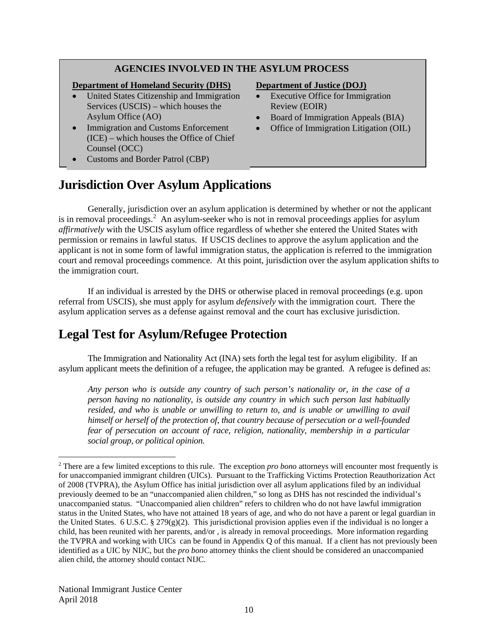#### **AGENCIES INVOLVED IN THE ASYLUM PROCESS**

#### **Department of Homeland Security (DHS)**

- United States Citizenship and Immigration Services (USCIS) – which houses the Asylum Office (AO)
- Immigration and Customs Enforcement (ICE) – which houses the Office of Chief Counsel (OCC)
- Customs and Border Patrol (CBP)

#### **Department of Justice (DOJ)**

- **Executive Office for Immigration** Review (EOIR)
- Board of Immigration Appeals (BIA)
- Office of Immigration Litigation (OIL)
- <span id="page-10-0"></span>**Jurisdiction Over Asylum Applications**

Generally, jurisdiction over an asylum application is determined by whether or not the applicant is in removal proceedings.<sup>[2](#page-10-2)</sup> An asylum-seeker who is not in removal proceedings applies for asylum *affirmatively* with the USCIS asylum office regardless of whether she entered the United States with permission or remains in lawful status. If USCIS declines to approve the asylum application and the applicant is not in some form of lawful immigration status, the application is referred to the immigration court and removal proceedings commence. At this point, jurisdiction over the asylum application shifts to the immigration court.

If an individual is arrested by the DHS or otherwise placed in removal proceedings (e.g. upon referral from USCIS), she must apply for asylum *defensively* with the immigration court. There the asylum application serves as a defense against removal and the court has exclusive jurisdiction.

# <span id="page-10-1"></span>**Legal Test for Asylum/Refugee Protection**

The Immigration and Nationality Act (INA) sets forth the legal test for asylum eligibility. If an asylum applicant meets the definition of a refugee, the application may be granted. A refugee is defined as:

*Any person who is outside any country of such person's nationality or, in the case of a person having no nationality, is outside any country in which such person last habitually resided, and who is unable or unwilling to return to, and is unable or unwilling to avail himself or herself of the protection of, that country because of persecution or a well-founded fear of persecution on account of race, religion, nationality, membership in a particular social group, or political opinion.*

<span id="page-10-2"></span> <sup>2</sup> There are a few limited exceptions to this rule. The exception *pro bono* attorneys will encounter most frequently is for unaccompanied immigrant children (UICs). Pursuant to the Trafficking Victims Protection Reauthorization Act of 2008 (TVPRA), the Asylum Office has initial jurisdiction over all asylum applications filed by an individual previously deemed to be an "unaccompanied alien children," so long as DHS has not rescinded the individual's unaccompanied status. "Unaccompanied alien children" refers to children who do not have lawful immigration status in the United States, who have not attained 18 years of age, and who do not have a parent or legal guardian in the United States. 6 U.S.C. § 279(g)(2). This jurisdictional provision applies even if the individual is no longer a child, has been reunited with her parents, and/or , is already in removal proceedings. More information regarding the TVPRA and working with UICs can be found in Appendix Q of this manual. If a client has not previously been identified as a UIC by NIJC, but the *pro bono* attorney thinks the client should be considered an unaccompanied alien child, the attorney should contact NIJC.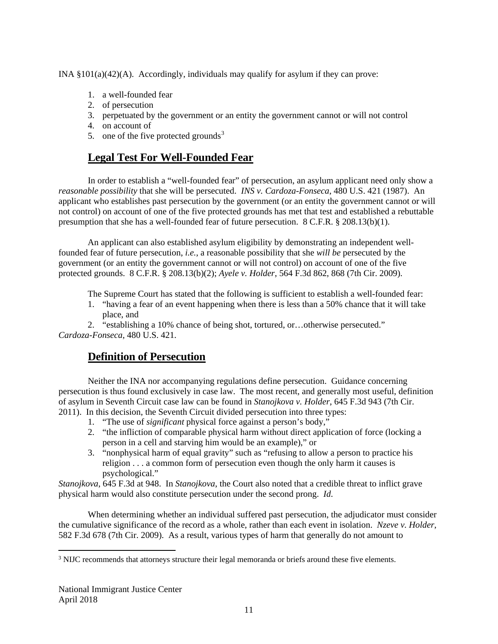INA  $\S 101(a)(42)(A)$ . Accordingly, individuals may qualify for asylum if they can prove:

- 1. a well-founded fear
- 2. of persecution
- 3. perpetuated by the government or an entity the government cannot or will not control
- 4. on account of
- <span id="page-11-0"></span>5. one of the five protected grounds<sup>[3](#page-11-2)</sup>

# **Legal Test For Well-Founded Fear**

In order to establish a "well-founded fear" of persecution, an asylum applicant need only show a *reasonable possibility* that she will be persecuted. *INS v. Cardoza-Fonseca*, 480 U.S. 421 (1987). An applicant who establishes past persecution by the government (or an entity the government cannot or will not control) on account of one of the five protected grounds has met that test and established a rebuttable presumption that she has a well-founded fear of future persecution. 8 C.F.R. § 208.13(b)(1).

An applicant can also established asylum eligibility by demonstrating an independent wellfounded fear of future persecution, *i.e.*, a reasonable possibility that she *will be* persecuted by the government (or an entity the government cannot or will not control) on account of one of the five protected grounds. 8 C.F.R. § 208.13(b)(2); *Ayele v. Holder*, 564 F.3d 862, 868 (7th Cir. 2009).

The Supreme Court has stated that the following is sufficient to establish a well-founded fear:

1. "having a fear of an event happening when there is less than a 50% chance that it will take place, and

<span id="page-11-1"></span>2. "establishing a 10% chance of being shot, tortured, or…otherwise persecuted." *Cardoza-Fonseca*, 480 U.S. 421.

# **Definition of Persecution**

Neither the INA nor accompanying regulations define persecution. Guidance concerning persecution is thus found exclusively in case law. The most recent, and generally most useful, definition of asylum in Seventh Circuit case law can be found in *Stanojkova v. Holder*, 645 F.3d 943 (7th Cir. 2011). In this decision, the Seventh Circuit divided persecution into three types:

- 1. "The use of *significant* physical force against a person's body,"
- 2. "the infliction of comparable physical harm without direct application of force (locking a person in a cell and starving him would be an example)," or
- 3. "nonphysical harm of equal gravity" such as "refusing to allow a person to practice his religion . . . a common form of persecution even though the only harm it causes is psychological."

*Stanojkova*, 645 F.3d at 948. In *Stanojkova*, the Court also noted that a credible threat to inflict grave physical harm would also constitute persecution under the second prong. *Id*.

When determining whether an individual suffered past persecution, the adjudicator must consider the cumulative significance of the record as a whole, rather than each event in isolation. *Nzeve v. Holder*, 582 F.3d 678 (7th Cir. 2009). As a result, various types of harm that generally do not amount to

<span id="page-11-2"></span> <sup>3</sup> NIJC recommends that attorneys structure their legal memoranda or briefs around these five elements.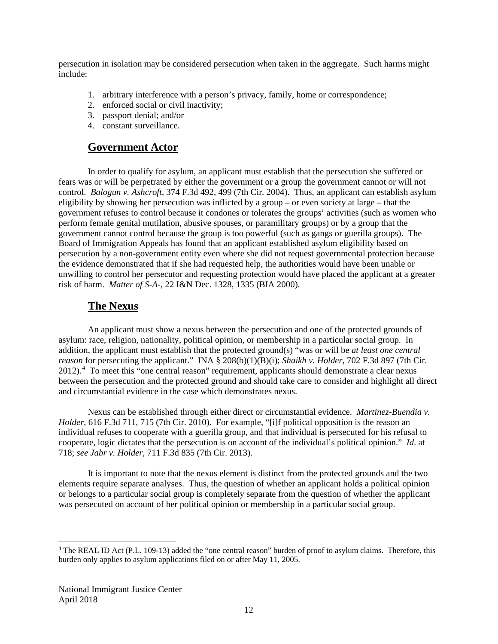persecution in isolation may be considered persecution when taken in the aggregate. Such harms might include:

- 1. arbitrary interference with a person's privacy, family, home or correspondence;
- 2. enforced social or civil inactivity;
- 3. passport denial; and/or
- <span id="page-12-0"></span>4. constant surveillance.

#### **Government Actor**

In order to qualify for asylum, an applicant must establish that the persecution she suffered or fears was or will be perpetrated by either the government or a group the government cannot or will not control. *Balogun v. Ashcroft*, 374 F.3d 492, 499 (7th Cir. 2004). Thus, an applicant can establish asylum eligibility by showing her persecution was inflicted by a group – or even society at large – that the government refuses to control because it condones or tolerates the groups' activities (such as women who perform female genital mutilation, abusive spouses, or paramilitary groups) or by a group that the government cannot control because the group is too powerful (such as gangs or guerilla groups). The Board of Immigration Appeals has found that an applicant established asylum eligibility based on persecution by a non-government entity even where she did not request governmental protection because the evidence demonstrated that if she had requested help, the authorities would have been unable or unwilling to control her persecutor and requesting protection would have placed the applicant at a greater risk of harm. *Matter of S-A-*, 22 I&N Dec. 1328, 1335 (BIA 2000).

# <span id="page-12-1"></span>**The Nexus**

An applicant must show a nexus between the persecution and one of the protected grounds of asylum: race, religion, nationality, political opinion, or membership in a particular social group. In addition, the applicant must establish that the protected ground(s) "was or will be *at least one central reason* for persecuting the applicant." INA § 208(b)(1)(B)(i); *Shaikh v. Holder*, 702 F.3d 897 (7th Cir. 2012). [4](#page-12-2) To meet this "one central reason" requirement, applicants should demonstrate a clear nexus between the persecution and the protected ground and should take care to consider and highlight all direct and circumstantial evidence in the case which demonstrates nexus.

Nexus can be established through either direct or circumstantial evidence. *Martinez-Buendia v. Holder*, 616 F.3d 711, 715 (7th Cir. 2010). For example, "[i]f political opposition is the reason an individual refuses to cooperate with a guerilla group, and that individual is persecuted for his refusal to cooperate, logic dictates that the persecution is on account of the individual's political opinion." *Id*. at 718; *see Jabr v. Holder*, 711 F.3d 835 (7th Cir. 2013).

It is important to note that the nexus element is distinct from the protected grounds and the two elements require separate analyses. Thus, the question of whether an applicant holds a political opinion or belongs to a particular social group is completely separate from the question of whether the applicant was persecuted on account of her political opinion or membership in a particular social group.

<span id="page-12-2"></span><sup>&</sup>lt;sup>4</sup> The REAL ID Act (P.L. 109-13) added the "one central reason" burden of proof to asylum claims. Therefore, this burden only applies to asylum applications filed on or after May 11, 2005.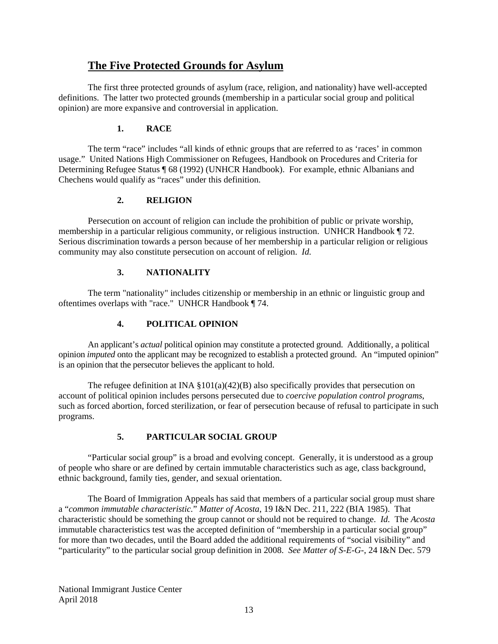### <span id="page-13-0"></span>**The Five Protected Grounds for Asylum**

The first three protected grounds of asylum (race, religion, and nationality) have well-accepted definitions. The latter two protected grounds (membership in a particular social group and political opinion) are more expansive and controversial in application.

#### **1. RACE**

The term "race" includes "all kinds of ethnic groups that are referred to as 'races' in common usage." United Nations High Commissioner on Refugees, Handbook on Procedures and Criteria for Determining Refugee Status ¶ 68 (1992) (UNHCR Handbook). For example, ethnic Albanians and Chechens would qualify as "races" under this definition.

#### **2. RELIGION**

Persecution on account of religion can include the prohibition of public or private worship, membership in a particular religious community, or religious instruction. UNHCR Handbook ¶ 72. Serious discrimination towards a person because of her membership in a particular religion or religious community may also constitute persecution on account of religion. *Id.*

#### **3. NATIONALITY**

The term "nationality" includes citizenship or membership in an ethnic or linguistic group and oftentimes overlaps with "race." UNHCR Handbook ¶ 74.

#### **4. POLITICAL OPINION**

An applicant's *actual* political opinion may constitute a protected ground. Additionally, a political opinion *imputed* onto the applicant may be recognized to establish a protected ground. An "imputed opinion" is an opinion that the persecutor believes the applicant to hold.

The refugee definition at INA  $\S 101(a)(42)(B)$  also specifically provides that persecution on account of political opinion includes persons persecuted due to *coercive population control programs*, such as forced abortion, forced sterilization, or fear of persecution because of refusal to participate in such programs.

#### **5. PARTICULAR SOCIAL GROUP**

"Particular social group" is a broad and evolving concept. Generally, it is understood as a group of people who share or are defined by certain immutable characteristics such as age, class background, ethnic background, family ties, gender, and sexual orientation.

The Board of Immigration Appeals has said that members of a particular social group must share a "*common immutable characteristic.*" *Matter of Acosta*, 19 I&N Dec. 211, 222 (BIA 1985). That characteristic should be something the group cannot or should not be required to change. *Id.* The *Acosta* immutable characteristics test was the accepted definition of "membership in a particular social group" for more than two decades, until the Board added the additional requirements of "social visibility" and "particularity" to the particular social group definition in 2008. *See Matter of S-E-G-*, 24 I&N Dec. 579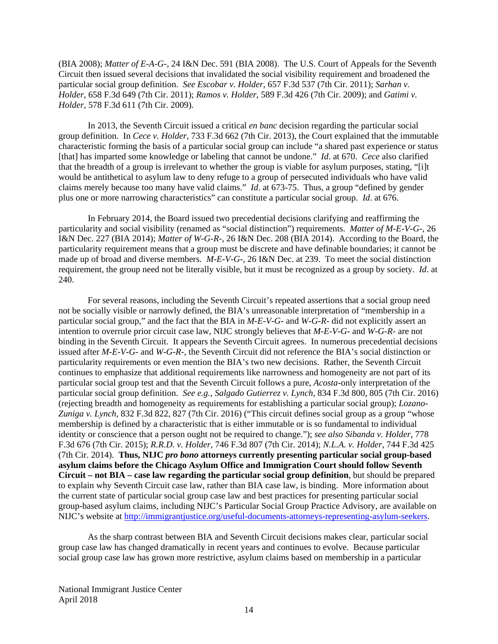(BIA 2008); *Matter of E-A-G-*, 24 I&N Dec. 591 (BIA 2008). The U.S. Court of Appeals for the Seventh Circuit then issued several decisions that invalidated the social visibility requirement and broadened the particular social group definition. *See Escobar v. Holder*, 657 F.3d 537 (7th Cir. 2011); *Sarhan v. Holder*, 658 F.3d 649 (7th Cir. 2011); *Ramos v. Holder*, 589 F.3d 426 (7th Cir. 2009); and *Gatimi v. Holder*, 578 F.3d 611 (7th Cir. 2009)*.*

In 2013, the Seventh Circuit issued a critical *en banc* decision regarding the particular social group definition. In *Cece v. Holder*, 733 F.3d 662 (7th Cir. 2013), the Court explained that the immutable characteristic forming the basis of a particular social group can include "a shared past experience or status [that] has imparted some knowledge or labeling that cannot be undone." *Id*. at 670. *Cece* also clarified that the breadth of a group is irrelevant to whether the group is viable for asylum purposes, stating, "[i]t would be antithetical to asylum law to deny refuge to a group of persecuted individuals who have valid claims merely because too many have valid claims." *Id*. at 673-75. Thus, a group "defined by gender plus one or more narrowing characteristics" can constitute a particular social group. *Id*. at 676.

In February 2014, the Board issued two precedential decisions clarifying and reaffirming the particularity and social visibility (renamed as "social distinction") requirements. *Matter of M-E-V-G-*, 26 I&N Dec. 227 (BIA 2014); *Matter of W-G-R-*, 26 I&N Dec. 208 (BIA 2014). According to the Board, the particularity requirement means that a group must be discrete and have definable boundaries; it cannot be made up of broad and diverse members. *M-E-V-G-*, 26 I&N Dec. at 239. To meet the social distinction requirement, the group need not be literally visible, but it must be recognized as a group by society. *Id*. at 240.

For several reasons, including the Seventh Circuit's repeated assertions that a social group need not be socially visible or narrowly defined, the BIA's unreasonable interpretation of "membership in a particular social group," and the fact that the BIA in *M-E-V-G-* and *W-G-R-* did not explicitly assert an intention to overrule prior circuit case law, NIJC strongly believes that *M-E-V-G-* and *W-G-R-* are not binding in the Seventh Circuit. It appears the Seventh Circuit agrees. In numerous precedential decisions issued after *M-E-V-G-* and *W-G-R-*, the Seventh Circuit did not reference the BIA's social distinction or particularity requirements or even mention the BIA's two new decisions. Rather, the Seventh Circuit continues to emphasize that additional requirements like narrowness and homogeneity are not part of its particular social group test and that the Seventh Circuit follows a pure, *Acosta*-only interpretation of the particular social group definition. *See e.g.*, *Salgado Gutierrez v. Lynch*, 834 F.3d 800, 805 (7th Cir. 2016) (rejecting breadth and homogeneity as requirements for establishing a particular social group); *Lozano-Zuniga v. Lynch*, 832 F.3d 822, 827 (7th Cir. 2016) ("This circuit defines social group as a group "whose membership is defined by a characteristic that is either immutable or is so fundamental to individual identity or conscience that a person ought not be required to change."); *see also Sibanda v. Holder*, 778 F.3d 676 (7th Cir. 2015); *R.R.D. v. Holder*, 746 F.3d 807 (7th Cir. 2014); *N.L.A. v. Holder*, 744 F.3d 425 (7th Cir. 2014). **Thus, NIJC** *pro bono* **attorneys currently presenting particular social group-based asylum claims before the Chicago Asylum Office and Immigration Court should follow Seventh Circuit – not BIA – case law regarding the particular social group definition**, but should be prepared to explain why Seventh Circuit case law, rather than BIA case law, is binding. More information about the current state of particular social group case law and best practices for presenting particular social group-based asylum claims, including NIJC's Particular Social Group Practice Advisory, are available on NIJC's website at [http://immigrantjustice.org/useful-documents-attorneys-representing-asylum-seekers.](http://immigrantjustice.org/useful-documents-attorneys-representing-asylum-seekers)

As the sharp contrast between BIA and Seventh Circuit decisions makes clear, particular social group case law has changed dramatically in recent years and continues to evolve. Because particular social group case law has grown more restrictive, asylum claims based on membership in a particular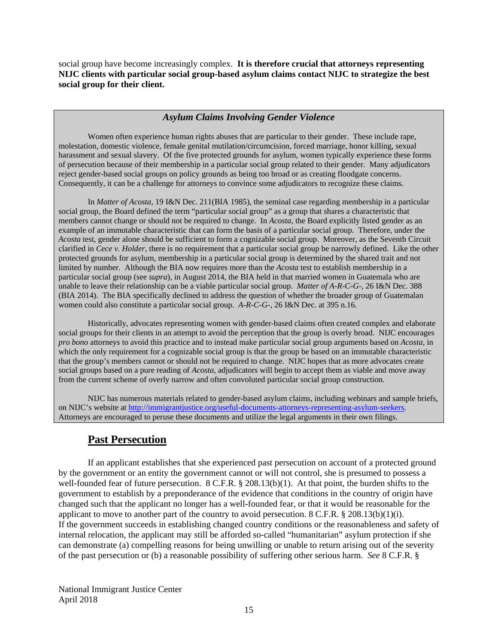social group have become increasingly complex. **It is therefore crucial that attorneys representing NIJC clients with particular social group-based asylum claims contact NIJC to strategize the best social group for their client.** 

#### *Asylum Claims Involving Gender Violence*

Women often experience human rights abuses that are particular to their gender. These include rape, molestation, domestic violence, female genital mutilation/circumcision, forced marriage, honor killing, sexual harassment and sexual slavery. Of the five protected grounds for asylum, women typically experience these forms of persecution because of their membership in a particular social group related to their gender. Many adjudicators reject gender-based social groups on policy grounds as being too broad or as creating floodgate concerns. Consequently, it can be a challenge for attorneys to convince some adjudicators to recognize these claims.

In *Matter of Acosta*, 19 I&N Dec. 211(BIA 1985), the seminal case regarding membership in a particular social group, the Board defined the term "particular social group" as a group that shares a characteristic that members cannot change or should not be required to change. In *Acosta*, the Board explicitly listed gender as an example of an immutable characteristic that can form the basis of a particular social group. Therefore, under the *Acosta* test, gender alone should be sufficient to form a cognizable social group. Moreover, as the Seventh Circuit clarified in *Cece v. Holder*, there is no requirement that a particular social group be narrowly defined. Like the other protected grounds for asylum, membership in a particular social group is determined by the shared trait and not limited by number. Although the BIA now requires more than the *Acosta* test to establish membership in a particular social group (see *supra*), in August 2014, the BIA held in that married women in Guatemala who are unable to leave their relationship can be a viable particular social group. *Matter of A-R-C-G-*, 26 I&N Dec. 388 (BIA 2014). The BIA specifically declined to address the question of whether the broader group of Guatemalan women could also constitute a particular social group. *A-R-C-G-*, 26 I&N Dec. at 395 n.16.

Historically, advocates representing women with gender-based claims often created complex and elaborate social groups for their clients in an attempt to avoid the perception that the group is overly broad. NIJC encourages *pro bono* attorneys to avoid this practice and to instead make particular social group arguments based on *Acosta*, in which the only requirement for a cognizable social group is that the group be based on an immutable characteristic that the group's members cannot or should not be required to change. NIJC hopes that as more advocates create social groups based on a pure reading of *Acosta*, adjudicators will begin to accept them as viable and move away from the current scheme of overly narrow and often convoluted particular social group construction.

NIJC has numerous materials related to gender-based asylum claims, including webinars and sample briefs, on NIJC's website at [http://immigrantjustice.org/useful-documents-attorneys-representing-asylum-seekers.](http://immigrantjustice.org/useful-documents-attorneys-representing-asylum-seekers) Attorneys are encouraged to peruse these documents and utilize the legal arguments in their own filings.

# <span id="page-15-0"></span>**Past Persecution**

If an applicant establishes that she experienced past persecution on account of a protected ground by the government or an entity the government cannot or will not control, she is presumed to possess a well-founded fear of future persecution. 8 C.F.R. § 208.13(b)(1). At that point, the burden shifts to the government to establish by a preponderance of the evidence that conditions in the country of origin have changed such that the applicant no longer has a well-founded fear, or that it would be reasonable for the applicant to move to another part of the country to avoid persecution. 8 C.F.R. § 208.13(b)(1)(i). If the government succeeds in establishing changed country conditions or the reasonableness and safety of internal relocation, the applicant may still be afforded so-called "humanitarian" asylum protection if she can demonstrate (a) compelling reasons for being unwilling or unable to return arising out of the severity of the past persecution or (b) a reasonable possibility of suffering other serious harm. *See* 8 C.F.R. §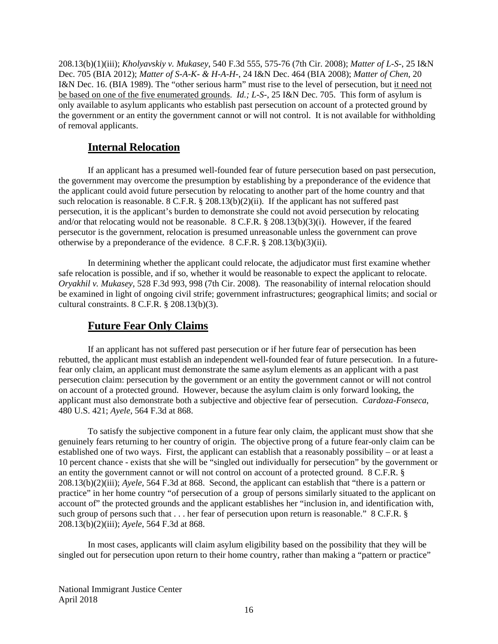208.13(b)(1)(iii); *Kholyavskiy v. Mukasey*, 540 F.3d 555, 575-76 (7th Cir. 2008); *Matter of L-S-*, 25 I&N Dec. 705 (BIA 2012); *Matter of S-A-K- & H-A-H-*, 24 I&N Dec. 464 (BIA 2008); *Matter of Chen*, 20 I&N Dec. 16. (BIA 1989). The "other serious harm" must rise to the level of persecution, but it need not be based on one of the five enumerated grounds. *Id.; L-S-*, 25 I&N Dec. 705. This form of asylum is only available to asylum applicants who establish past persecution on account of a protected ground by the government or an entity the government cannot or will not control. It is not available for withholding of removal applicants.

#### <span id="page-16-0"></span>**Internal Relocation**

If an applicant has a presumed well-founded fear of future persecution based on past persecution, the government may overcome the presumption by establishing by a preponderance of the evidence that the applicant could avoid future persecution by relocating to another part of the home country and that such relocation is reasonable. 8 C.F.R. § 208.13(b)(2)(ii). If the applicant has not suffered past persecution, it is the applicant's burden to demonstrate she could not avoid persecution by relocating and/or that relocating would not be reasonable. 8 C.F.R. § 208.13(b)(3)(i). However, if the feared persecutor is the government, relocation is presumed unreasonable unless the government can prove otherwise by a preponderance of the evidence. 8 C.F.R. § 208.13(b)(3)(ii).

In determining whether the applicant could relocate, the adjudicator must first examine whether safe relocation is possible, and if so, whether it would be reasonable to expect the applicant to relocate. *Oryakhil v. Mukasey*, 528 F.3d 993, 998 (7th Cir. 2008). The reasonability of internal relocation should be examined in light of ongoing civil strife; government infrastructures; geographical limits; and social or cultural constraints. 8 C.F.R. § 208.13(b)(3).

### <span id="page-16-1"></span>**Future Fear Only Claims**

If an applicant has not suffered past persecution or if her future fear of persecution has been rebutted, the applicant must establish an independent well-founded fear of future persecution. In a futurefear only claim, an applicant must demonstrate the same asylum elements as an applicant with a past persecution claim: persecution by the government or an entity the government cannot or will not control on account of a protected ground. However, because the asylum claim is only forward looking, the applicant must also demonstrate both a subjective and objective fear of persecution. *Cardoza-Fonseca*, 480 U.S. 421; *Ayele*, 564 F.3d at 868.

To satisfy the subjective component in a future fear only claim, the applicant must show that she genuinely fears returning to her country of origin. The objective prong of a future fear-only claim can be established one of two ways. First, the applicant can establish that a reasonably possibility – or at least a 10 percent chance - exists that she will be "singled out individually for persecution" by the government or an entity the government cannot or will not control on account of a protected ground. 8 C.F.R. § 208.13(b)(2)(iii); *Ayele*, 564 F.3d at 868. Second, the applicant can establish that "there is a pattern or practice" in her home country "of persecution of a group of persons similarly situated to the applicant on account of" the protected grounds and the applicant establishes her "inclusion in, and identification with, such group of persons such that . . . her fear of persecution upon return is reasonable." 8 C.F.R. § 208.13(b)(2)(iii); *Ayele*, 564 F.3d at 868.

In most cases, applicants will claim asylum eligibility based on the possibility that they will be singled out for persecution upon return to their home country, rather than making a "pattern or practice"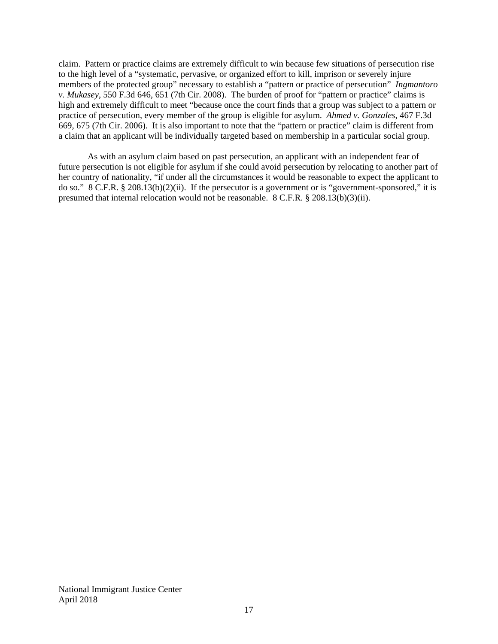claim. Pattern or practice claims are extremely difficult to win because few situations of persecution rise to the high level of a "systematic, pervasive, or organized effort to kill, imprison or severely injure members of the protected group" necessary to establish a "pattern or practice of persecution" *Ingmantoro v. Mukasey*, 550 F.3d 646, 651 (7th Cir. 2008). The burden of proof for "pattern or practice" claims is high and extremely difficult to meet "because once the court finds that a group was subject to a pattern or practice of persecution, every member of the group is eligible for asylum. *Ahmed v. Gonzales*, 467 F.3d 669, 675 (7th Cir. 2006). It is also important to note that the "pattern or practice" claim is different from a claim that an applicant will be individually targeted based on membership in a particular social group.

As with an asylum claim based on past persecution, an applicant with an independent fear of future persecution is not eligible for asylum if she could avoid persecution by relocating to another part of her country of nationality, "if under all the circumstances it would be reasonable to expect the applicant to do so." 8 C.F.R. § 208.13(b)(2)(ii). If the persecutor is a government or is "government-sponsored," it is presumed that internal relocation would not be reasonable. 8 C.F.R. § 208.13(b)(3)(ii).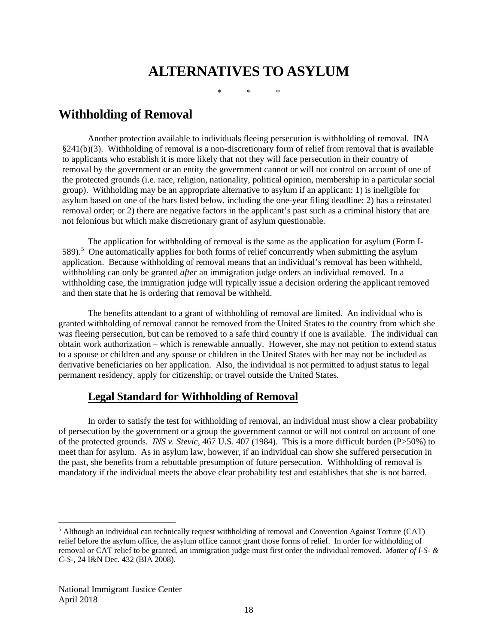# **ALTERNATIVES TO ASYLUM**

\* \* \*

# <span id="page-18-1"></span><span id="page-18-0"></span>**Withholding of Removal**

Another protection available to individuals fleeing persecution is withholding of removal. INA §241(b)(3). Withholding of removal is a non-discretionary form of relief from removal that is available to applicants who establish it is more likely that not they will face persecution in their country of removal by the government or an entity the government cannot or will not control on account of one of the protected grounds (i.e. race, religion, nationality, political opinion, membership in a particular social group). Withholding may be an appropriate alternative to asylum if an applicant: 1) is ineligible for asylum based on one of the bars listed below, including the one-year filing deadline; 2) has a reinstated removal order; or 2) there are negative factors in the applicant's past such as a criminal history that are not felonious but which make discretionary grant of asylum questionable.

The application for withholding of removal is the same as the application for asylum (Form I-[5](#page-18-3)89).<sup>5</sup> One automatically applies for both forms of relief concurrently when submitting the asylum application. Because withholding of removal means that an individual's removal has been withheld, withholding can only be granted *after* an immigration judge orders an individual removed. In a withholding case, the immigration judge will typically issue a decision ordering the applicant removed and then state that he is ordering that removal be withheld.

The benefits attendant to a grant of withholding of removal are limited. An individual who is granted withholding of removal cannot be removed from the United States to the country from which she was fleeing persecution, but can be removed to a safe third country if one is available. The individual can obtain work authorization – which is renewable annually. However, she may not petition to extend status to a spouse or children and any spouse or children in the United States with her may not be included as derivative beneficiaries on her application. Also, the individual is not permitted to adjust status to legal permanent residency, apply for citizenship, or travel outside the United States.

### <span id="page-18-2"></span>**Legal Standard for Withholding of Removal**

In order to satisfy the test for withholding of removal, an individual must show a clear probability of persecution by the government or a group the government cannot or will not control on account of one of the protected grounds. *INS v. Stevic*, 467 U.S. 407 (1984). This is a more difficult burden (P>50%) to meet than for asylum. As in asylum law, however, if an individual can show she suffered persecution in the past, she benefits from a rebuttable presumption of future persecution. Withholding of removal is mandatory if the individual meets the above clear probability test and establishes that she is not barred.

<span id="page-18-3"></span> <sup>5</sup> Although an individual can technically request withholding of removal and Convention Against Torture (CAT) relief before the asylum office, the asylum office cannot grant those forms of relief. In order for withholding of removal or CAT relief to be granted, an immigration judge must first order the individual removed. *Matter of I-S- & C-S-*, 24 I&N Dec. 432 (BIA 2008).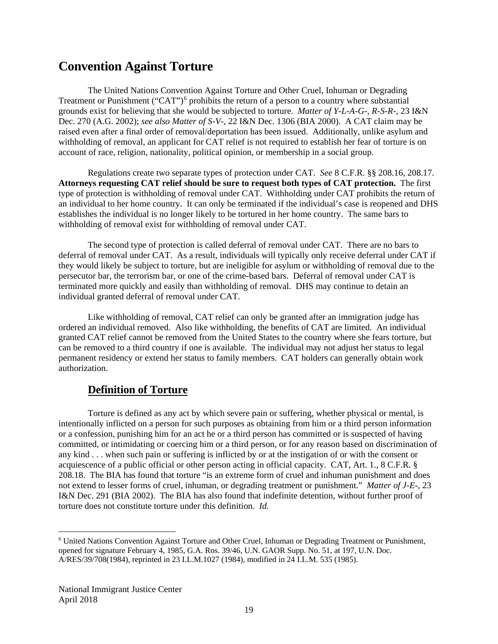# <span id="page-19-0"></span>**Convention Against Torture**

The United Nations Convention Against Torture and Other Cruel, Inhuman or Degrading Treatment or Punishment ("CAT")<sup>[6](#page-19-2)</sup> prohibits the return of a person to a country where substantial grounds exist for believing that she would be subjected to torture. *Matter of Y-L-A-G-, R-S-R-*, 23 I&N Dec. 270 (A.G. 2002); *see also Matter of S-V-*, 22 I&N Dec. 1306 (BIA 2000). A CAT claim may be raised even after a final order of removal/deportation has been issued. Additionally, unlike asylum and withholding of removal, an applicant for CAT relief is not required to establish her fear of torture is on account of race, religion, nationality, political opinion, or membership in a social group.

Regulations create two separate types of protection under CAT. *See* 8 C.F.R. §§ 208.16, 208.17. **Attorneys requesting CAT relief should be sure to request both types of CAT protection.** The first type of protection is withholding of removal under CAT. Withholding under CAT prohibits the return of an individual to her home country. It can only be terminated if the individual's case is reopened and DHS establishes the individual is no longer likely to be tortured in her home country. The same bars to withholding of removal exist for withholding of removal under CAT.

The second type of protection is called deferral of removal under CAT. There are no bars to deferral of removal under CAT. As a result, individuals will typically only receive deferral under CAT if they would likely be subject to torture, but are ineligible for asylum or withholding of removal due to the persecutor bar, the terrorism bar, or one of the crime-based bars. Deferral of removal under CAT is terminated more quickly and easily than withholding of removal. DHS may continue to detain an individual granted deferral of removal under CAT.

Like withholding of removal, CAT relief can only be granted after an immigration judge has ordered an individual removed. Also like withholding, the benefits of CAT are limited. An individual granted CAT relief cannot be removed from the United States to the country where she fears torture, but can be removed to a third country if one is available. The individual may not adjust her status to legal permanent residency or extend her status to family members. CAT holders can generally obtain work authorization.

### <span id="page-19-1"></span>**Definition of Torture**

Torture is defined as any act by which severe pain or suffering, whether physical or mental, is intentionally inflicted on a person for such purposes as obtaining from him or a third person information or a confession, punishing him for an act he or a third person has committed or is suspected of having committed, or intimidating or coercing him or a third person, or for any reason based on discrimination of any kind . . . when such pain or suffering is inflicted by or at the instigation of or with the consent or acquiescence of a public official or other person acting in official capacity. CAT, Art. 1., 8 C.F.R. § 208.18. The BIA has found that torture "is an extreme form of cruel and inhuman punishment and does not extend to lesser forms of cruel, inhuman, or degrading treatment or punishment." *Matter of J-E-*, 23 I&N Dec. 291 (BIA 2002). The BIA has also found that indefinite detention, without further proof of torture does not constitute torture under this definition. *Id.*

<span id="page-19-2"></span> <sup>6</sup> United Nations Convention Against Torture and Other Cruel, Inhuman or Degrading Treatment or Punishment, opened for signature February 4, 1985, G.A. Ros. 39/46, U.N. GAOR Supp. No. 51, at 197, U.N. Doc. A/RES/39/708(1984), reprinted in 23 I.L.M.1027 (1984), modified in 24 I.L.M. 535 (1985).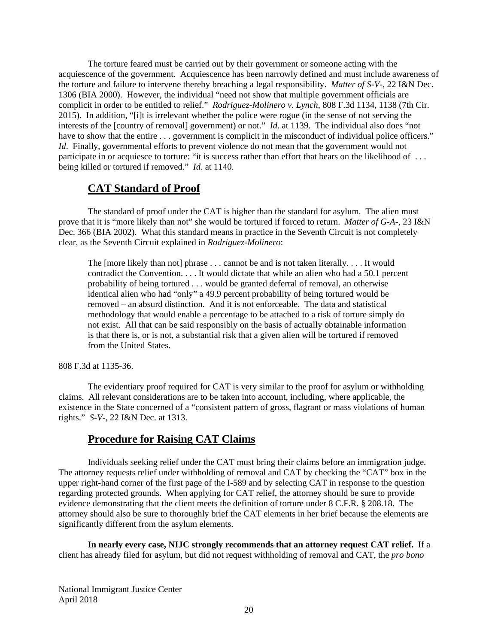The torture feared must be carried out by their government or someone acting with the acquiescence of the government. Acquiescence has been narrowly defined and must include awareness of the torture and failure to intervene thereby breaching a legal responsibility. *Matter of S-V-*, 22 I&N Dec. 1306 (BIA 2000). However, the individual "need not show that multiple government officials are complicit in order to be entitled to relief." *Rodriguez-Molinero v. Lynch*, 808 F.3d 1134, 1138 (7th Cir. 2015). In addition, "[i]t is irrelevant whether the police were rogue (in the sense of not serving the interests of the [country of removal] government) or not." *Id*. at 1139. The individual also does "not have to show that the entire  $\dots$  government is complicit in the misconduct of individual police officers." *Id.* Finally, governmental efforts to prevent violence do not mean that the government would not participate in or acquiesce to torture: "it is success rather than effort that bears on the likelihood of ... being killed or tortured if removed." *Id*. at 1140.

### <span id="page-20-0"></span>**CAT Standard of Proof**

The standard of proof under the CAT is higher than the standard for asylum. The alien must prove that it is "more likely than not" she would be tortured if forced to return. *Matter of G-A-*, 23 I&N Dec. 366 (BIA 2002). What this standard means in practice in the Seventh Circuit is not completely clear, as the Seventh Circuit explained in *Rodriguez-Molinero*:

The [more likely than not] phrase . . . cannot be and is not taken literally. . . . It would contradict the Convention. . . . It would dictate that while an alien who had a 50.1 percent probability of being tortured . . . would be granted deferral of removal, an otherwise identical alien who had "only" a 49.9 percent probability of being tortured would be removed – an absurd distinction. And it is not enforceable. The data and statistical methodology that would enable a percentage to be attached to a risk of torture simply do not exist. All that can be said responsibly on the basis of actually obtainable information is that there is, or is not, a substantial risk that a given alien will be tortured if removed from the United States.

808 F.3d at 1135-36.

The evidentiary proof required for CAT is very similar to the proof for asylum or withholding claims. All relevant considerations are to be taken into account, including, where applicable, the existence in the State concerned of a "consistent pattern of gross, flagrant or mass violations of human rights." *S-V-*, 22 I&N Dec. at 1313.

# <span id="page-20-1"></span>**Procedure for Raising CAT Claims**

Individuals seeking relief under the CAT must bring their claims before an immigration judge. The attorney requests relief under withholding of removal and CAT by checking the "CAT" box in the upper right-hand corner of the first page of the I-589 and by selecting CAT in response to the question regarding protected grounds. When applying for CAT relief, the attorney should be sure to provide evidence demonstrating that the client meets the definition of torture under 8 C.F.R. § 208.18. The attorney should also be sure to thoroughly brief the CAT elements in her brief because the elements are significantly different from the asylum elements.

**In nearly every case, NIJC strongly recommends that an attorney request CAT relief.** If a client has already filed for asylum, but did not request withholding of removal and CAT, the *pro bono*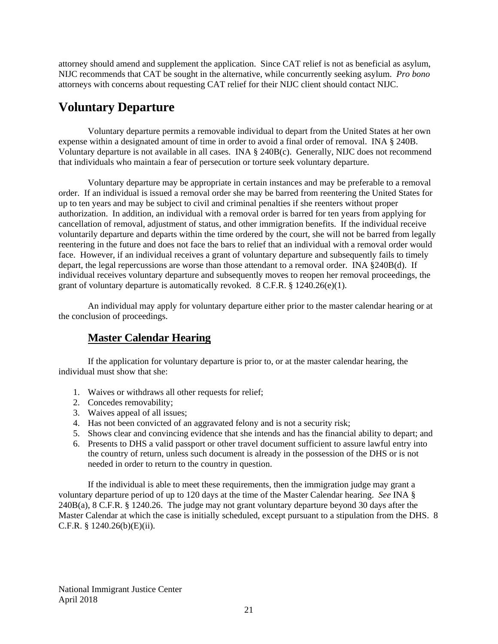attorney should amend and supplement the application. Since CAT relief is not as beneficial as asylum, NIJC recommends that CAT be sought in the alternative, while concurrently seeking asylum. *Pro bono* attorneys with concerns about requesting CAT relief for their NIJC client should contact NIJC.

# <span id="page-21-0"></span>**Voluntary Departure**

Voluntary departure permits a removable individual to depart from the United States at her own expense within a designated amount of time in order to avoid a final order of removal. INA § 240B. Voluntary departure is not available in all cases. INA § 240B(c). Generally, NIJC does not recommend that individuals who maintain a fear of persecution or torture seek voluntary departure.

Voluntary departure may be appropriate in certain instances and may be preferable to a removal order. If an individual is issued a removal order she may be barred from reentering the United States for up to ten years and may be subject to civil and criminal penalties if she reenters without proper authorization. In addition, an individual with a removal order is barred for ten years from applying for cancellation of removal, adjustment of status, and other immigration benefits. If the individual receive voluntarily departure and departs within the time ordered by the court, she will not be barred from legally reentering in the future and does not face the bars to relief that an individual with a removal order would face. However, if an individual receives a grant of voluntary departure and subsequently fails to timely depart, the legal repercussions are worse than those attendant to a removal order. INA §240B(d). If individual receives voluntary departure and subsequently moves to reopen her removal proceedings, the grant of voluntary departure is automatically revoked. 8 C.F.R. § 1240.26(e)(1).

An individual may apply for voluntary departure either prior to the master calendar hearing or at the conclusion of proceedings.

# <span id="page-21-1"></span>**Master Calendar Hearing**

If the application for voluntary departure is prior to, or at the master calendar hearing, the individual must show that she:

- 1. Waives or withdraws all other requests for relief;
- 2. Concedes removability;
- 3. Waives appeal of all issues;
- 4. Has not been convicted of an aggravated felony and is not a security risk;
- 5. Shows clear and convincing evidence that she intends and has the financial ability to depart; and
- 6. Presents to DHS a valid passport or other travel document sufficient to assure lawful entry into the country of return, unless such document is already in the possession of the DHS or is not needed in order to return to the country in question.

If the individual is able to meet these requirements, then the immigration judge may grant a voluntary departure period of up to 120 days at the time of the Master Calendar hearing. *See* INA § 240B(a), 8 C.F.R. § 1240.26. The judge may not grant voluntary departure beyond 30 days after the Master Calendar at which the case is initially scheduled, except pursuant to a stipulation from the DHS. 8 C.F.R. § 1240.26(b)(E)(ii).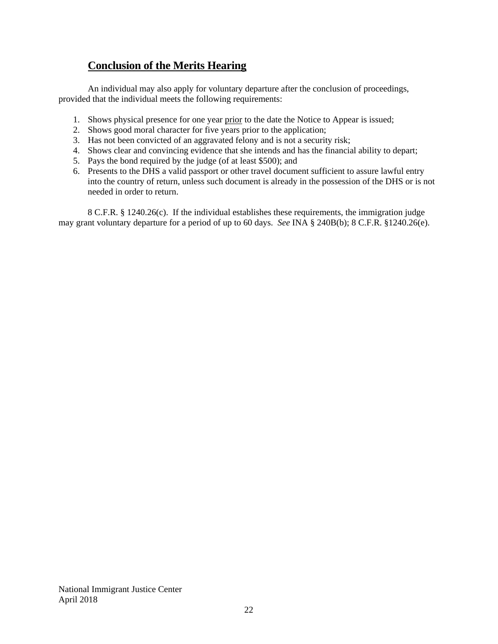# <span id="page-22-0"></span>**Conclusion of the Merits Hearing**

An individual may also apply for voluntary departure after the conclusion of proceedings, provided that the individual meets the following requirements:

- 1. Shows physical presence for one year prior to the date the Notice to Appear is issued;
- 2. Shows good moral character for five years prior to the application;
- 3. Has not been convicted of an aggravated felony and is not a security risk;
- 4. Shows clear and convincing evidence that she intends and has the financial ability to depart;
- 5. Pays the bond required by the judge (of at least \$500); and
- 6. Presents to the DHS a valid passport or other travel document sufficient to assure lawful entry into the country of return, unless such document is already in the possession of the DHS or is not needed in order to return.

8 C.F.R. § 1240.26(c). If the individual establishes these requirements, the immigration judge may grant voluntary departure for a period of up to 60 days. *See* INA § 240B(b); 8 C.F.R. §1240.26(e).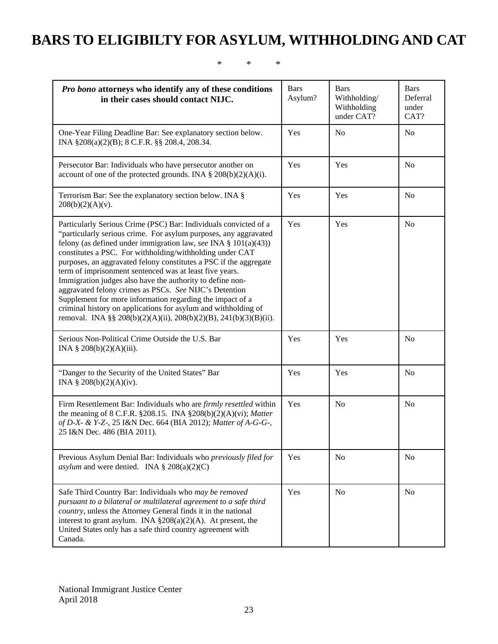# <span id="page-23-0"></span>**BARS TO ELIGIBILTY FOR ASYLUM, WITHHOLDING AND CAT**

#### \* \* \*

| Pro bono attorneys who identify any of these conditions<br>in their cases should contact NIJC.                                                                                                                                                                                                                                                                                                                                                                                                                                                                                                                                                                                                                                    | <b>Bars</b><br>Asylum? | <b>Bars</b><br>Withholding/<br>Withholding<br>under CAT? | <b>Bars</b><br>Deferral<br>under<br>CAT? |
|-----------------------------------------------------------------------------------------------------------------------------------------------------------------------------------------------------------------------------------------------------------------------------------------------------------------------------------------------------------------------------------------------------------------------------------------------------------------------------------------------------------------------------------------------------------------------------------------------------------------------------------------------------------------------------------------------------------------------------------|------------------------|----------------------------------------------------------|------------------------------------------|
| One-Year Filing Deadline Bar: See explanatory section below.<br>INA §208(a)(2)(B); 8 C.F.R. §§ 208.4, 208.34.                                                                                                                                                                                                                                                                                                                                                                                                                                                                                                                                                                                                                     | Yes                    | N <sub>o</sub>                                           | N <sub>o</sub>                           |
| Persecutor Bar: Individuals who have persecutor another on<br>account of one of the protected grounds. INA $\S$ 208(b)(2)(A)(i).                                                                                                                                                                                                                                                                                                                                                                                                                                                                                                                                                                                                  | Yes                    | Yes                                                      | N <sub>o</sub>                           |
| Terrorism Bar: See the explanatory section below. INA §<br>$208(b)(2)(A)(v)$ .                                                                                                                                                                                                                                                                                                                                                                                                                                                                                                                                                                                                                                                    | Yes                    | Yes                                                      | N <sub>o</sub>                           |
| Particularly Serious Crime (PSC) Bar: Individuals convicted of a<br>"particularly serious crime. For asylum purposes, any aggravated<br>felony (as defined under immigration law, see INA $\S$ 101(a)(43))<br>constitutes a PSC. For withholding/withholding under CAT<br>purposes, an aggravated felony constitutes a PSC if the aggregate<br>term of imprisonment sentenced was at least five years.<br>Immigration judges also have the authority to define non-<br>aggravated felony crimes as PSCs. See NIJC's Detention<br>Supplement for more information regarding the impact of a<br>criminal history on applications for asylum and withholding of<br>removal. INA §§ 208(b)(2)(A)(ii), 208(b)(2)(B), 241(b)(3)(B)(ii). | Yes                    | Yes                                                      | N <sub>o</sub>                           |
| Serious Non-Political Crime Outside the U.S. Bar<br>INA $\S 208(b)(2)(A)(iii)$ .                                                                                                                                                                                                                                                                                                                                                                                                                                                                                                                                                                                                                                                  | Yes                    | Yes                                                      | N <sub>0</sub>                           |
| "Danger to the Security of the United States" Bar<br>INA § $208(b)(2)(A)(iv)$ .                                                                                                                                                                                                                                                                                                                                                                                                                                                                                                                                                                                                                                                   | Yes                    | Yes                                                      | N <sub>o</sub>                           |
| Firm Resettlement Bar: Individuals who are <i>firmly resettled</i> within<br>the meaning of 8 C.F.R. §208.15. INA §208(b)(2)(A)(vi); Matter<br>of D-X- & Y-Z-, 25 I&N Dec. 664 (BIA 2012); Matter of A-G-G-,<br>25 I&N Dec. 486 (BIA 2011).                                                                                                                                                                                                                                                                                                                                                                                                                                                                                       | Yes                    | N <sub>0</sub>                                           | N <sub>0</sub>                           |
| Previous Asylum Denial Bar: Individuals who previously filed for<br>asylum and were denied. INA $\S 208(a)(2)(C)$                                                                                                                                                                                                                                                                                                                                                                                                                                                                                                                                                                                                                 | Yes                    | No                                                       | N <sub>o</sub>                           |
| Safe Third Country Bar: Individuals who may be removed<br>pursuant to a bilateral or multilateral agreement to a safe third<br>country, unless the Attorney General finds it in the national<br>interest to grant asylum. INA $\S 208(a)(2)(A)$ . At present, the<br>United States only has a safe third country agreement with<br>Canada.                                                                                                                                                                                                                                                                                                                                                                                        | Yes                    | No                                                       | N <sub>0</sub>                           |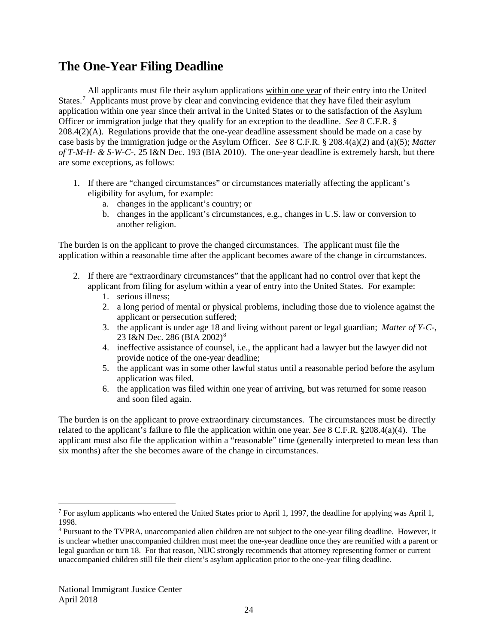# <span id="page-24-0"></span>**The One-Year Filing Deadline**

All applicants must file their asylum applications within one year of their entry into the United States.<sup>[7](#page-24-1)</sup> Applicants must prove by clear and convincing evidence that they have filed their asylum application within one year since their arrival in the United States or to the satisfaction of the Asylum Officer or immigration judge that they qualify for an exception to the deadline. *See* 8 C.F.R. § 208.4(2)(A). Regulations provide that the one-year deadline assessment should be made on a case by case basis by the immigration judge or the Asylum Officer. *See* 8 C.F.R. § 208.4(a)(2) and (a)(5); *Matter of T-M-H- & S-W-C-*, 25 I&N Dec. 193 (BIA 2010). The one-year deadline is extremely harsh, but there are some exceptions, as follows:

- 1. If there are "changed circumstances" or circumstances materially affecting the applicant's eligibility for asylum, for example:
	- a. changes in the applicant's country; or
	- b. changes in the applicant's circumstances, e.g., changes in U.S. law or conversion to another religion.

The burden is on the applicant to prove the changed circumstances. The applicant must file the application within a reasonable time after the applicant becomes aware of the change in circumstances.

- 2. If there are "extraordinary circumstances" that the applicant had no control over that kept the applicant from filing for asylum within a year of entry into the United States. For example:
	- 1. serious illness;
	- 2. a long period of mental or physical problems, including those due to violence against the applicant or persecution suffered;
	- 3. the applicant is under age 18 and living without parent or legal guardian; *Matter of Y-C-*, 23 I&N Dec. 2[8](#page-24-2)6 (BIA 2002)<sup>8</sup>
	- 4. ineffective assistance of counsel, i.e., the applicant had a lawyer but the lawyer did not provide notice of the one-year deadline;
	- 5. the applicant was in some other lawful status until a reasonable period before the asylum application was filed.
	- 6. the application was filed within one year of arriving, but was returned for some reason and soon filed again.

The burden is on the applicant to prove extraordinary circumstances. The circumstances must be directly related to the applicant's failure to file the application within one year. *See* 8 C.F.R. §208.4(a)(4). The applicant must also file the application within a "reasonable" time (generally interpreted to mean less than six months) after the she becomes aware of the change in circumstances.

<span id="page-24-1"></span> <sup>7</sup> For asylum applicants who entered the United States prior to April 1, 1997, the deadline for applying was April 1, 1998.

<span id="page-24-2"></span><sup>8</sup> Pursuant to the TVPRA, unaccompanied alien children are not subject to the one-year filing deadline. However, it is unclear whether unaccompanied children must meet the one-year deadline once they are reunified with a parent or legal guardian or turn 18. For that reason, NIJC strongly recommends that attorney representing former or current unaccompanied children still file their client's asylum application prior to the one-year filing deadline.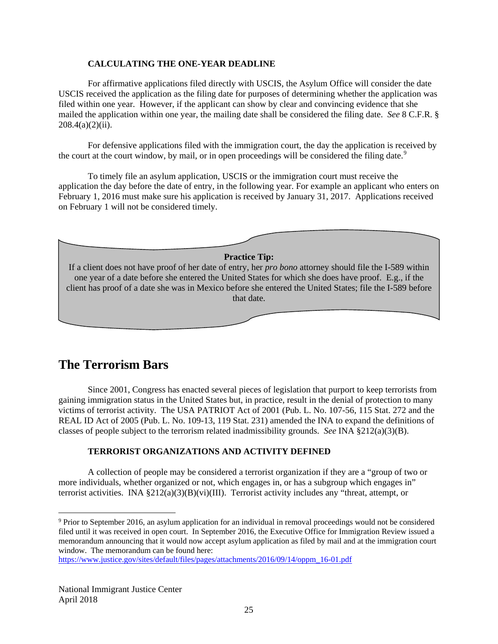#### **CALCULATING THE ONE-YEAR DEADLINE**

For affirmative applications filed directly with USCIS, the Asylum Office will consider the date USCIS received the application as the filing date for purposes of determining whether the application was filed within one year. However, if the applicant can show by clear and convincing evidence that she mailed the application within one year, the mailing date shall be considered the filing date. *See* 8 C.F.R. §  $208.4(a)(2)(ii)$ .

For defensive applications filed with the immigration court, the day the application is received by the court at the court window, by mail, or in open proceedings will be considered the filing date.<sup>[9](#page-25-1)</sup>

To timely file an asylum application, USCIS or the immigration court must receive the application the day before the date of entry, in the following year. For example an applicant who enters on February 1, 2016 must make sure his application is received by January 31, 2017. Applications received on February 1 will not be considered timely.



# <span id="page-25-0"></span>**The Terrorism Bars**

Since 2001, Congress has enacted several pieces of legislation that purport to keep terrorists from gaining immigration status in the United States but, in practice, result in the denial of protection to many victims of terrorist activity. The USA PATRIOT Act of 2001 (Pub. L. No. 107-56, 115 Stat. 272 and the REAL ID Act of 2005 (Pub. L. No. 109-13, 119 Stat. 231) amended the INA to expand the definitions of classes of people subject to the terrorism related inadmissibility grounds. *See* INA §212(a)(3)(B).

#### **TERRORIST ORGANIZATIONS AND ACTIVITY DEFINED**

A collection of people may be considered a terrorist organization if they are a "group of two or more individuals, whether organized or not, which engages in, or has a subgroup which engages in" terrorist activities. INA  $\S 212(a)(3)(B)(vi)(III)$ . Terrorist activity includes any "threat, attempt, or

<span id="page-25-1"></span> <sup>9</sup> Prior to September 2016, an asylum application for an individual in removal proceedings would not be considered filed until it was received in open court. In September 2016, the Executive Office for Immigration Review issued a memorandum announcing that it would now accept asylum application as filed by mail and at the immigration court window. The memorandum can be found here:

[https://www.justice.gov/sites/default/files/pages/attachments/2016/09/14/oppm\\_16-01.pdf](https://www.justice.gov/sites/default/files/pages/attachments/2016/09/14/oppm_16-01.pdf)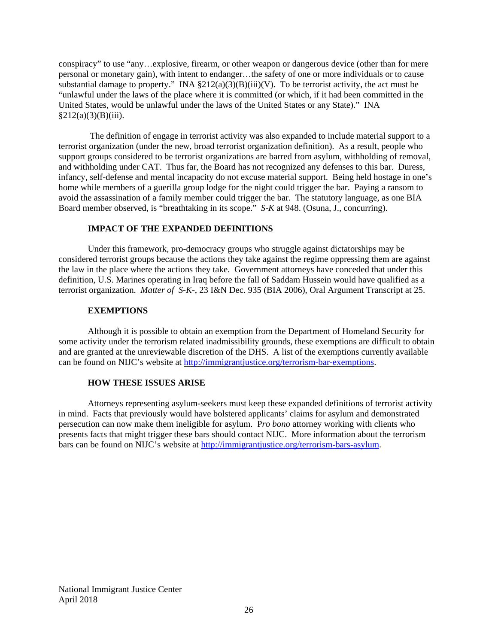conspiracy" to use "any…explosive, firearm, or other weapon or dangerous device (other than for mere personal or monetary gain), with intent to endanger…the safety of one or more individuals or to cause substantial damage to property." INA  $\S 212(a)(3)(B)(iii)(V)$ . To be terrorist activity, the act must be "unlawful under the laws of the place where it is committed (or which, if it had been committed in the United States, would be unlawful under the laws of the United States or any State)." INA  $§212(a)(3)(B)(iii)$ .

The definition of engage in terrorist activity was also expanded to include material support to a terrorist organization (under the new, broad terrorist organization definition). As a result, people who support groups considered to be terrorist organizations are barred from asylum, withholding of removal, and withholding under CAT. Thus far, the Board has not recognized any defenses to this bar. Duress, infancy, self-defense and mental incapacity do not excuse material support. Being held hostage in one's home while members of a guerilla group lodge for the night could trigger the bar. Paying a ransom to avoid the assassination of a family member could trigger the bar. The statutory language, as one BIA Board member observed, is "breathtaking in its scope." *S-K* at 948. (Osuna, J., concurring).

#### **IMPACT OF THE EXPANDED DEFINITIONS**

Under this framework, pro-democracy groups who struggle against dictatorships may be considered terrorist groups because the actions they take against the regime oppressing them are against the law in the place where the actions they take. Government attorneys have conceded that under this definition, U.S. Marines operating in Iraq before the fall of Saddam Hussein would have qualified as a terrorist organization. *Matter of S-K-*, 23 I&N Dec. 935 (BIA 2006), Oral Argument Transcript at 25.

#### **EXEMPTIONS**

Although it is possible to obtain an exemption from the Department of Homeland Security for some activity under the terrorism related inadmissibility grounds, these exemptions are difficult to obtain and are granted at the unreviewable discretion of the DHS. A list of the exemptions currently available can be found on NIJC's website at [http://immigrantjustice.org/terrorism-bar-exemptions.](http://immigrantjustice.org/terrorism-bar-exemptions)

#### **HOW THESE ISSUES ARISE**

Attorneys representing asylum-seekers must keep these expanded definitions of terrorist activity in mind. Facts that previously would have bolstered applicants' claims for asylum and demonstrated persecution can now make them ineligible for asylum. P*ro bono* attorney working with clients who presents facts that might trigger these bars should contact NIJC. More information about the terrorism bars can be found on NIJC's website at [http://immigrantjustice.org/terrorism-bars-asylum.](http://immigrantjustice.org/terrorism-bars-asylum)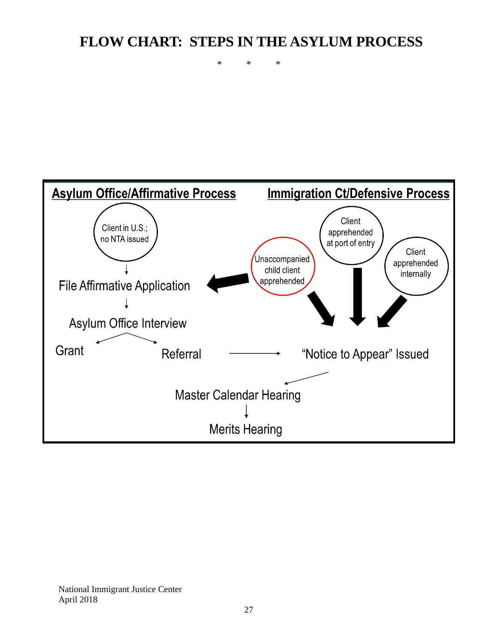# <span id="page-27-0"></span>**FLOW CHART: STEPS IN THE ASYLUM PROCESS**

\* \* \*

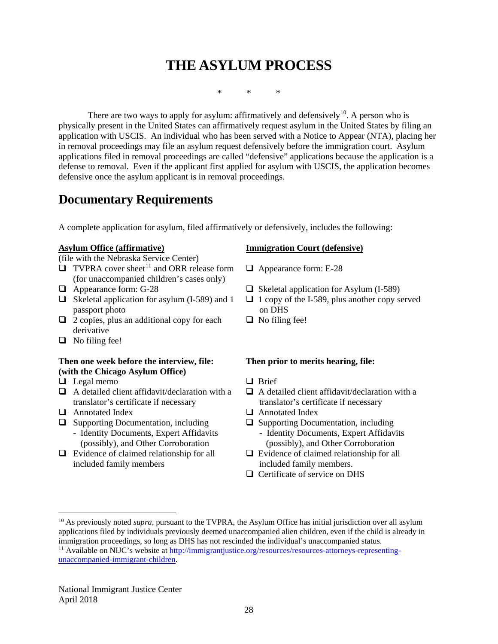# <span id="page-28-0"></span>**THE ASYLUM PROCESS**

\* \* \*

There are two ways to apply for asylum: affirmatively and defensively<sup>10</sup>. A person who is physically present in the United States can affirmatively request asylum in the United States by filing an application with USCIS. An individual who has been served with a Notice to Appear (NTA), placing her in removal proceedings may file an asylum request defensively before the immigration court. Asylum applications filed in removal proceedings are called "defensive" applications because the application is a defense to removal. Even if the applicant first applied for asylum with USCIS, the application becomes defensive once the asylum applicant is in removal proceedings.

# <span id="page-28-1"></span>**Documentary Requirements**

A complete application for asylum, filed affirmatively or defensively, includes the following:

#### **Asylum Office (affirmative)**

(file with the Nebraska Service Center)

- $\Box$  TVPRA cover sheet<sup>[11](#page-28-3)</sup> and ORR release form (for unaccompanied children's cases only)
- 
- $\Box$  Skeletal application for asylum (I-589) and 1 passport photo
- $\Box$  2 copies, plus an additional copy for each derivative
- $\Box$  No filing fee!

#### **Then one week before the interview, file: (with the Chicago Asylum Office)**

- $\Box$  Legal memo  $\Box$  Brief
- $\Box$  A detailed client affidavit/declaration with a translator's certificate if necessary
- $\Box$  Annotated Index  $\Box$  Annotated Index
- $\Box$  Supporting Documentation, including
	- Identity Documents, Expert Affidavits (possibly), and Other Corroboration
- $\Box$  Evidence of claimed relationship for all included family members

#### **Immigration Court (defensive)**

- □ Appearance form: E-28
- $\Box$  Appearance form: G-28  $\Box$  Skeletal application for Asylum (I-589)
	- $\Box$  1 copy of the I-589, plus another copy served on DHS
	- $\Box$  No filing fee!

#### **Then prior to merits hearing, file:**

- 
- $\Box$  A detailed client affidavit/declaration with a translator's certificate if necessary
- 
- $\Box$  Supporting Documentation, including
	- Identity Documents, Expert Affidavits (possibly), and Other Corroboration
- $\Box$  Evidence of claimed relationship for all included family members.
- □ Certificate of service on DHS

<span id="page-28-2"></span><sup>&</sup>lt;sup>10</sup> As previously noted *supra*, pursuant to the TVPRA, the Asylum Office has initial jurisdiction over all asylum applications filed by individuals previously deemed unaccompanied alien children, even if the child is already in immigration proceedings, so long as DHS has not rescinded the individual's unaccompanied status.

<span id="page-28-3"></span><sup>&</sup>lt;sup>11</sup> Available on NIJC's website at [http://immigrantjustice.org/resources/resources-attorneys-representing](http://immigrantjustice.org/resources/resources-attorneys-representing-unaccompanied-immigrant-children)[unaccompanied-immigrant-children.](http://immigrantjustice.org/resources/resources-attorneys-representing-unaccompanied-immigrant-children)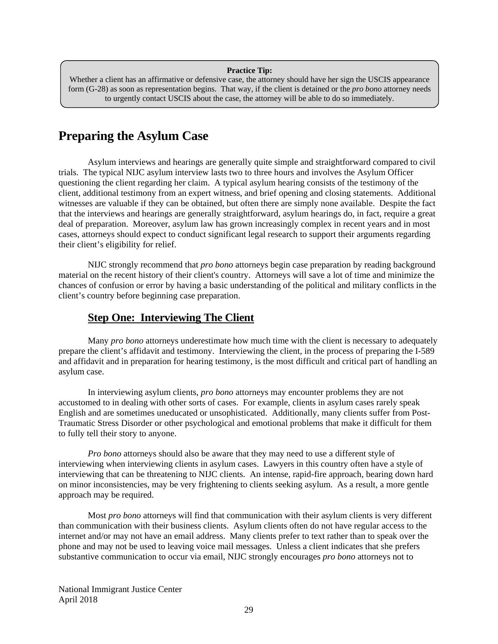#### **Practice Tip:**

Whether a client has an affirmative or defensive case, the attorney should have her sign the USCIS appearance form (G-28) as soon as representation begins. That way, if the client is detained or the *pro bono* attorney needs to urgently contact USCIS about the case, the attorney will be able to do so immediately.

# <span id="page-29-0"></span>**Preparing the Asylum Case**

Asylum interviews and hearings are generally quite simple and straightforward compared to civil trials. The typical NIJC asylum interview lasts two to three hours and involves the Asylum Officer questioning the client regarding her claim. A typical asylum hearing consists of the testimony of the client, additional testimony from an expert witness, and brief opening and closing statements. Additional witnesses are valuable if they can be obtained, but often there are simply none available. Despite the fact that the interviews and hearings are generally straightforward, asylum hearings do, in fact, require a great deal of preparation. Moreover, asylum law has grown increasingly complex in recent years and in most cases, attorneys should expect to conduct significant legal research to support their arguments regarding their client's eligibility for relief.

NIJC strongly recommend that *pro bono* attorneys begin case preparation by reading background material on the recent history of their client's country. Attorneys will save a lot of time and minimize the chances of confusion or error by having a basic understanding of the political and military conflicts in the client's country before beginning case preparation.

### <span id="page-29-1"></span>**Step One: Interviewing The Client**

Many *pro bono* attorneys underestimate how much time with the client is necessary to adequately prepare the client's affidavit and testimony. Interviewing the client, in the process of preparing the I-589 and affidavit and in preparation for hearing testimony, is the most difficult and critical part of handling an asylum case.

In interviewing asylum clients, *pro bono* attorneys may encounter problems they are not accustomed to in dealing with other sorts of cases. For example, clients in asylum cases rarely speak English and are sometimes uneducated or unsophisticated. Additionally, many clients suffer from Post-Traumatic Stress Disorder or other psychological and emotional problems that make it difficult for them to fully tell their story to anyone.

*Pro bono* attorneys should also be aware that they may need to use a different style of interviewing when interviewing clients in asylum cases. Lawyers in this country often have a style of interviewing that can be threatening to NIJC clients. An intense, rapid-fire approach, bearing down hard on minor inconsistencies, may be very frightening to clients seeking asylum. As a result, a more gentle approach may be required.

Most *pro bono* attorneys will find that communication with their asylum clients is very different than communication with their business clients. Asylum clients often do not have regular access to the internet and/or may not have an email address. Many clients prefer to text rather than to speak over the phone and may not be used to leaving voice mail messages. Unless a client indicates that she prefers substantive communication to occur via email, NIJC strongly encourages *pro bono* attorneys not to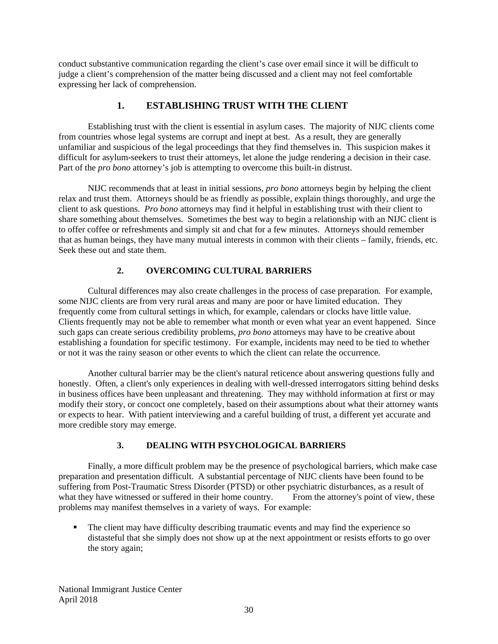conduct substantive communication regarding the client's case over email since it will be difficult to judge a client's comprehension of the matter being discussed and a client may not feel comfortable expressing her lack of comprehension.

#### **1. ESTABLISHING TRUST WITH THE CLIENT**

Establishing trust with the client is essential in asylum cases. The majority of NIJC clients come from countries whose legal systems are corrupt and inept at best. As a result, they are generally unfamiliar and suspicious of the legal proceedings that they find themselves in. This suspicion makes it difficult for asylum-seekers to trust their attorneys, let alone the judge rendering a decision in their case. Part of the *pro bono* attorney's job is attempting to overcome this built-in distrust.

NIJC recommends that at least in initial sessions, *pro bono* attorneys begin by helping the client relax and trust them. Attorneys should be as friendly as possible, explain things thoroughly, and urge the client to ask questions. *Pro bono* attorneys may find it helpful in establishing trust with their client to share something about themselves. Sometimes the best way to begin a relationship with an NIJC client is to offer coffee or refreshments and simply sit and chat for a few minutes. Attorneys should remember that as human beings, they have many mutual interests in common with their clients – family, friends, etc. Seek these out and state them.

#### **2. OVERCOMING CULTURAL BARRIERS**

Cultural differences may also create challenges in the process of case preparation. For example, some NIJC clients are from very rural areas and many are poor or have limited education. They frequently come from cultural settings in which, for example, calendars or clocks have little value. Clients frequently may not be able to remember what month or even what year an event happened. Since such gaps can create serious credibility problems, *pro bono* attorneys may have to be creative about establishing a foundation for specific testimony. For example, incidents may need to be tied to whether or not it was the rainy season or other events to which the client can relate the occurrence.

Another cultural barrier may be the client's natural reticence about answering questions fully and honestly. Often, a client's only experiences in dealing with well-dressed interrogators sitting behind desks in business offices have been unpleasant and threatening. They may withhold information at first or may modify their story, or concoct one completely, based on their assumptions about what their attorney wants or expects to hear. With patient interviewing and a careful building of trust, a different yet accurate and more credible story may emerge.

#### **3. DEALING WITH PSYCHOLOGICAL BARRIERS**

Finally, a more difficult problem may be the presence of psychological barriers, which make case preparation and presentation difficult. A substantial percentage of NIJC clients have been found to be suffering from Post-Traumatic Stress Disorder (PTSD) or other psychiatric disturbances, as a result of what they have witnessed or suffered in their home country. From the attorney's point of view, these problems may manifest themselves in a variety of ways. For example:

 The client may have difficulty describing traumatic events and may find the experience so distasteful that she simply does not show up at the next appointment or resists efforts to go over the story again;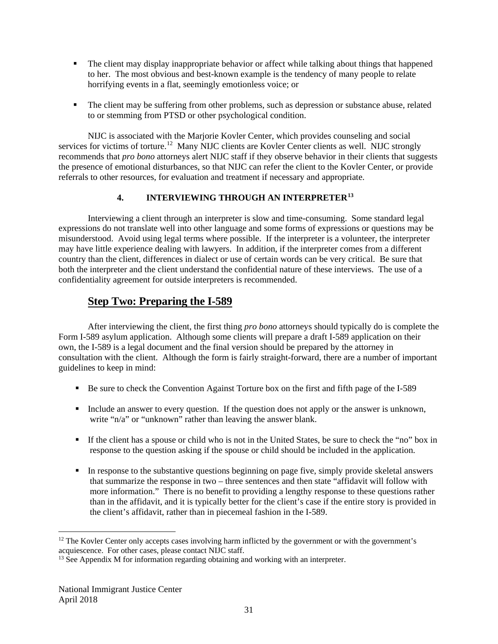- The client may display inappropriate behavior or affect while talking about things that happened to her. The most obvious and best-known example is the tendency of many people to relate horrifying events in a flat, seemingly emotionless voice; or
- The client may be suffering from other problems, such as depression or substance abuse, related to or stemming from PTSD or other psychological condition.

NIJC is associated with the Marjorie Kovler Center, which provides counseling and social services for victims of torture.<sup>[12](#page-31-1)</sup> Many NIJC clients are Kovler Center clients as well. NIJC strongly recommends that *pro bono* attorneys alert NIJC staff if they observe behavior in their clients that suggests the presence of emotional disturbances, so that NIJC can refer the client to the Kovler Center, or provide referrals to other resources, for evaluation and treatment if necessary and appropriate.

#### **4. INTERVIEWING THROUGH AN INTERPRETER[13](#page-31-2)**

Interviewing a client through an interpreter is slow and time-consuming. Some standard legal expressions do not translate well into other language and some forms of expressions or questions may be misunderstood. Avoid using legal terms where possible. If the interpreter is a volunteer, the interpreter may have little experience dealing with lawyers. In addition, if the interpreter comes from a different country than the client, differences in dialect or use of certain words can be very critical. Be sure that both the interpreter and the client understand the confidential nature of these interviews. The use of a confidentiality agreement for outside interpreters is recommended.

# <span id="page-31-0"></span>**Step Two: Preparing the I-589**

After interviewing the client, the first thing *pro bono* attorneys should typically do is complete the Form I-589 asylum application. Although some clients will prepare a draft I-589 application on their own, the I-589 is a legal document and the final version should be prepared by the attorney in consultation with the client. Although the form is fairly straight-forward, there are a number of important guidelines to keep in mind:

- Be sure to check the Convention Against Torture box on the first and fifth page of the I-589
- Include an answer to every question. If the question does not apply or the answer is unknown, write "n/a" or "unknown" rather than leaving the answer blank.
- If the client has a spouse or child who is not in the United States, be sure to check the "no" box in response to the question asking if the spouse or child should be included in the application.
- In response to the substantive questions beginning on page five, simply provide skeletal answers that summarize the response in two – three sentences and then state "affidavit will follow with more information." There is no benefit to providing a lengthy response to these questions rather than in the affidavit, and it is typically better for the client's case if the entire story is provided in the client's affidavit, rather than in piecemeal fashion in the I-589.

<span id="page-31-1"></span> $12$  The Kovler Center only accepts cases involving harm inflicted by the government or with the government's acquiescence. For other cases, please contact NIJC staff.

<span id="page-31-2"></span> $13$  See Appendix M for information regarding obtaining and working with an interpreter.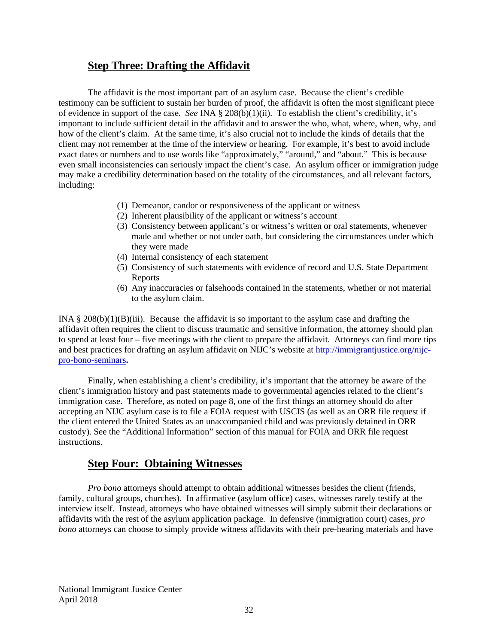### <span id="page-32-0"></span>**Step Three: Drafting the Affidavit**

The affidavit is the most important part of an asylum case. Because the client's credible testimony can be sufficient to sustain her burden of proof, the affidavit is often the most significant piece of evidence in support of the case. *See* INA § 208(b)(1)(ii). To establish the client's credibility, it's important to include sufficient detail in the affidavit and to answer the who, what, where, when, why, and how of the client's claim. At the same time, it's also crucial not to include the kinds of details that the client may not remember at the time of the interview or hearing. For example, it's best to avoid include exact dates or numbers and to use words like "approximately," "around," and "about." This is because even small inconsistencies can seriously impact the client's case. An asylum officer or immigration judge may make a credibility determination based on the totality of the circumstances, and all relevant factors, including:

- (1) Demeanor, candor or responsiveness of the applicant or witness
- (2) Inherent plausibility of the applicant or witness's account
- (3) Consistency between applicant's or witness's written or oral statements, whenever made and whether or not under oath, but considering the circumstances under which they were made
- (4) Internal consistency of each statement
- (5) Consistency of such statements with evidence of record and U.S. State Department Reports
- (6) Any inaccuracies or falsehoods contained in the statements, whether or not material to the asylum claim.

INA  $\S 208(b)(1)(B)(iii)$ . Because the affidavit is so important to the asylum case and drafting the affidavit often requires the client to discuss traumatic and sensitive information, the attorney should plan to spend at least four – five meetings with the client to prepare the affidavit. Attorneys can find more tips and best practices for drafting an asylum affidavit on NIJC's website at [http://immigrantjustice.org/nijc](http://immigrantjustice.org/nijc-pro-bono-seminars)[pro-bono-seminars](http://immigrantjustice.org/nijc-pro-bono-seminars)**.**

Finally, when establishing a client's credibility, it's important that the attorney be aware of the client's immigration history and past statements made to governmental agencies related to the client's immigration case. Therefore, as noted on page 8, one of the first things an attorney should do after accepting an NIJC asylum case is to file a FOIA request with USCIS (as well as an ORR file request if the client entered the United States as an unaccompanied child and was previously detained in ORR custody). See the "Additional Information" section of this manual for FOIA and ORR file request instructions.

### <span id="page-32-1"></span>**Step Four: Obtaining Witnesses**

*Pro bono* attorneys should attempt to obtain additional witnesses besides the client (friends, family, cultural groups, churches). In affirmative (asylum office) cases, witnesses rarely testify at the interview itself. Instead, attorneys who have obtained witnesses will simply submit their declarations or affidavits with the rest of the asylum application package. In defensive (immigration court) cases, *pro bono* attorneys can choose to simply provide witness affidavits with their pre-hearing materials and have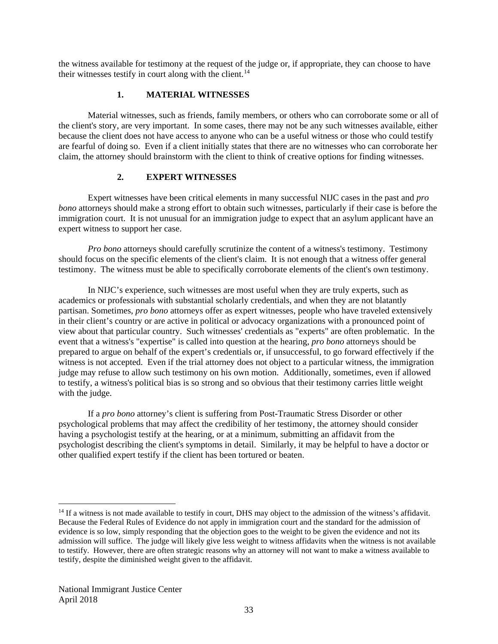the witness available for testimony at the request of the judge or, if appropriate, they can choose to have their witnesses testify in court along with the client.<sup>[14](#page-33-0)</sup>

#### **1. MATERIAL WITNESSES**

Material witnesses, such as friends, family members, or others who can corroborate some or all of the client's story, are very important. In some cases, there may not be any such witnesses available, either because the client does not have access to anyone who can be a useful witness or those who could testify are fearful of doing so. Even if a client initially states that there are no witnesses who can corroborate her claim, the attorney should brainstorm with the client to think of creative options for finding witnesses.

#### **2. EXPERT WITNESSES**

Expert witnesses have been critical elements in many successful NIJC cases in the past and *pro bono* attorneys should make a strong effort to obtain such witnesses, particularly if their case is before the immigration court. It is not unusual for an immigration judge to expect that an asylum applicant have an expert witness to support her case.

*Pro bono* attorneys should carefully scrutinize the content of a witness's testimony. Testimony should focus on the specific elements of the client's claim. It is not enough that a witness offer general testimony. The witness must be able to specifically corroborate elements of the client's own testimony.

In NIJC's experience, such witnesses are most useful when they are truly experts, such as academics or professionals with substantial scholarly credentials, and when they are not blatantly partisan. Sometimes, *pro bono* attorneys offer as expert witnesses, people who have traveled extensively in their client's country or are active in political or advocacy organizations with a pronounced point of view about that particular country. Such witnesses' credentials as "experts" are often problematic. In the event that a witness's "expertise" is called into question at the hearing, *pro bono* attorneys should be prepared to argue on behalf of the expert's credentials or, if unsuccessful, to go forward effectively if the witness is not accepted. Even if the trial attorney does not object to a particular witness, the immigration judge may refuse to allow such testimony on his own motion. Additionally, sometimes, even if allowed to testify, a witness's political bias is so strong and so obvious that their testimony carries little weight with the judge.

If a *pro bono* attorney's client is suffering from Post-Traumatic Stress Disorder or other psychological problems that may affect the credibility of her testimony, the attorney should consider having a psychologist testify at the hearing, or at a minimum, submitting an affidavit from the psychologist describing the client's symptoms in detail. Similarly, it may be helpful to have a doctor or other qualified expert testify if the client has been tortured or beaten.

<span id="page-33-0"></span><sup>&</sup>lt;sup>14</sup> If a witness is not made available to testify in court, DHS may object to the admission of the witness's affidavit. Because the Federal Rules of Evidence do not apply in immigration court and the standard for the admission of evidence is so low, simply responding that the objection goes to the weight to be given the evidence and not its admission will suffice. The judge will likely give less weight to witness affidavits when the witness is not available to testify. However, there are often strategic reasons why an attorney will not want to make a witness available to testify, despite the diminished weight given to the affidavit.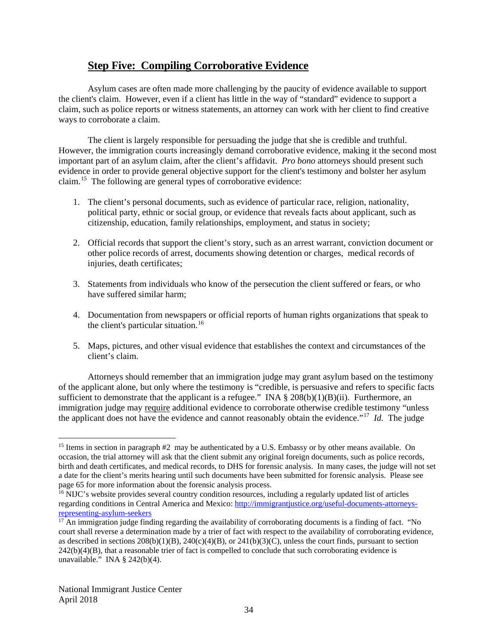### <span id="page-34-0"></span>**Step Five: Compiling Corroborative Evidence**

Asylum cases are often made more challenging by the paucity of evidence available to support the client's claim. However, even if a client has little in the way of "standard" evidence to support a claim, such as police reports or witness statements, an attorney can work with her client to find creative ways to corroborate a claim.

The client is largely responsible for persuading the judge that she is credible and truthful. However, the immigration courts increasingly demand corroborative evidence, making it the second most important part of an asylum claim, after the client's affidavit. *Pro bono* attorneys should present such evidence in order to provide general objective support for the client's testimony and bolster her asylum claim.[15](#page-34-1) The following are general types of corroborative evidence:

- 1. The client's personal documents, such as evidence of particular race, religion, nationality, political party, ethnic or social group, or evidence that reveals facts about applicant, such as citizenship, education, family relationships, employment, and status in society;
- 2. Official records that support the client's story, such as an arrest warrant, conviction document or other police records of arrest, documents showing detention or charges, medical records of injuries, death certificates;
- 3. Statements from individuals who know of the persecution the client suffered or fears, or who have suffered similar harm;
- 4. Documentation from newspapers or official reports of human rights organizations that speak to the client's particular situation.<sup>[16](#page-34-2)</sup>
- 5. Maps, pictures, and other visual evidence that establishes the context and circumstances of the client's claim.

Attorneys should remember that an immigration judge may grant asylum based on the testimony of the applicant alone, but only where the testimony is "credible, is persuasive and refers to specific facts sufficient to demonstrate that the applicant is a refugee." INA  $\S 208(b)(1)(B)(ii)$ . Furthermore, an immigration judge may require additional evidence to corroborate otherwise credible testimony "unless the applicant does not have the evidence and cannot reasonably obtain the evidence."[17](#page-34-3) *Id.* The judge

<span id="page-34-1"></span><sup>&</sup>lt;sup>15</sup> Items in section in paragraph #2 may be authenticated by a U.S. Embassy or by other means available. On occasion, the trial attorney will ask that the client submit any original foreign documents, such as police records, birth and death certificates, and medical records, to DHS for forensic analysis. In many cases, the judge will not set a date for the client's merits hearing until such documents have been submitted for forensic analysis. Please see page 65 for more information about the forensic analysis process.

<span id="page-34-2"></span><sup>&</sup>lt;sup>16</sup> NIJC's website provides several country condition resources, including a regularly updated list of articles regarding conditions in Central America and Mexico: [http://immigrantjustice.org/useful-documents-attorneys](http://immigrantjustice.org/useful-documents-attorneys-representing-asylum-seekers)[representing-asylum-seekers](http://immigrantjustice.org/useful-documents-attorneys-representing-asylum-seekers)

<span id="page-34-3"></span> $17$  An immigration judge finding regarding the availability of corroborating documents is a finding of fact. "No court shall reverse a determination made by a trier of fact with respect to the availability of corroborating evidence, as described in sections  $208(b)(1)(B)$ ,  $240(c)(4)(B)$ , or  $241(b)(3)(C)$ , unless the court finds, pursuant to section  $242(b)(4)(B)$ , that a reasonable trier of fact is compelled to conclude that such corroborating evidence is unavailable." INA § 242(b)(4).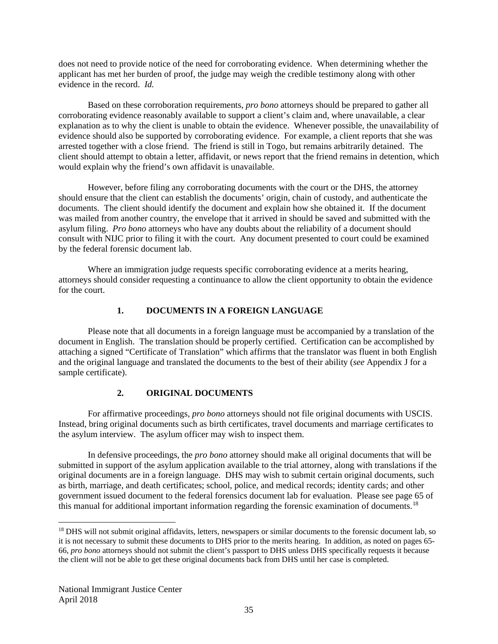does not need to provide notice of the need for corroborating evidence. When determining whether the applicant has met her burden of proof, the judge may weigh the credible testimony along with other evidence in the record. *Id.*

Based on these corroboration requirements, *pro bono* attorneys should be prepared to gather all corroborating evidence reasonably available to support a client's claim and, where unavailable, a clear explanation as to why the client is unable to obtain the evidence. Whenever possible, the unavailability of evidence should also be supported by corroborating evidence. For example, a client reports that she was arrested together with a close friend. The friend is still in Togo, but remains arbitrarily detained. The client should attempt to obtain a letter, affidavit, or news report that the friend remains in detention, which would explain why the friend's own affidavit is unavailable.

However, before filing any corroborating documents with the court or the DHS, the attorney should ensure that the client can establish the documents' origin, chain of custody, and authenticate the documents. The client should identify the document and explain how she obtained it. If the document was mailed from another country, the envelope that it arrived in should be saved and submitted with the asylum filing. *Pro bono* attorneys who have any doubts about the reliability of a document should consult with NIJC prior to filing it with the court. Any document presented to court could be examined by the federal forensic document lab.

Where an immigration judge requests specific corroborating evidence at a merits hearing, attorneys should consider requesting a continuance to allow the client opportunity to obtain the evidence for the court.

#### **1. DOCUMENTS IN A FOREIGN LANGUAGE**

Please note that all documents in a foreign language must be accompanied by a translation of the document in English. The translation should be properly certified. Certification can be accomplished by attaching a signed "Certificate of Translation" which affirms that the translator was fluent in both English and the original language and translated the documents to the best of their ability (*see* Appendix J for a sample certificate).

#### **2. ORIGINAL DOCUMENTS**

For affirmative proceedings, *pro bono* attorneys should not file original documents with USCIS. Instead, bring original documents such as birth certificates, travel documents and marriage certificates to the asylum interview. The asylum officer may wish to inspect them.

In defensive proceedings, the *pro bono* attorney should make all original documents that will be submitted in support of the asylum application available to the trial attorney, along with translations if the original documents are in a foreign language. DHS may wish to submit certain original documents, such as birth, marriage, and death certificates; school, police, and medical records; identity cards; and other government issued document to the federal forensics document lab for evaluation. Please see page 65 of this manual for additional important information regarding the forensic examination of documents.<sup>18</sup>

<span id="page-35-0"></span><sup>&</sup>lt;sup>18</sup> DHS will not submit original affidavits, letters, newspapers or similar documents to the forensic document lab, so it is not necessary to submit these documents to DHS prior to the merits hearing. In addition, as noted on pages 65- 66, *pro bono* attorneys should not submit the client's passport to DHS unless DHS specifically requests it because the client will not be able to get these original documents back from DHS until her case is completed.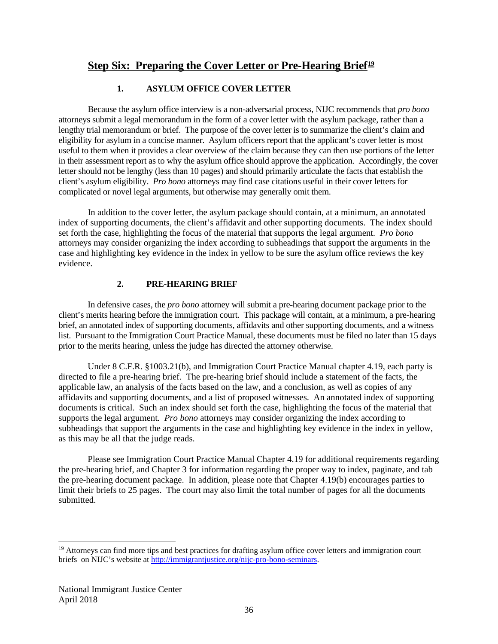# **Step Six: Preparing the Cover Letter or Pre-Hearing Brief[19](#page-36-0)**

# **1. ASYLUM OFFICE COVER LETTER**

Because the asylum office interview is a non-adversarial process, NIJC recommends that *pro bono*  attorneys submit a legal memorandum in the form of a cover letter with the asylum package, rather than a lengthy trial memorandum or brief. The purpose of the cover letter is to summarize the client's claim and eligibility for asylum in a concise manner. Asylum officers report that the applicant's cover letter is most useful to them when it provides a clear overview of the claim because they can then use portions of the letter in their assessment report as to why the asylum office should approve the application. Accordingly, the cover letter should not be lengthy (less than 10 pages) and should primarily articulate the facts that establish the client's asylum eligibility. *Pro bono* attorneys may find case citations useful in their cover letters for complicated or novel legal arguments, but otherwise may generally omit them.

In addition to the cover letter, the asylum package should contain, at a minimum, an annotated index of supporting documents, the client's affidavit and other supporting documents. The index should set forth the case, highlighting the focus of the material that supports the legal argument*. Pro bono* attorneys may consider organizing the index according to subheadings that support the arguments in the case and highlighting key evidence in the index in yellow to be sure the asylum office reviews the key evidence.

# **2. PRE-HEARING BRIEF**

In defensive cases, the *pro bono* attorney will submit a pre-hearing document package prior to the client's merits hearing before the immigration court. This package will contain, at a minimum, a pre-hearing brief, an annotated index of supporting documents, affidavits and other supporting documents, and a witness list. Pursuant to the Immigration Court Practice Manual, these documents must be filed no later than 15 days prior to the merits hearing, unless the judge has directed the attorney otherwise.

Under 8 C.F.R. §1003.21(b), and Immigration Court Practice Manual chapter 4.19, each party is directed to file a pre-hearing brief. The pre-hearing brief should include a statement of the facts, the applicable law, an analysis of the facts based on the law, and a conclusion, as well as copies of any affidavits and supporting documents, and a list of proposed witnesses. An annotated index of supporting documents is critical. Such an index should set forth the case, highlighting the focus of the material that supports the legal argument*. Pro bono* attorneys may consider organizing the index according to subheadings that support the arguments in the case and highlighting key evidence in the index in yellow, as this may be all that the judge reads.

Please see Immigration Court Practice Manual Chapter 4.19 for additional requirements regarding the pre-hearing brief, and Chapter 3 for information regarding the proper way to index, paginate, and tab the pre-hearing document package. In addition, please note that Chapter 4.19(b) encourages parties to limit their briefs to 25 pages. The court may also limit the total number of pages for all the documents submitted.

<span id="page-36-0"></span><sup>&</sup>lt;sup>19</sup> Attorneys can find more tips and best practices for drafting asylum office cover letters and immigration court briefs on NIJC's website at [http://immigrantjustice.org/nijc-pro-bono-seminars.](http://immigrantjustice.org/nijc-pro-bono-seminars)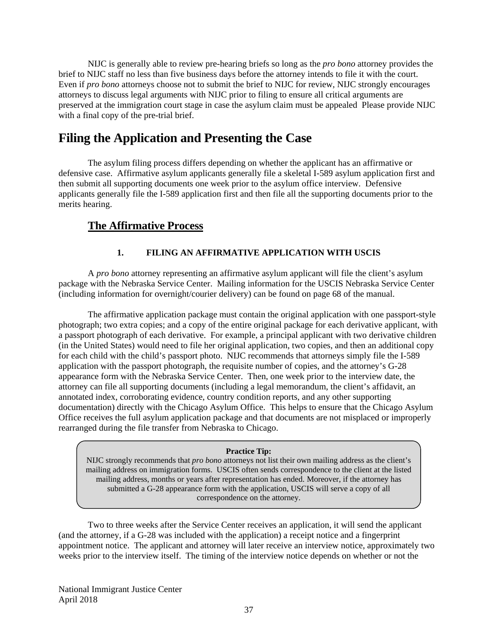NIJC is generally able to review pre-hearing briefs so long as the *pro bono* attorney provides the brief to NIJC staff no less than five business days before the attorney intends to file it with the court. Even if *pro bono* attorneys choose not to submit the brief to NIJC for review, NIJC strongly encourages attorneys to discuss legal arguments with NIJC prior to filing to ensure all critical arguments are preserved at the immigration court stage in case the asylum claim must be appealed Please provide NIJC with a final copy of the pre-trial brief.

# **Filing the Application and Presenting the Case**

The asylum filing process differs depending on whether the applicant has an affirmative or defensive case. Affirmative asylum applicants generally file a skeletal I-589 asylum application first and then submit all supporting documents one week prior to the asylum office interview. Defensive applicants generally file the I-589 application first and then file all the supporting documents prior to the merits hearing.

# **The Affirmative Process**

# **1. FILING AN AFFIRMATIVE APPLICATION WITH USCIS**

A *pro bono* attorney representing an affirmative asylum applicant will file the client's asylum package with the Nebraska Service Center. Mailing information for the USCIS Nebraska Service Center (including information for overnight/courier delivery) can be found on page 68 of the manual.

The affirmative application package must contain the original application with one passport-style photograph; two extra copies; and a copy of the entire original package for each derivative applicant, with a passport photograph of each derivative. For example, a principal applicant with two derivative children (in the United States) would need to file her original application, two copies, and then an additional copy for each child with the child's passport photo. NIJC recommends that attorneys simply file the I-589 application with the passport photograph, the requisite number of copies, and the attorney's G-28 appearance form with the Nebraska Service Center. Then, one week prior to the interview date, the attorney can file all supporting documents (including a legal memorandum, the client's affidavit, an annotated index, corroborating evidence, country condition reports, and any other supporting documentation) directly with the Chicago Asylum Office. This helps to ensure that the Chicago Asylum Office receives the full asylum application package and that documents are not misplaced or improperly rearranged during the file transfer from Nebraska to Chicago.

### **Practice Tip:**

NIJC strongly recommends that *pro bono* attorneys not list their own mailing address as the client's mailing address on immigration forms. USCIS often sends correspondence to the client at the listed mailing address, months or years after representation has ended. Moreover, if the attorney has submitted a G-28 appearance form with the application, USCIS will serve a copy of all correspondence on the attorney.

Two to three weeks after the Service Center receives an application, it will send the applicant (and the attorney, if a G-28 was included with the application) a receipt notice and a fingerprint appointment notice. The applicant and attorney will later receive an interview notice, approximately two weeks prior to the interview itself. The timing of the interview notice depends on whether or not the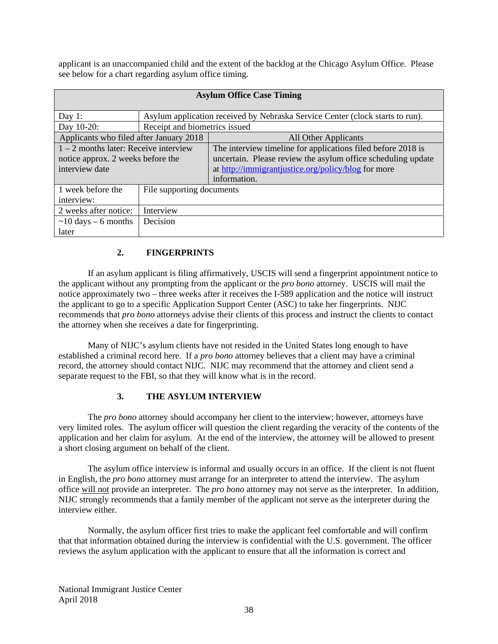applicant is an unaccompanied child and the extent of the backlog at the Chicago Asylum Office. Please see below for a chart regarding asylum office timing.

| <b>Asylum Office Case Timing</b>        |                                                                               |                                                              |  |  |
|-----------------------------------------|-------------------------------------------------------------------------------|--------------------------------------------------------------|--|--|
|                                         |                                                                               |                                                              |  |  |
| Day 1:                                  | Asylum application received by Nebraska Service Center (clock starts to run). |                                                              |  |  |
| Day 10-20:                              | Receipt and biometrics issued                                                 |                                                              |  |  |
| Applicants who filed after January 2018 |                                                                               | All Other Applicants                                         |  |  |
| $1 - 2$ months later: Receive interview |                                                                               | The interview timeline for applications filed before 2018 is |  |  |
| notice approx. 2 weeks before the       |                                                                               | uncertain. Please review the asylum office scheduling update |  |  |
| interview date                          |                                                                               | at http://immigrantjustice.org/policy/blog for more          |  |  |
|                                         |                                                                               | information.                                                 |  |  |
| 1 week before the                       | File supporting documents                                                     |                                                              |  |  |
| interview:                              |                                                                               |                                                              |  |  |
| 2 weeks after notice:                   | Interview                                                                     |                                                              |  |  |
| $\sim$ 10 days – 6 months               | Decision                                                                      |                                                              |  |  |
| later                                   |                                                                               |                                                              |  |  |

# **2. FINGERPRINTS**

If an asylum applicant is filing affirmatively, USCIS will send a fingerprint appointment notice to the applicant without any prompting from the applicant or the *pro bono* attorney. USCIS will mail the notice approximately two – three weeks after it receives the I-589 application and the notice will instruct the applicant to go to a specific Application Support Center (ASC) to take her fingerprints. NIJC recommends that *pro bono* attorneys advise their clients of this process and instruct the clients to contact the attorney when she receives a date for fingerprinting.

Many of NIJC's asylum clients have not resided in the United States long enough to have established a criminal record here. If a *pro bono* attorney believes that a client may have a criminal record, the attorney should contact NIJC. NIJC may recommend that the attorney and client send a separate request to the FBI, so that they will know what is in the record.

# **3. THE ASYLUM INTERVIEW**

The *pro bono* attorney should accompany her client to the interview; however, attorneys have very limited roles. The asylum officer will question the client regarding the veracity of the contents of the application and her claim for asylum. At the end of the interview, the attorney will be allowed to present a short closing argument on behalf of the client.

The asylum office interview is informal and usually occurs in an office. If the client is not fluent in English, the *pro bono* attorney must arrange for an interpreter to attend the interview. The asylum office will not provide an interpreter. The *pro bono* attorney may not serve as the interpreter. In addition, NIJC strongly recommends that a family member of the applicant not serve as the interpreter during the interview either.

Normally, the asylum officer first tries to make the applicant feel comfortable and will confirm that that information obtained during the interview is confidential with the U.S. government. The officer reviews the asylum application with the applicant to ensure that all the information is correct and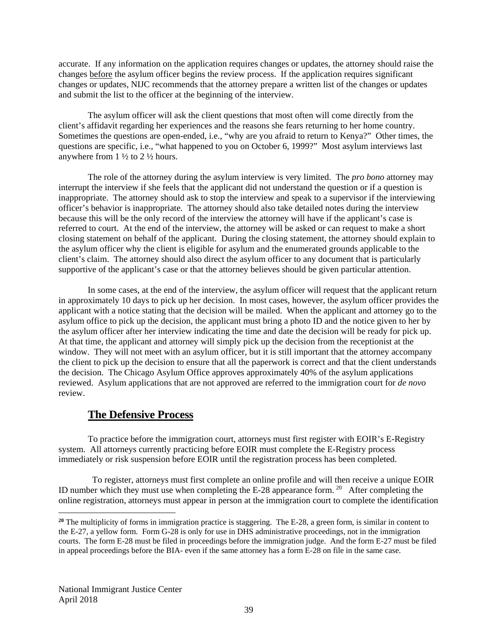accurate. If any information on the application requires changes or updates, the attorney should raise the changes before the asylum officer begins the review process. If the application requires significant changes or updates, NIJC recommends that the attorney prepare a written list of the changes or updates and submit the list to the officer at the beginning of the interview.

The asylum officer will ask the client questions that most often will come directly from the client's affidavit regarding her experiences and the reasons she fears returning to her home country. Sometimes the questions are open-ended, i.e., "why are you afraid to return to Kenya?" Other times, the questions are specific, i.e., "what happened to you on October 6, 1999?" Most asylum interviews last anywhere from  $1\frac{1}{2}$  to  $2\frac{1}{2}$  hours.

The role of the attorney during the asylum interview is very limited. The *pro bono* attorney may interrupt the interview if she feels that the applicant did not understand the question or if a question is inappropriate. The attorney should ask to stop the interview and speak to a supervisor if the interviewing officer's behavior is inappropriate. The attorney should also take detailed notes during the interview because this will be the only record of the interview the attorney will have if the applicant's case is referred to court. At the end of the interview, the attorney will be asked or can request to make a short closing statement on behalf of the applicant. During the closing statement, the attorney should explain to the asylum officer why the client is eligible for asylum and the enumerated grounds applicable to the client's claim. The attorney should also direct the asylum officer to any document that is particularly supportive of the applicant's case or that the attorney believes should be given particular attention.

In some cases, at the end of the interview, the asylum officer will request that the applicant return in approximately 10 days to pick up her decision. In most cases, however, the asylum officer provides the applicant with a notice stating that the decision will be mailed. When the applicant and attorney go to the asylum office to pick up the decision, the applicant must bring a photo ID and the notice given to her by the asylum officer after her interview indicating the time and date the decision will be ready for pick up. At that time, the applicant and attorney will simply pick up the decision from the receptionist at the window. They will not meet with an asylum officer, but it is still important that the attorney accompany the client to pick up the decision to ensure that all the paperwork is correct and that the client understands the decision. The Chicago Asylum Office approves approximately 40% of the asylum applications reviewed. Asylum applications that are not approved are referred to the immigration court for *de novo*  review.

# **The Defensive Process**

To practice before the immigration court, attorneys must first register with EOIR's E-Registry system. All attorneys currently practicing before EOIR must complete the E-Registry process immediately or risk suspension before EOIR until the registration process has been completed.

 To register, attorneys must first complete an online profile and will then receive a unique EOIR ID number which they must use when completing the E-28 appearance form. <sup>[20](#page-39-0)</sup> After completing the online registration, attorneys must appear in person at the immigration court to complete the identification

 $\overline{a}$ 

<span id="page-39-0"></span>**<sup>20</sup>** The multiplicity of forms in immigration practice is staggering. The E-28, a green form, is similar in content to the E-27, a yellow form. Form G-28 is only for use in DHS administrative proceedings, not in the immigration courts. The form E-28 must be filed in proceedings before the immigration judge. And the form E-27 must be filed in appeal proceedings before the BIA- even if the same attorney has a form E-28 on file in the same case.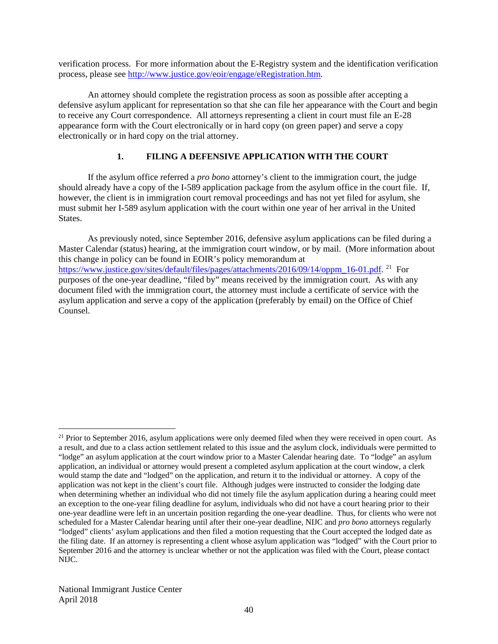verification process. For more information about the E-Registry system and the identification verification process, please see [http://www.justice.gov/eoir/engage/eRegistration.htm.](http://www.justice.gov/eoir/engage/eRegistration.htm)

An attorney should complete the registration process as soon as possible after accepting a defensive asylum applicant for representation so that she can file her appearance with the Court and begin to receive any Court correspondence. All attorneys representing a client in court must file an E-28 appearance form with the Court electronically or in hard copy (on green paper) and serve a copy electronically or in hard copy on the trial attorney.

# **1. FILING A DEFENSIVE APPLICATION WITH THE COURT**

If the asylum office referred a *pro bono* attorney's client to the immigration court, the judge should already have a copy of the I-589 application package from the asylum office in the court file. If, however, the client is in immigration court removal proceedings and has not yet filed for asylum, she must submit her I-589 asylum application with the court within one year of her arrival in the United States.

As previously noted, since September 2016, defensive asylum applications can be filed during a Master Calendar (status) hearing, at the immigration court window, or by mail. (More information about this change in policy can be found in EOIR's policy memorandum at [https://www.justice.gov/sites/default/files/pages/attachments/2016/09/14/oppm\\_16-01.pdf.](https://www.justice.gov/sites/default/files/pages/attachments/2016/09/14/oppm_16-01.pdf)<sup>21</sup> For purposes of the one-year deadline, "filed by" means received by the immigration court. As with any document filed with the immigration court, the attorney must include a certificate of service with the asylum application and serve a copy of the application (preferably by email) on the Office of Chief Counsel.

<span id="page-40-0"></span> $21$  Prior to September 2016, asylum applications were only deemed filed when they were received in open court. As a result, and due to a class action settlement related to this issue and the asylum clock, individuals were permitted to "lodge" an asylum application at the court window prior to a Master Calendar hearing date. To "lodge" an asylum application, an individual or attorney would present a completed asylum application at the court window, a clerk would stamp the date and "lodged" on the application, and return it to the individual or attorney. A copy of the application was not kept in the client's court file. Although judges were instructed to consider the lodging date when determining whether an individual who did not timely file the asylum application during a hearing could meet an exception to the one-year filing deadline for asylum, individuals who did not have a court hearing prior to their one-year deadline were left in an uncertain position regarding the one-year deadline. Thus, for clients who were not scheduled for a Master Calendar hearing until after their one-year deadline, NIJC and *pro bono* attorneys regularly "lodged" clients' asylum applications and then filed a motion requesting that the Court accepted the lodged date as the filing date. If an attorney is representing a client whose asylum application was "lodged" with the Court prior to September 2016 and the attorney is unclear whether or not the application was filed with the Court, please contact NIJC.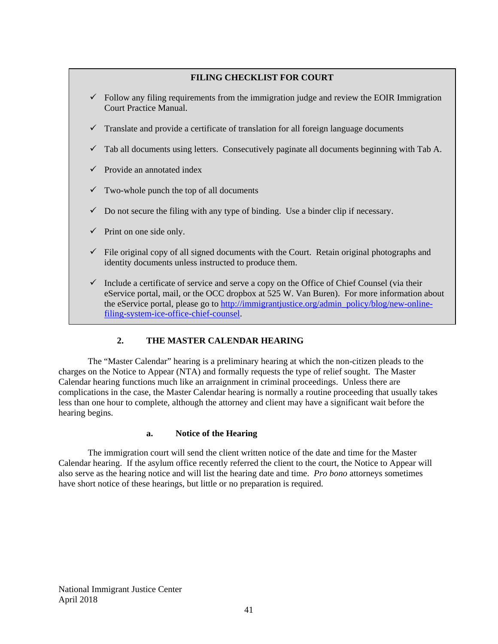### **FILING CHECKLIST FOR COURT**

- $\checkmark$  Follow any filing requirements from the immigration judge and review the EOIR Immigration Court Practice Manual.
- $\checkmark$  Translate and provide a certificate of translation for all foreign language documents
- $\checkmark$  Tab all documents using letters. Consecutively paginate all documents beginning with Tab A.
- $\checkmark$  Provide an annotated index
- $\checkmark$  Two-whole punch the top of all documents
- $\checkmark$  Do not secure the filing with any type of binding. Use a binder clip if necessary.
- $\checkmark$  Print on one side only.
- $\checkmark$  File original copy of all signed documents with the Court. Retain original photographs and identity documents unless instructed to produce them.
- $\checkmark$  Include a certificate of service and serve a copy on the Office of Chief Counsel (via their eService portal, mail, or the OCC dropbox at 525 W. Van Buren). For more information about the eService portal, please go to [http://immigrantjustice.org/admin\\_policy/blog/new-online](http://immigrantjustice.org/admin_policy/blog/new-online-filing-system-ice-office-chief-counsel)[filing-system-ice-office-chief-counsel.](http://immigrantjustice.org/admin_policy/blog/new-online-filing-system-ice-office-chief-counsel)

## **2. THE MASTER CALENDAR HEARING**

The "Master Calendar" hearing is a preliminary hearing at which the non-citizen pleads to the charges on the Notice to Appear (NTA) and formally requests the type of relief sought. The Master Calendar hearing functions much like an arraignment in criminal proceedings. Unless there are complications in the case, the Master Calendar hearing is normally a routine proceeding that usually takes less than one hour to complete, although the attorney and client may have a significant wait before the hearing begins.

### **a. Notice of the Hearing**

The immigration court will send the client written notice of the date and time for the Master Calendar hearing. If the asylum office recently referred the client to the court, the Notice to Appear will also serve as the hearing notice and will list the hearing date and time. *Pro bono* attorneys sometimes have short notice of these hearings, but little or no preparation is required.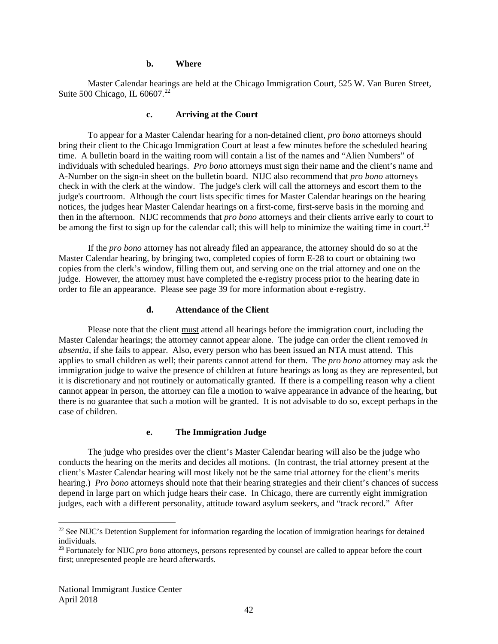#### **b. Where**

Master Calendar hearings are held at the Chicago Immigration Court, 525 W. Van Buren Street, Suite 500 Chicago, IL 60607.<sup>22</sup>

#### **c. Arriving at the Court**

To appear for a Master Calendar hearing for a non-detained client, *pro bono* attorneys should bring their client to the Chicago Immigration Court at least a few minutes before the scheduled hearing time. A bulletin board in the waiting room will contain a list of the names and "Alien Numbers" of individuals with scheduled hearings. *Pro bono* attorneys must sign their name and the client's name and A-Number on the sign-in sheet on the bulletin board. NIJC also recommend that *pro bono* attorneys check in with the clerk at the window. The judge's clerk will call the attorneys and escort them to the judge's courtroom. Although the court lists specific times for Master Calendar hearings on the hearing notices, the judges hear Master Calendar hearings on a first-come, first-serve basis in the morning and then in the afternoon. NIJC recommends that *pro bono* attorneys and their clients arrive early to court to be among the first to sign up for the calendar call; this will help to minimize the waiting time in court.<sup>[23](#page-42-1)</sup>

If the *pro bono* attorney has not already filed an appearance, the attorney should do so at the Master Calendar hearing, by bringing two, completed copies of form E-28 to court or obtaining two copies from the clerk's window, filling them out, and serving one on the trial attorney and one on the judge. However, the attorney must have completed the e-registry process prior to the hearing date in order to file an appearance. Please see page 39 for more information about e-registry.

#### **d. Attendance of the Client**

Please note that the client must attend all hearings before the immigration court, including the Master Calendar hearings; the attorney cannot appear alone. The judge can order the client removed *in absentia*, if she fails to appear. Also, every person who has been issued an NTA must attend. This applies to small children as well; their parents cannot attend for them. The *pro bono* attorney may ask the immigration judge to waive the presence of children at future hearings as long as they are represented, but it is discretionary and not routinely or automatically granted. If there is a compelling reason why a client cannot appear in person, the attorney can file a motion to waive appearance in advance of the hearing, but there is no guarantee that such a motion will be granted. It is not advisable to do so, except perhaps in the case of children.

#### **e. The Immigration Judge**

The judge who presides over the client's Master Calendar hearing will also be the judge who conducts the hearing on the merits and decides all motions. (In contrast, the trial attorney present at the client's Master Calendar hearing will most likely not be the same trial attorney for the client's merits hearing.) *Pro bono* attorneys should note that their hearing strategies and their client's chances of success depend in large part on which judge hears their case. In Chicago, there are currently eight immigration judges, each with a different personality, attitude toward asylum seekers, and "track record." After

<span id="page-42-0"></span><sup>&</sup>lt;sup>22</sup> See NIJC's Detention Supplement for information regarding the location of immigration hearings for detained individuals.

<span id="page-42-1"></span>**<sup>23</sup>** Fortunately for NIJC *pro bono* attorneys, persons represented by counsel are called to appear before the court first; unrepresented people are heard afterwards.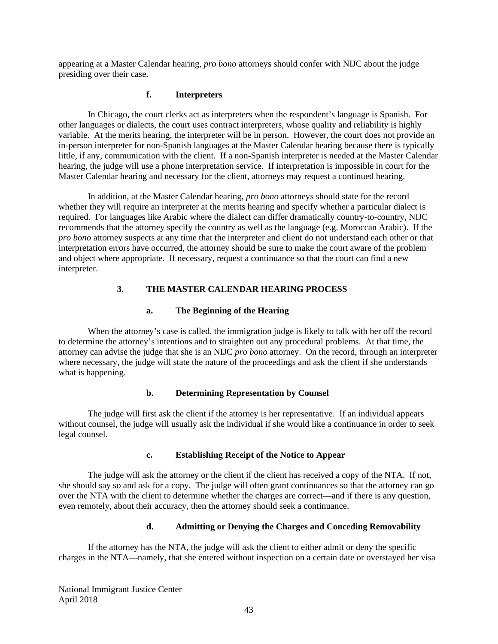appearing at a Master Calendar hearing, *pro bono* attorneys should confer with NIJC about the judge presiding over their case.

### **f. Interpreters**

In Chicago, the court clerks act as interpreters when the respondent's language is Spanish. For other languages or dialects, the court uses contract interpreters, whose quality and reliability is highly variable. At the merits hearing, the interpreter will be in person. However, the court does not provide an in-person interpreter for non-Spanish languages at the Master Calendar hearing because there is typically little, if any, communication with the client. If a non-Spanish interpreter is needed at the Master Calendar hearing, the judge will use a phone interpretation service. If interpretation is impossible in court for the Master Calendar hearing and necessary for the client, attorneys may request a continued hearing.

In addition, at the Master Calendar hearing, *pro bono* attorneys should state for the record whether they will require an interpreter at the merits hearing and specify whether a particular dialect is required. For languages like Arabic where the dialect can differ dramatically country-to-country, NIJC recommends that the attorney specify the country as well as the language (e.g. Moroccan Arabic). If the *pro bono* attorney suspects at any time that the interpreter and client do not understand each other or that interpretation errors have occurred, the attorney should be sure to make the court aware of the problem and object where appropriate. If necessary, request a continuance so that the court can find a new interpreter.

### **3. THE MASTER CALENDAR HEARING PROCESS**

### **a. The Beginning of the Hearing**

When the attorney's case is called, the immigration judge is likely to talk with her off the record to determine the attorney's intentions and to straighten out any procedural problems. At that time, the attorney can advise the judge that she is an NIJC *pro bono* attorney. On the record, through an interpreter where necessary, the judge will state the nature of the proceedings and ask the client if she understands what is happening.

### **b. Determining Representation by Counsel**

The judge will first ask the client if the attorney is her representative. If an individual appears without counsel, the judge will usually ask the individual if she would like a continuance in order to seek legal counsel.

### **c. Establishing Receipt of the Notice to Appear**

The judge will ask the attorney or the client if the client has received a copy of the NTA. If not, she should say so and ask for a copy. The judge will often grant continuances so that the attorney can go over the NTA with the client to determine whether the charges are correct—and if there is any question, even remotely, about their accuracy, then the attorney should seek a continuance.

### **d. Admitting or Denying the Charges and Conceding Removability**

If the attorney has the NTA, the judge will ask the client to either admit or deny the specific charges in the NTA—namely, that she entered without inspection on a certain date or overstayed her visa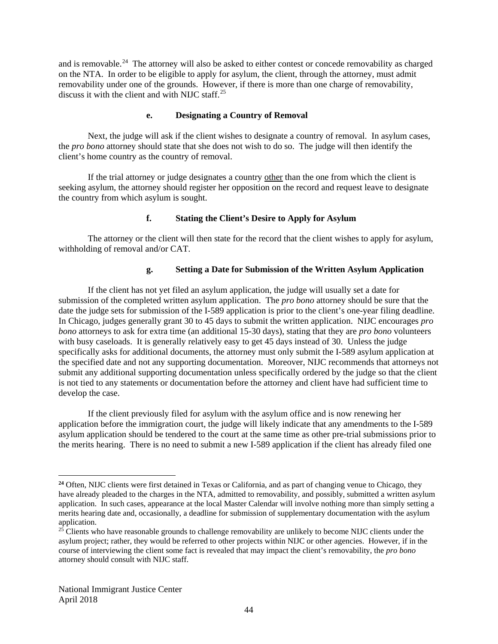and is removable.<sup>[24](#page-44-0)</sup> The attorney will also be asked to either contest or concede removability as charged on the NTA. In order to be eligible to apply for asylum, the client, through the attorney, must admit removability under one of the grounds. However, if there is more than one charge of removability, discuss it with the client and with NIJC staff.<sup>[25](#page-44-1)</sup>

#### **e. Designating a Country of Removal**

Next, the judge will ask if the client wishes to designate a country of removal. In asylum cases, the *pro bono* attorney should state that she does not wish to do so. The judge will then identify the client's home country as the country of removal.

If the trial attorney or judge designates a country other than the one from which the client is seeking asylum, the attorney should register her opposition on the record and request leave to designate the country from which asylum is sought.

### **f. Stating the Client's Desire to Apply for Asylum**

The attorney or the client will then state for the record that the client wishes to apply for asylum, withholding of removal and/or CAT.

### **g. Setting a Date for Submission of the Written Asylum Application**

If the client has not yet filed an asylum application, the judge will usually set a date for submission of the completed written asylum application. The *pro bono* attorney should be sure that the date the judge sets for submission of the I-589 application is prior to the client's one-year filing deadline. In Chicago, judges generally grant 30 to 45 days to submit the written application. NIJC encourages *pro bono* attorneys to ask for extra time (an additional 15-30 days), stating that they are *pro bono* volunteers with busy caseloads. It is generally relatively easy to get 45 days instead of 30. Unless the judge specifically asks for additional documents, the attorney must only submit the I-589 asylum application at the specified date and not any supporting documentation. Moreover, NIJC recommends that attorneys not submit any additional supporting documentation unless specifically ordered by the judge so that the client is not tied to any statements or documentation before the attorney and client have had sufficient time to develop the case.

If the client previously filed for asylum with the asylum office and is now renewing her application before the immigration court, the judge will likely indicate that any amendments to the I-589 asylum application should be tendered to the court at the same time as other pre-trial submissions prior to the merits hearing. There is no need to submit a new I-589 application if the client has already filed one

 $\overline{a}$ 

<span id="page-44-0"></span>**<sup>24</sup>** Often, NIJC clients were first detained in Texas or California, and as part of changing venue to Chicago, they have already pleaded to the charges in the NTA, admitted to removability, and possibly, submitted a written asylum application. In such cases, appearance at the local Master Calendar will involve nothing more than simply setting a merits hearing date and, occasionally, a deadline for submission of supplementary documentation with the asylum application.

<span id="page-44-1"></span><sup>&</sup>lt;sup>25</sup> Clients who have reasonable grounds to challenge removability are unlikely to become NIJC clients under the asylum project; rather, they would be referred to other projects within NIJC or other agencies. However, if in the course of interviewing the client some fact is revealed that may impact the client's removability, the *pro bono* attorney should consult with NIJC staff.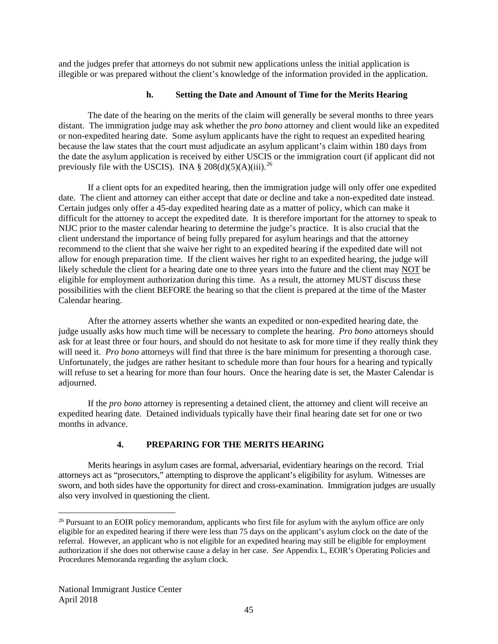and the judges prefer that attorneys do not submit new applications unless the initial application is illegible or was prepared without the client's knowledge of the information provided in the application.

### **h. Setting the Date and Amount of Time for the Merits Hearing**

The date of the hearing on the merits of the claim will generally be several months to three years distant. The immigration judge may ask whether the *pro bono* attorney and client would like an expedited or non-expedited hearing date. Some asylum applicants have the right to request an expedited hearing because the law states that the court must adjudicate an asylum applicant's claim within 180 days from the date the asylum application is received by either USCIS or the immigration court (if applicant did not previously file with the USCIS). INA  $\S 208(d)(5)(A)(iii)$ .<sup>26</sup>

If a client opts for an expedited hearing, then the immigration judge will only offer one expedited date. The client and attorney can either accept that date or decline and take a non-expedited date instead. Certain judges only offer a 45-day expedited hearing date as a matter of policy, which can make it difficult for the attorney to accept the expedited date. It is therefore important for the attorney to speak to NIJC prior to the master calendar hearing to determine the judge's practice. It is also crucial that the client understand the importance of being fully prepared for asylum hearings and that the attorney recommend to the client that she waive her right to an expedited hearing if the expedited date will not allow for enough preparation time. If the client waives her right to an expedited hearing, the judge will likely schedule the client for a hearing date one to three years into the future and the client may NOT be eligible for employment authorization during this time. As a result, the attorney MUST discuss these possibilities with the client BEFORE the hearing so that the client is prepared at the time of the Master Calendar hearing.

After the attorney asserts whether she wants an expedited or non-expedited hearing date, the judge usually asks how much time will be necessary to complete the hearing. *Pro bono* attorneys should ask for at least three or four hours, and should do not hesitate to ask for more time if they really think they will need it. *Pro bono* attorneys will find that three is the bare minimum for presenting a thorough case. Unfortunately, the judges are rather hesitant to schedule more than four hours for a hearing and typically will refuse to set a hearing for more than four hours. Once the hearing date is set, the Master Calendar is adjourned.

If the *pro bono* attorney is representing a detained client, the attorney and client will receive an expedited hearing date. Detained individuals typically have their final hearing date set for one or two months in advance.

# **4. PREPARING FOR THE MERITS HEARING**

Merits hearings in asylum cases are formal, adversarial, evidentiary hearings on the record. Trial attorneys act as "prosecutors," attempting to disprove the applicant's eligibility for asylum. Witnesses are sworn, and both sides have the opportunity for direct and cross-examination. Immigration judges are usually also very involved in questioning the client.

<span id="page-45-0"></span><sup>&</sup>lt;sup>26</sup> Pursuant to an EOIR policy memorandum, applicants who first file for asylum with the asylum office are only eligible for an expedited hearing if there were less than 75 days on the applicant's asylum clock on the date of the referral. However, an applicant who is not eligible for an expedited hearing may still be eligible for employment authorization if she does not otherwise cause a delay in her case. *See* Appendix L, EOIR's Operating Policies and Procedures Memoranda regarding the asylum clock.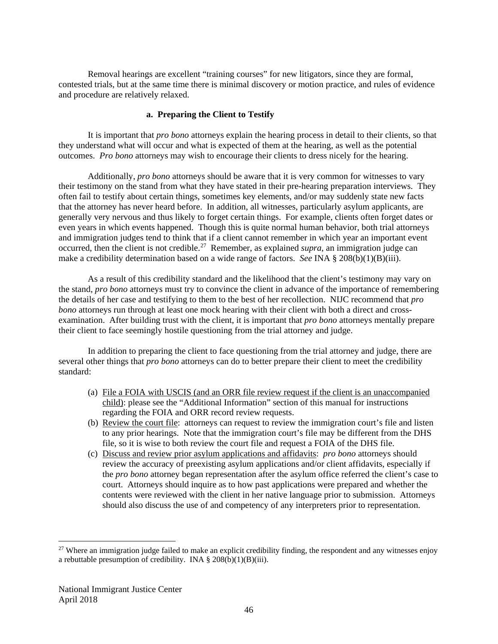Removal hearings are excellent "training courses" for new litigators, since they are formal, contested trials, but at the same time there is minimal discovery or motion practice, and rules of evidence and procedure are relatively relaxed.

### **a. Preparing the Client to Testify**

It is important that *pro bono* attorneys explain the hearing process in detail to their clients, so that they understand what will occur and what is expected of them at the hearing, as well as the potential outcomes. *Pro bono* attorneys may wish to encourage their clients to dress nicely for the hearing.

Additionally, *pro bono* attorneys should be aware that it is very common for witnesses to vary their testimony on the stand from what they have stated in their pre-hearing preparation interviews. They often fail to testify about certain things, sometimes key elements, and/or may suddenly state new facts that the attorney has never heard before. In addition, all witnesses, particularly asylum applicants, are generally very nervous and thus likely to forget certain things. For example, clients often forget dates or even years in which events happened. Though this is quite normal human behavior, both trial attorneys and immigration judges tend to think that if a client cannot remember in which year an important event occurred, then the client is not credible.<sup>27</sup> Remember, as explained *supra*, an immigration judge can make a credibility determination based on a wide range of factors. *See* INA § 208(b)(1)(B)(iii).

As a result of this credibility standard and the likelihood that the client's testimony may vary on the stand, *pro bono* attorneys must try to convince the client in advance of the importance of remembering the details of her case and testifying to them to the best of her recollection. NIJC recommend that *pro bono* attorneys run through at least one mock hearing with their client with both a direct and crossexamination. After building trust with the client, it is important that *pro bono* attorneys mentally prepare their client to face seemingly hostile questioning from the trial attorney and judge.

In addition to preparing the client to face questioning from the trial attorney and judge, there are several other things that *pro bono* attorneys can do to better prepare their client to meet the credibility standard:

- (a) File a FOIA with USCIS (and an ORR file review request if the client is an unaccompanied child): please see the "Additional Information" section of this manual for instructions regarding the FOIA and ORR record review requests.
- (b) Review the court file: attorneys can request to review the immigration court's file and listen to any prior hearings. Note that the immigration court's file may be different from the DHS file, so it is wise to both review the court file and request a FOIA of the DHS file.
- (c) Discuss and review prior asylum applications and affidavits: *pro bono* attorneys should review the accuracy of preexisting asylum applications and/or client affidavits, especially if the *pro bono* attorney began representation after the asylum office referred the client's case to court. Attorneys should inquire as to how past applications were prepared and whether the contents were reviewed with the client in her native language prior to submission. Attorneys should also discuss the use of and competency of any interpreters prior to representation.

<span id="page-46-0"></span> $27$  Where an immigration judge failed to make an explicit credibility finding, the respondent and any witnesses enjoy a rebuttable presumption of credibility. INA  $\S 208(b)(1)(B)(iii)$ .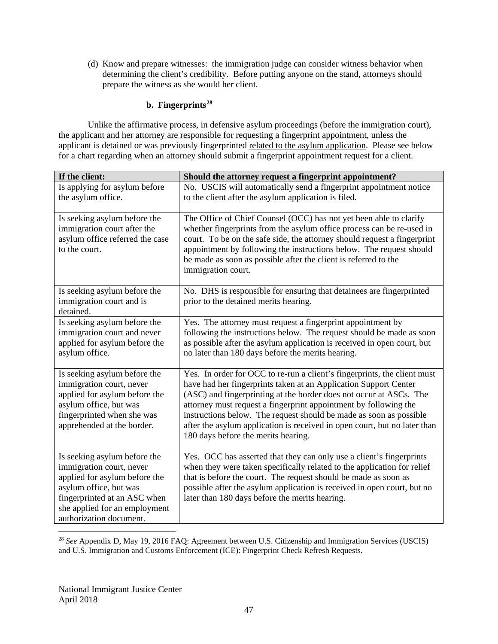(d) Know and prepare witnesses: the immigration judge can consider witness behavior when determining the client's credibility. Before putting anyone on the stand, attorneys should prepare the witness as she would her client.

# **b. Fingerprints[28](#page-47-0)**

Unlike the affirmative process, in defensive asylum proceedings (before the immigration court), the applicant and her attorney are responsible for requesting a fingerprint appointment, unless the applicant is detained or was previously fingerprinted related to the asylum application. Please see below for a chart regarding when an attorney should submit a fingerprint appointment request for a client.

| If the client:                                                                                                                                                                                                  | Should the attorney request a fingerprint appointment?                                                                                                                                                                                                                                                                                                                                                                                                                           |
|-----------------------------------------------------------------------------------------------------------------------------------------------------------------------------------------------------------------|----------------------------------------------------------------------------------------------------------------------------------------------------------------------------------------------------------------------------------------------------------------------------------------------------------------------------------------------------------------------------------------------------------------------------------------------------------------------------------|
| Is applying for asylum before<br>the asylum office.                                                                                                                                                             | No. USCIS will automatically send a fingerprint appointment notice<br>to the client after the asylum application is filed.                                                                                                                                                                                                                                                                                                                                                       |
| Is seeking asylum before the<br>immigration court after the<br>asylum office referred the case<br>to the court.                                                                                                 | The Office of Chief Counsel (OCC) has not yet been able to clarify<br>whether fingerprints from the asylum office process can be re-used in<br>court. To be on the safe side, the attorney should request a fingerprint<br>appointment by following the instructions below. The request should<br>be made as soon as possible after the client is referred to the<br>immigration court.                                                                                          |
| Is seeking asylum before the<br>immigration court and is<br>detained.                                                                                                                                           | No. DHS is responsible for ensuring that detainees are fingerprinted<br>prior to the detained merits hearing.                                                                                                                                                                                                                                                                                                                                                                    |
| Is seeking asylum before the<br>immigration court and never<br>applied for asylum before the<br>asylum office.                                                                                                  | Yes. The attorney must request a fingerprint appointment by<br>following the instructions below. The request should be made as soon<br>as possible after the asylum application is received in open court, but<br>no later than 180 days before the merits hearing.                                                                                                                                                                                                              |
| Is seeking asylum before the<br>immigration court, never<br>applied for asylum before the<br>asylum office, but was<br>fingerprinted when she was<br>apprehended at the border.                                 | Yes. In order for OCC to re-run a client's fingerprints, the client must<br>have had her fingerprints taken at an Application Support Center<br>(ASC) and fingerprinting at the border does not occur at ASCs. The<br>attorney must request a fingerprint appointment by following the<br>instructions below. The request should be made as soon as possible<br>after the asylum application is received in open court, but no later than<br>180 days before the merits hearing. |
| Is seeking asylum before the<br>immigration court, never<br>applied for asylum before the<br>asylum office, but was<br>fingerprinted at an ASC when<br>she applied for an employment<br>authorization document. | Yes. OCC has asserted that they can only use a client's fingerprints<br>when they were taken specifically related to the application for relief<br>that is before the court. The request should be made as soon as<br>possible after the asylum application is received in open court, but no<br>later than 180 days before the merits hearing.                                                                                                                                  |

<span id="page-47-0"></span> 28 *See* Appendix D, May 19, 2016 FAQ: Agreement between U.S. Citizenship and Immigration Services (USCIS) and U.S. Immigration and Customs Enforcement (ICE): Fingerprint Check Refresh Requests.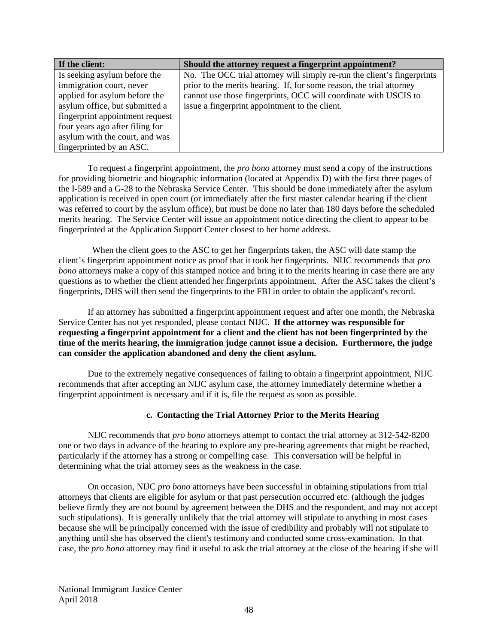| If the client:                  | Should the attorney request a fingerprint appointment?                  |
|---------------------------------|-------------------------------------------------------------------------|
| Is seeking asylum before the    | No. The OCC trial attorney will simply re-run the client's fingerprints |
| immigration court, never        | prior to the merits hearing. If, for some reason, the trial attorney    |
| applied for asylum before the   | cannot use those fingerprints, OCC will coordinate with USCIS to        |
| asylum office, but submitted a  | issue a fingerprint appointment to the client.                          |
| fingerprint appointment request |                                                                         |
| four years ago after filing for |                                                                         |
| asylum with the court, and was  |                                                                         |
| fingerprinted by an ASC.        |                                                                         |

To request a fingerprint appointment, the *pro bono* attorney must send a copy of the instructions for providing biometric and biographic information (located at Appendix D) with the first three pages of the I-589 and a G-28 to the Nebraska Service Center. This should be done immediately after the asylum application is received in open court (or immediately after the first master calendar hearing if the client was referred to court by the asylum office), but must be done no later than 180 days before the scheduled merits hearing. The Service Center will issue an appointment notice directing the client to appear to be fingerprinted at the Application Support Center closest to her home address.

 When the client goes to the ASC to get her fingerprints taken, the ASC will date stamp the client's fingerprint appointment notice as proof that it took her fingerprints. NIJC recommends that *pro bono* attorneys make a copy of this stamped notice and bring it to the merits hearing in case there are any questions as to whether the client attended her fingerprints appointment. After the ASC takes the client's fingerprints, DHS will then send the fingerprints to the FBI in order to obtain the applicant's record.

If an attorney has submitted a fingerprint appointment request and after one month, the Nebraska Service Center has not yet responded, please contact NIJC. **If the attorney was responsible for requesting a fingerprint appointment for a client and the client has not been fingerprinted by the time of the merits hearing, the immigration judge cannot issue a decision. Furthermore, the judge can consider the application abandoned and deny the client asylum.**

Due to the extremely negative consequences of failing to obtain a fingerprint appointment, NIJC recommends that after accepting an NIJC asylum case, the attorney immediately determine whether a fingerprint appointment is necessary and if it is, file the request as soon as possible.

### **c. Contacting the Trial Attorney Prior to the Merits Hearing**

NIJC recommends that *pro bono* attorneys attempt to contact the trial attorney at 312-542-8200 one or two days in advance of the hearing to explore any pre-hearing agreements that might be reached, particularly if the attorney has a strong or compelling case. This conversation will be helpful in determining what the trial attorney sees as the weakness in the case.

On occasion, NIJC *pro bono* attorneys have been successful in obtaining stipulations from trial attorneys that clients are eligible for asylum or that past persecution occurred etc. (although the judges believe firmly they are not bound by agreement between the DHS and the respondent, and may not accept such stipulations). It is generally unlikely that the trial attorney will stipulate to anything in most cases because she will be principally concerned with the issue of credibility and probably will not stipulate to anything until she has observed the client's testimony and conducted some cross-examination. In that case, the *pro bono* attorney may find it useful to ask the trial attorney at the close of the hearing if she will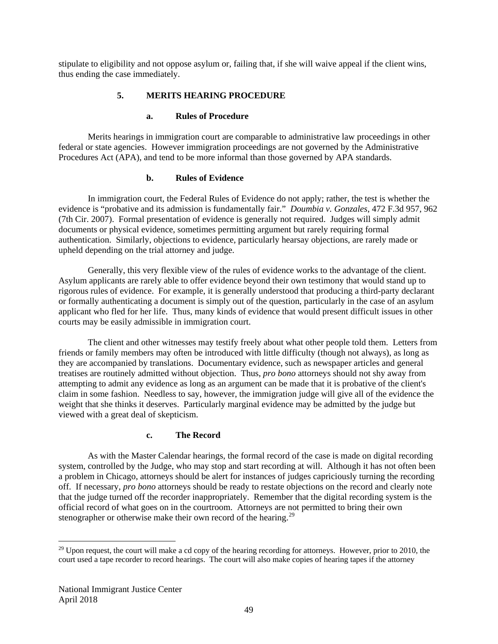stipulate to eligibility and not oppose asylum or, failing that, if she will waive appeal if the client wins, thus ending the case immediately.

## **5. MERITS HEARING PROCEDURE**

### **a. Rules of Procedure**

Merits hearings in immigration court are comparable to administrative law proceedings in other federal or state agencies. However immigration proceedings are not governed by the Administrative Procedures Act (APA), and tend to be more informal than those governed by APA standards.

### **b. Rules of Evidence**

In immigration court, the Federal Rules of Evidence do not apply; rather, the test is whether the evidence is "probative and its admission is fundamentally fair." *Doumbia v. Gonzales*, 472 F.3d 957, 962 (7th Cir. 2007). Formal presentation of evidence is generally not required. Judges will simply admit documents or physical evidence, sometimes permitting argument but rarely requiring formal authentication. Similarly, objections to evidence, particularly hearsay objections, are rarely made or upheld depending on the trial attorney and judge.

Generally, this very flexible view of the rules of evidence works to the advantage of the client. Asylum applicants are rarely able to offer evidence beyond their own testimony that would stand up to rigorous rules of evidence. For example, it is generally understood that producing a third-party declarant or formally authenticating a document is simply out of the question, particularly in the case of an asylum applicant who fled for her life. Thus, many kinds of evidence that would present difficult issues in other courts may be easily admissible in immigration court.

The client and other witnesses may testify freely about what other people told them. Letters from friends or family members may often be introduced with little difficulty (though not always), as long as they are accompanied by translations. Documentary evidence, such as newspaper articles and general treatises are routinely admitted without objection. Thus, *pro bono* attorneys should not shy away from attempting to admit any evidence as long as an argument can be made that it is probative of the client's claim in some fashion. Needless to say, however, the immigration judge will give all of the evidence the weight that she thinks it deserves. Particularly marginal evidence may be admitted by the judge but viewed with a great deal of skepticism.

### **c. The Record**

As with the Master Calendar hearings, the formal record of the case is made on digital recording system, controlled by the Judge, who may stop and start recording at will. Although it has not often been a problem in Chicago, attorneys should be alert for instances of judges capriciously turning the recording off. If necessary, *pro bono* attorneys should be ready to restate objections on the record and clearly note that the judge turned off the recorder inappropriately. Remember that the digital recording system is the official record of what goes on in the courtroom. Attorneys are not permitted to bring their own stenographer or otherwise make their own record of the hearing.<sup>[29](#page-49-0)</sup>

<span id="page-49-0"></span><sup>&</sup>lt;sup>29</sup> Upon request, the court will make a cd copy of the hearing recording for attorneys. However, prior to 2010, the court used a tape recorder to record hearings. The court will also make copies of hearing tapes if the attorney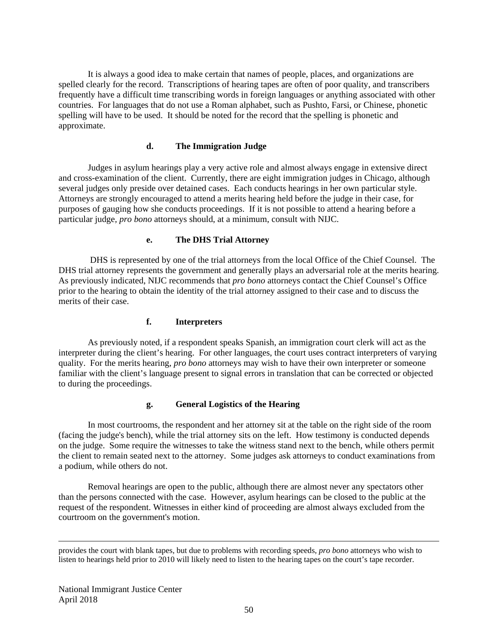It is always a good idea to make certain that names of people, places, and organizations are spelled clearly for the record. Transcriptions of hearing tapes are often of poor quality, and transcribers frequently have a difficult time transcribing words in foreign languages or anything associated with other countries. For languages that do not use a Roman alphabet, such as Pushto, Farsi, or Chinese, phonetic spelling will have to be used. It should be noted for the record that the spelling is phonetic and approximate.

### **d. The Immigration Judge**

Judges in asylum hearings play a very active role and almost always engage in extensive direct and cross-examination of the client. Currently, there are eight immigration judges in Chicago, although several judges only preside over detained cases. Each conducts hearings in her own particular style. Attorneys are strongly encouraged to attend a merits hearing held before the judge in their case, for purposes of gauging how she conducts proceedings. If it is not possible to attend a hearing before a particular judge*, pro bono* attorneys should, at a minimum, consult with NIJC.

#### **e. The DHS Trial Attorney**

DHS is represented by one of the trial attorneys from the local Office of the Chief Counsel. The DHS trial attorney represents the government and generally plays an adversarial role at the merits hearing. As previously indicated, NIJC recommends that *pro bono* attorneys contact the Chief Counsel's Office prior to the hearing to obtain the identity of the trial attorney assigned to their case and to discuss the merits of their case.

# **f. Interpreters**

As previously noted, if a respondent speaks Spanish, an immigration court clerk will act as the interpreter during the client's hearing. For other languages, the court uses contract interpreters of varying quality. For the merits hearing, *pro bono* attorneys may wish to have their own interpreter or someone familiar with the client's language present to signal errors in translation that can be corrected or objected to during the proceedings.

### **g. General Logistics of the Hearing**

In most courtrooms, the respondent and her attorney sit at the table on the right side of the room (facing the judge's bench), while the trial attorney sits on the left. How testimony is conducted depends on the judge. Some require the witnesses to take the witness stand next to the bench, while others permit the client to remain seated next to the attorney. Some judges ask attorneys to conduct examinations from a podium, while others do not.

Removal hearings are open to the public, although there are almost never any spectators other than the persons connected with the case. However, asylum hearings can be closed to the public at the request of the respondent. Witnesses in either kind of proceeding are almost always excluded from the courtroom on the government's motion.

provides the court with blank tapes, but due to problems with recording speeds, *pro bono* attorneys who wish to listen to hearings held prior to 2010 will likely need to listen to the hearing tapes on the court's tape recorder.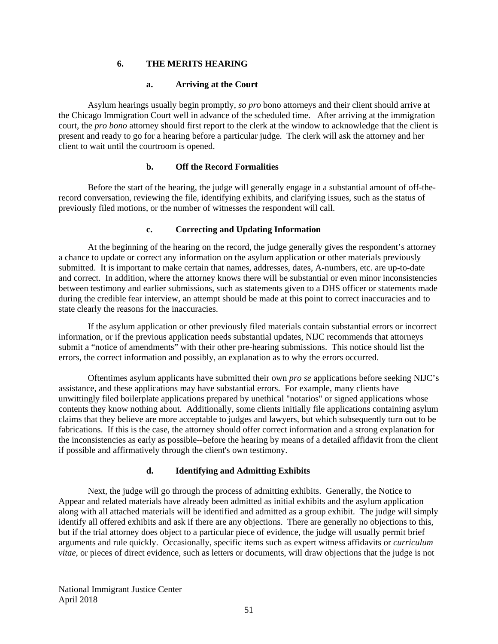#### **6. THE MERITS HEARING**

#### **a. Arriving at the Court**

Asylum hearings usually begin promptly, *so pro* bono attorneys and their client should arrive at the Chicago Immigration Court well in advance of the scheduled time. After arriving at the immigration court, the *pro bono* attorney should first report to the clerk at the window to acknowledge that the client is present and ready to go for a hearing before a particular judge. The clerk will ask the attorney and her client to wait until the courtroom is opened.

#### **b. Off the Record Formalities**

Before the start of the hearing, the judge will generally engage in a substantial amount of off-therecord conversation, reviewing the file, identifying exhibits, and clarifying issues, such as the status of previously filed motions, or the number of witnesses the respondent will call.

#### **c. Correcting and Updating Information**

At the beginning of the hearing on the record, the judge generally gives the respondent's attorney a chance to update or correct any information on the asylum application or other materials previously submitted. It is important to make certain that names, addresses, dates, A-numbers, etc. are up-to-date and correct. In addition, where the attorney knows there will be substantial or even minor inconsistencies between testimony and earlier submissions, such as statements given to a DHS officer or statements made during the credible fear interview, an attempt should be made at this point to correct inaccuracies and to state clearly the reasons for the inaccuracies.

If the asylum application or other previously filed materials contain substantial errors or incorrect information, or if the previous application needs substantial updates, NIJC recommends that attorneys submit a "notice of amendments" with their other pre-hearing submissions. This notice should list the errors, the correct information and possibly, an explanation as to why the errors occurred.

Oftentimes asylum applicants have submitted their own *pro se* applications before seeking NIJC's assistance, and these applications may have substantial errors. For example, many clients have unwittingly filed boilerplate applications prepared by unethical "notarios" or signed applications whose contents they know nothing about. Additionally, some clients initially file applications containing asylum claims that they believe are more acceptable to judges and lawyers, but which subsequently turn out to be fabrications. If this is the case, the attorney should offer correct information and a strong explanation for the inconsistencies as early as possible--before the hearing by means of a detailed affidavit from the client if possible and affirmatively through the client's own testimony.

### **d. Identifying and Admitting Exhibits**

Next, the judge will go through the process of admitting exhibits. Generally, the Notice to Appear and related materials have already been admitted as initial exhibits and the asylum application along with all attached materials will be identified and admitted as a group exhibit. The judge will simply identify all offered exhibits and ask if there are any objections. There are generally no objections to this, but if the trial attorney does object to a particular piece of evidence, the judge will usually permit brief arguments and rule quickly. Occasionally, specific items such as expert witness affidavits or *curriculum vitae*, or pieces of direct evidence, such as letters or documents, will draw objections that the judge is not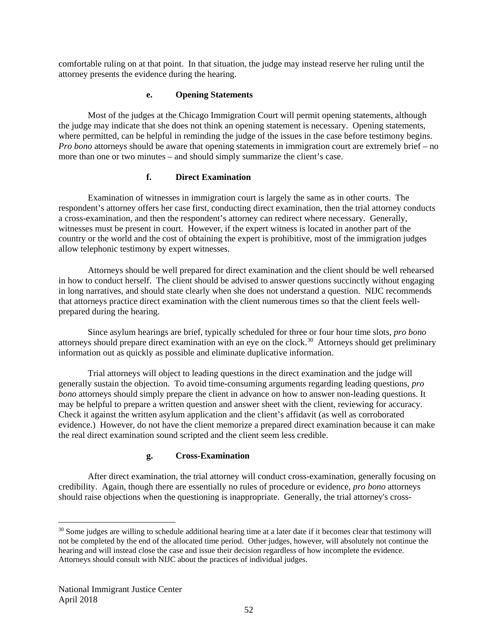comfortable ruling on at that point. In that situation, the judge may instead reserve her ruling until the attorney presents the evidence during the hearing.

### **e. Opening Statements**

Most of the judges at the Chicago Immigration Court will permit opening statements, although the judge may indicate that she does not think an opening statement is necessary. Opening statements, where permitted, can be helpful in reminding the judge of the issues in the case before testimony begins. *Pro bono* attorneys should be aware that opening statements in immigration court are extremely brief – no more than one or two minutes – and should simply summarize the client's case.

## **f. Direct Examination**

Examination of witnesses in immigration court is largely the same as in other courts. The respondent's attorney offers her case first, conducting direct examination, then the trial attorney conducts a cross-examination, and then the respondent's attorney can redirect where necessary. Generally, witnesses must be present in court. However, if the expert witness is located in another part of the country or the world and the cost of obtaining the expert is prohibitive, most of the immigration judges allow telephonic testimony by expert witnesses.

Attorneys should be well prepared for direct examination and the client should be well rehearsed in how to conduct herself. The client should be advised to answer questions succinctly without engaging in long narratives, and should state clearly when she does not understand a question. NIJC recommends that attorneys practice direct examination with the client numerous times so that the client feels wellprepared during the hearing.

Since asylum hearings are brief, typically scheduled for three or four hour time slots, *pro bono*  attorneys should prepare direct examination with an eye on the clock.<sup>[30](#page-52-0)</sup> Attorneys should get preliminary information out as quickly as possible and eliminate duplicative information.

Trial attorneys will object to leading questions in the direct examination and the judge will generally sustain the objection. To avoid time-consuming arguments regarding leading questions, *pro bono* attorneys should simply prepare the client in advance on how to answer non-leading questions. It may be helpful to prepare a written question and answer sheet with the client, reviewing for accuracy. Check it against the written asylum application and the client's affidavit (as well as corroborated evidence.) However, do not have the client memorize a prepared direct examination because it can make the real direct examination sound scripted and the client seem less credible.

## **g. Cross-Examination**

After direct examination, the trial attorney will conduct cross-examination, generally focusing on credibility. Again, though there are essentially no rules of procedure or evidence, *pro bono* attorneys should raise objections when the questioning is inappropriate. Generally, the trial attorney's cross-

<span id="page-52-0"></span><sup>&</sup>lt;sup>30</sup> Some judges are willing to schedule additional hearing time at a later date if it becomes clear that testimony will not be completed by the end of the allocated time period. Other judges, however, will absolutely not continue the hearing and will instead close the case and issue their decision regardless of how incomplete the evidence. Attorneys should consult with NIJC about the practices of individual judges.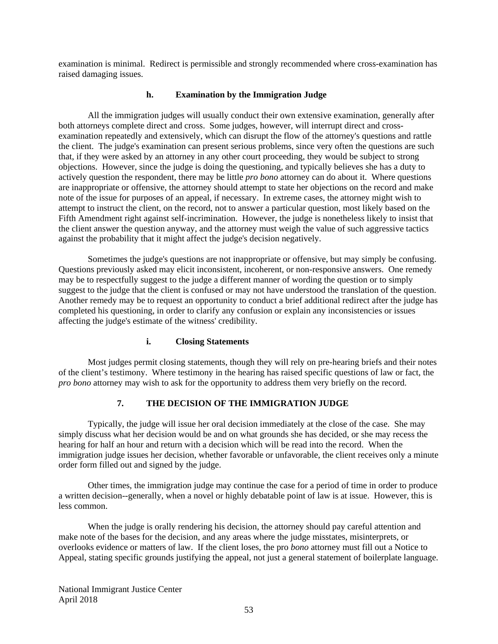examination is minimal. Redirect is permissible and strongly recommended where cross-examination has raised damaging issues.

#### **h. Examination by the Immigration Judge**

All the immigration judges will usually conduct their own extensive examination, generally after both attorneys complete direct and cross. Some judges, however, will interrupt direct and crossexamination repeatedly and extensively, which can disrupt the flow of the attorney's questions and rattle the client. The judge's examination can present serious problems, since very often the questions are such that, if they were asked by an attorney in any other court proceeding, they would be subject to strong objections. However, since the judge is doing the questioning, and typically believes she has a duty to actively question the respondent, there may be little *pro bono* attorney can do about it. Where questions are inappropriate or offensive, the attorney should attempt to state her objections on the record and make note of the issue for purposes of an appeal, if necessary. In extreme cases, the attorney might wish to attempt to instruct the client, on the record, not to answer a particular question, most likely based on the Fifth Amendment right against self-incrimination. However, the judge is nonetheless likely to insist that the client answer the question anyway, and the attorney must weigh the value of such aggressive tactics against the probability that it might affect the judge's decision negatively.

Sometimes the judge's questions are not inappropriate or offensive, but may simply be confusing. Questions previously asked may elicit inconsistent, incoherent, or non-responsive answers. One remedy may be to respectfully suggest to the judge a different manner of wording the question or to simply suggest to the judge that the client is confused or may not have understood the translation of the question. Another remedy may be to request an opportunity to conduct a brief additional redirect after the judge has completed his questioning, in order to clarify any confusion or explain any inconsistencies or issues affecting the judge's estimate of the witness' credibility.

### **i. Closing Statements**

Most judges permit closing statements, though they will rely on pre-hearing briefs and their notes of the client's testimony. Where testimony in the hearing has raised specific questions of law or fact, the *pro bono* attorney may wish to ask for the opportunity to address them very briefly on the record.

# **7. THE DECISION OF THE IMMIGRATION JUDGE**

Typically, the judge will issue her oral decision immediately at the close of the case. She may simply discuss what her decision would be and on what grounds she has decided, or she may recess the hearing for half an hour and return with a decision which will be read into the record. When the immigration judge issues her decision, whether favorable or unfavorable, the client receives only a minute order form filled out and signed by the judge.

Other times, the immigration judge may continue the case for a period of time in order to produce a written decision--generally, when a novel or highly debatable point of law is at issue. However, this is less common.

When the judge is orally rendering his decision, the attorney should pay careful attention and make note of the bases for the decision, and any areas where the judge misstates, misinterprets, or overlooks evidence or matters of law. If the client loses, the pro *bono* attorney must fill out a Notice to Appeal, stating specific grounds justifying the appeal, not just a general statement of boilerplate language.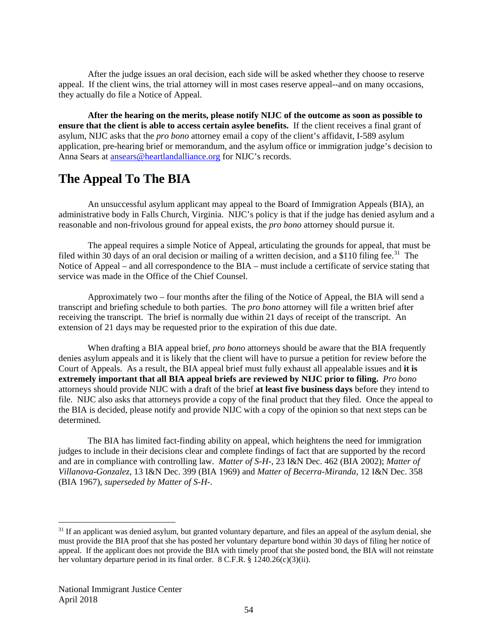After the judge issues an oral decision, each side will be asked whether they choose to reserve appeal. If the client wins, the trial attorney will in most cases reserve appeal--and on many occasions, they actually do file a Notice of Appeal.

**After the hearing on the merits, please notify NIJC of the outcome as soon as possible to ensure that the client is able to access certain asylee benefits.** If the client receives a final grant of asylum, NIJC asks that the *pro bono* attorney email a copy of the client's affidavit, I-589 asylum application, pre-hearing brief or memorandum, and the asylum office or immigration judge's decision to Anna Sears at [ansears@heartlandalliance.org](mailto:ansears@heartlandalliance.org) for NIJC's records.

# **The Appeal To The BIA**

An unsuccessful asylum applicant may appeal to the Board of Immigration Appeals (BIA), an administrative body in Falls Church, Virginia. NIJC's policy is that if the judge has denied asylum and a reasonable and non-frivolous ground for appeal exists, the *pro bono* attorney should pursue it.

The appeal requires a simple Notice of Appeal, articulating the grounds for appeal, that must be filed within 30 days of an oral decision or mailing of a written decision, and a \$110 filing fee.<sup>[31](#page-54-0)</sup> The Notice of Appeal – and all correspondence to the BIA – must include a certificate of service stating that service was made in the Office of the Chief Counsel.

Approximately two – four months after the filing of the Notice of Appeal, the BIA will send a transcript and briefing schedule to both parties. The *pro bono* attorney will file a written brief after receiving the transcript. The brief is normally due within 21 days of receipt of the transcript. An extension of 21 days may be requested prior to the expiration of this due date.

When drafting a BIA appeal brief, *pro bono* attorneys should be aware that the BIA frequently denies asylum appeals and it is likely that the client will have to pursue a petition for review before the Court of Appeals. As a result, the BIA appeal brief must fully exhaust all appealable issues and **it is extremely important that all BIA appeal briefs are reviewed by NIJC prior to filing.** *Pro bono* attorneys should provide NIJC with a draft of the brief **at least five business days** before they intend to file. NIJC also asks that attorneys provide a copy of the final product that they filed. Once the appeal to the BIA is decided, please notify and provide NIJC with a copy of the opinion so that next steps can be determined.

The BIA has limited fact-finding ability on appeal, which heightens the need for immigration judges to include in their decisions clear and complete findings of fact that are supported by the record and are in compliance with controlling law. *Matter of S-H-*, 23 I&N Dec. 462 (BIA 2002); *Matter of Villanova-Gonzalez*, 13 I&N Dec. 399 (BIA 1969) and *Matter of Becerra-Miranda*, 12 I&N Dec. 358 (BIA 1967), *superseded by Matter of S-H*-.

<span id="page-54-0"></span><sup>&</sup>lt;sup>31</sup> If an applicant was denied asylum, but granted voluntary departure, and files an appeal of the asylum denial, she must provide the BIA proof that she has posted her voluntary departure bond within 30 days of filing her notice of appeal. If the applicant does not provide the BIA with timely proof that she posted bond, the BIA will not reinstate her voluntary departure period in its final order. 8 C.F.R. § 1240.26(c)(3)(ii).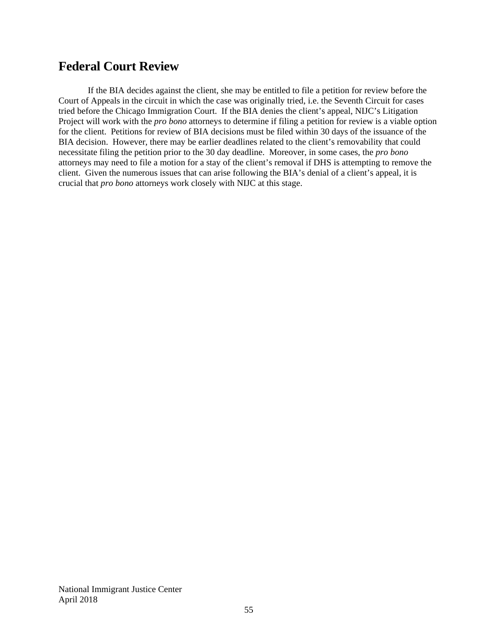# **Federal Court Review**

If the BIA decides against the client, she may be entitled to file a petition for review before the Court of Appeals in the circuit in which the case was originally tried, i.e. the Seventh Circuit for cases tried before the Chicago Immigration Court. If the BIA denies the client's appeal, NIJC's Litigation Project will work with the *pro bono* attorneys to determine if filing a petition for review is a viable option for the client. Petitions for review of BIA decisions must be filed within 30 days of the issuance of the BIA decision. However, there may be earlier deadlines related to the client's removability that could necessitate filing the petition prior to the 30 day deadline. Moreover, in some cases, the *pro bono*  attorneys may need to file a motion for a stay of the client's removal if DHS is attempting to remove the client. Given the numerous issues that can arise following the BIA's denial of a client's appeal, it is crucial that *pro bono* attorneys work closely with NIJC at this stage.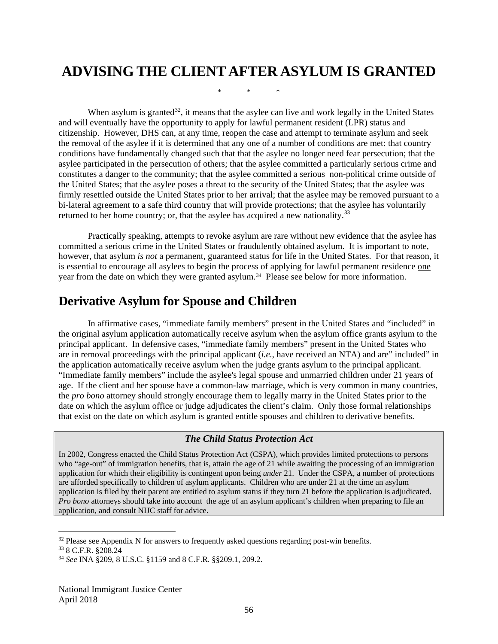# **ADVISING THE CLIENT AFTER ASYLUM IS GRANTED**

\* \* \*

When asylum is granted<sup>[32](#page-56-0)</sup>, it means that the asylee can live and work legally in the United States and will eventually have the opportunity to apply for lawful permanent resident (LPR) status and citizenship. However, DHS can, at any time, reopen the case and attempt to terminate asylum and seek the removal of the asylee if it is determined that any one of a number of conditions are met: that country conditions have fundamentally changed such that that the asylee no longer need fear persecution; that the asylee participated in the persecution of others; that the asylee committed a particularly serious crime and constitutes a danger to the community; that the asylee committed a serious non-political crime outside of the United States; that the asylee poses a threat to the security of the United States; that the asylee was firmly resettled outside the United States prior to her arrival; that the asylee may be removed pursuant to a bi-lateral agreement to a safe third country that will provide protections; that the asylee has voluntarily returned to her home country; or, that the asylee has acquired a new nationality.<sup>[33](#page-56-1)</sup>

Practically speaking, attempts to revoke asylum are rare without new evidence that the asylee has committed a serious crime in the United States or fraudulently obtained asylum. It is important to note, however, that asylum *is not* a permanent, guaranteed status for life in the United States. For that reason, it is essential to encourage all asylees to begin the process of applying for lawful permanent residence one year from the date on which they were granted asylum.<sup>34</sup> Please see below for more information.

# **Derivative Asylum for Spouse and Children**

In affirmative cases, "immediate family members" present in the United States and "included" in the original asylum application automatically receive asylum when the asylum office grants asylum to the principal applicant. In defensive cases, "immediate family members" present in the United States who are in removal proceedings with the principal applicant (*i.e.*, have received an NTA) and are" included" in the application automatically receive asylum when the judge grants asylum to the principal applicant. "Immediate family members" include the asylee's legal spouse and unmarried children under 21 years of age. If the client and her spouse have a common-law marriage, which is very common in many countries, the *pro bono* attorney should strongly encourage them to legally marry in the United States prior to the date on which the asylum office or judge adjudicates the client's claim. Only those formal relationships that exist on the date on which asylum is granted entitle spouses and children to derivative benefits.

## *The Child Status Protection Act*

In 2002, Congress enacted the Child Status Protection Act (CSPA), which provides limited protections to persons who "age-out" of immigration benefits, that is, attain the age of 21 while awaiting the processing of an immigration application for which their eligibility is contingent upon being *under* 21. Under the CSPA, a number of protections are afforded specifically to children of asylum applicants. Children who are under 21 at the time an asylum application is filed by their parent are entitled to asylum status if they turn 21 before the application is adjudicated. *Pro bono* attorneys should take into account the age of an asylum applicant's children when preparing to file an application, and consult NIJC staff for advice.

<span id="page-56-1"></span><span id="page-56-0"></span> $32$  Please see Appendix N for answers to frequently asked questions regarding post-win benefits.

<sup>33</sup> 8 C.F.R. §208.24

<span id="page-56-2"></span><sup>34</sup> *See* INA §209, 8 U.S.C. §1159 and 8 C.F.R. §§209.1, 209.2.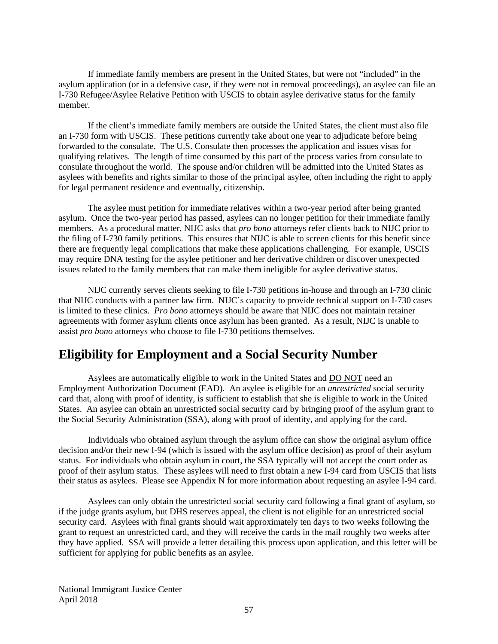If immediate family members are present in the United States, but were not "included" in the asylum application (or in a defensive case, if they were not in removal proceedings), an asylee can file an I-730 Refugee/Asylee Relative Petition with USCIS to obtain asylee derivative status for the family member.

If the client's immediate family members are outside the United States, the client must also file an I-730 form with USCIS. These petitions currently take about one year to adjudicate before being forwarded to the consulate. The U.S. Consulate then processes the application and issues visas for qualifying relatives. The length of time consumed by this part of the process varies from consulate to consulate throughout the world. The spouse and/or children will be admitted into the United States as asylees with benefits and rights similar to those of the principal asylee, often including the right to apply for legal permanent residence and eventually, citizenship.

The asylee must petition for immediate relatives within a two-year period after being granted asylum. Once the two-year period has passed, asylees can no longer petition for their immediate family members. As a procedural matter, NIJC asks that *pro bono* attorneys refer clients back to NIJC prior to the filing of I-730 family petitions. This ensures that NIJC is able to screen clients for this benefit since there are frequently legal complications that make these applications challenging. For example, USCIS may require DNA testing for the asylee petitioner and her derivative children or discover unexpected issues related to the family members that can make them ineligible for asylee derivative status.

NIJC currently serves clients seeking to file I-730 petitions in-house and through an I-730 clinic that NIJC conducts with a partner law firm. NIJC's capacity to provide technical support on I-730 cases is limited to these clinics. *Pro bono* attorneys should be aware that NIJC does not maintain retainer agreements with former asylum clients once asylum has been granted. As a result, NIJC is unable to assist *pro bono* attorneys who choose to file I-730 petitions themselves.

# **Eligibility for Employment and a Social Security Number**

Asylees are automatically eligible to work in the United States and DO NOT need an Employment Authorization Document (EAD). An asylee is eligible for an *unrestricted* social security card that, along with proof of identity, is sufficient to establish that she is eligible to work in the United States. An asylee can obtain an unrestricted social security card by bringing proof of the asylum grant to the Social Security Administration (SSA), along with proof of identity, and applying for the card.

Individuals who obtained asylum through the asylum office can show the original asylum office decision and/or their new I-94 (which is issued with the asylum office decision) as proof of their asylum status. For individuals who obtain asylum in court, the SSA typically will not accept the court order as proof of their asylum status. These asylees will need to first obtain a new I-94 card from USCIS that lists their status as asylees. Please see Appendix N for more information about requesting an asylee I-94 card.

Asylees can only obtain the unrestricted social security card following a final grant of asylum, so if the judge grants asylum, but DHS reserves appeal, the client is not eligible for an unrestricted social security card. Asylees with final grants should wait approximately ten days to two weeks following the grant to request an unrestricted card, and they will receive the cards in the mail roughly two weeks after they have applied. SSA will provide a letter detailing this process upon application, and this letter will be sufficient for applying for public benefits as an asylee.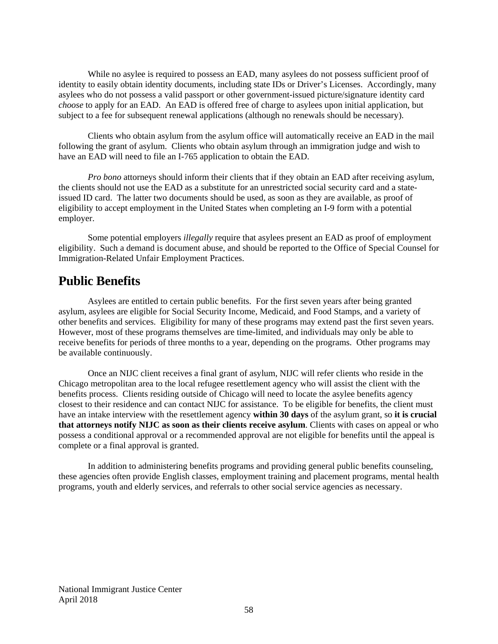While no asylee is required to possess an EAD, many asylees do not possess sufficient proof of identity to easily obtain identity documents, including state IDs or Driver's Licenses. Accordingly, many asylees who do not possess a valid passport or other government-issued picture/signature identity card *choose* to apply for an EAD. An EAD is offered free of charge to asylees upon initial application, but subject to a fee for subsequent renewal applications (although no renewals should be necessary).

Clients who obtain asylum from the asylum office will automatically receive an EAD in the mail following the grant of asylum. Clients who obtain asylum through an immigration judge and wish to have an EAD will need to file an I-765 application to obtain the EAD.

*Pro bono* attorneys should inform their clients that if they obtain an EAD after receiving asylum, the clients should not use the EAD as a substitute for an unrestricted social security card and a stateissued ID card. The latter two documents should be used, as soon as they are available, as proof of eligibility to accept employment in the United States when completing an I-9 form with a potential employer.

Some potential employers *illegally* require that asylees present an EAD as proof of employment eligibility. Such a demand is document abuse, and should be reported to the Office of Special Counsel for Immigration-Related Unfair Employment Practices.

# **Public Benefits**

Asylees are entitled to certain public benefits. For the first seven years after being granted asylum, asylees are eligible for Social Security Income, Medicaid, and Food Stamps, and a variety of other benefits and services. Eligibility for many of these programs may extend past the first seven years. However, most of these programs themselves are time-limited, and individuals may only be able to receive benefits for periods of three months to a year, depending on the programs. Other programs may be available continuously.

Once an NIJC client receives a final grant of asylum, NIJC will refer clients who reside in the Chicago metropolitan area to the local refugee resettlement agency who will assist the client with the benefits process. Clients residing outside of Chicago will need to locate the asylee benefits agency closest to their residence and can contact NIJC for assistance. To be eligible for benefits, the client must have an intake interview with the resettlement agency **within 30 days** of the asylum grant, so **it is crucial that attorneys notify NIJC as soon as their clients receive asylum**. Clients with cases on appeal or who possess a conditional approval or a recommended approval are not eligible for benefits until the appeal is complete or a final approval is granted.

In addition to administering benefits programs and providing general public benefits counseling, these agencies often provide English classes, employment training and placement programs, mental health programs, youth and elderly services, and referrals to other social service agencies as necessary.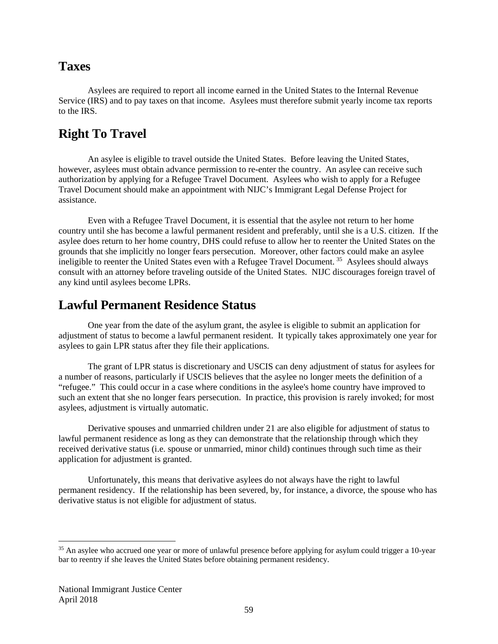# **Taxes**

Asylees are required to report all income earned in the United States to the Internal Revenue Service (IRS) and to pay taxes on that income. Asylees must therefore submit yearly income tax reports to the IRS.

# **Right To Travel**

An asylee is eligible to travel outside the United States. Before leaving the United States, however, asylees must obtain advance permission to re-enter the country. An asylee can receive such authorization by applying for a Refugee Travel Document. Asylees who wish to apply for a Refugee Travel Document should make an appointment with NIJC's Immigrant Legal Defense Project for assistance.

Even with a Refugee Travel Document, it is essential that the asylee not return to her home country until she has become a lawful permanent resident and preferably, until she is a U.S. citizen. If the asylee does return to her home country, DHS could refuse to allow her to reenter the United States on the grounds that she implicitly no longer fears persecution. Moreover, other factors could make an asylee ineligible to reenter the United States even with a Refugee Travel Document.<sup>[35](#page-59-0)</sup> Asylees should always consult with an attorney before traveling outside of the United States. NIJC discourages foreign travel of any kind until asylees become LPRs.

# **Lawful Permanent Residence Status**

One year from the date of the asylum grant, the asylee is eligible to submit an application for adjustment of status to become a lawful permanent resident. It typically takes approximately one year for asylees to gain LPR status after they file their applications.

The grant of LPR status is discretionary and USCIS can deny adjustment of status for asylees for a number of reasons, particularly if USCIS believes that the asylee no longer meets the definition of a "refugee." This could occur in a case where conditions in the asylee's home country have improved to such an extent that she no longer fears persecution. In practice, this provision is rarely invoked; for most asylees, adjustment is virtually automatic.

Derivative spouses and unmarried children under 21 are also eligible for adjustment of status to lawful permanent residence as long as they can demonstrate that the relationship through which they received derivative status (i.e. spouse or unmarried, minor child) continues through such time as their application for adjustment is granted.

Unfortunately, this means that derivative asylees do not always have the right to lawful permanent residency. If the relationship has been severed, by, for instance, a divorce, the spouse who has derivative status is not eligible for adjustment of status.

<span id="page-59-0"></span><sup>&</sup>lt;sup>35</sup> An asylee who accrued one year or more of unlawful presence before applying for asylum could trigger a 10-year bar to reentry if she leaves the United States before obtaining permanent residency.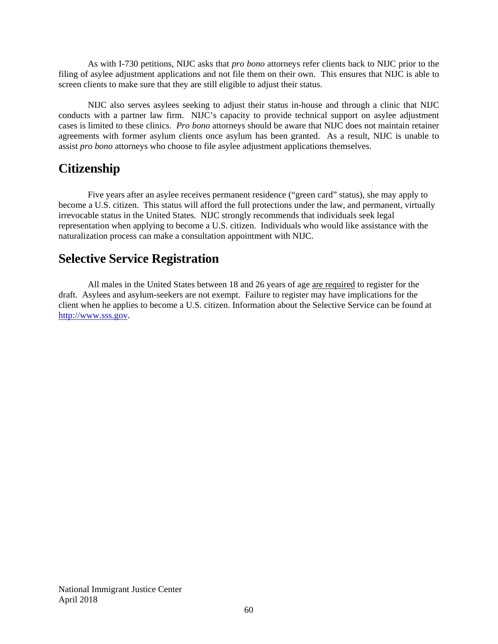As with I-730 petitions, NIJC asks that *pro bono* attorneys refer clients back to NIJC prior to the filing of asylee adjustment applications and not file them on their own. This ensures that NIJC is able to screen clients to make sure that they are still eligible to adjust their status.

NIJC also serves asylees seeking to adjust their status in-house and through a clinic that NIJC conducts with a partner law firm. NIJC's capacity to provide technical support on asylee adjustment cases is limited to these clinics. *Pro bono* attorneys should be aware that NIJC does not maintain retainer agreements with former asylum clients once asylum has been granted. As a result, NIJC is unable to assist *pro bono* attorneys who choose to file asylee adjustment applications themselves.

# **Citizenship**

Five years after an asylee receives permanent residence ("green card" status), she may apply to become a U.S. citizen. This status will afford the full protections under the law, and permanent, virtually irrevocable status in the United States. NIJC strongly recommends that individuals seek legal representation when applying to become a U.S. citizen. Individuals who would like assistance with the naturalization process can make a consultation appointment with NIJC.

# **Selective Service Registration**

All males in the United States between 18 and 26 years of age are required to register for the draft. Asylees and asylum-seekers are not exempt. Failure to register may have implications for the client when he applies to become a U.S. citizen. Information about the Selective Service can be found at [http://www.sss.gov.](http://www.sss.gov/)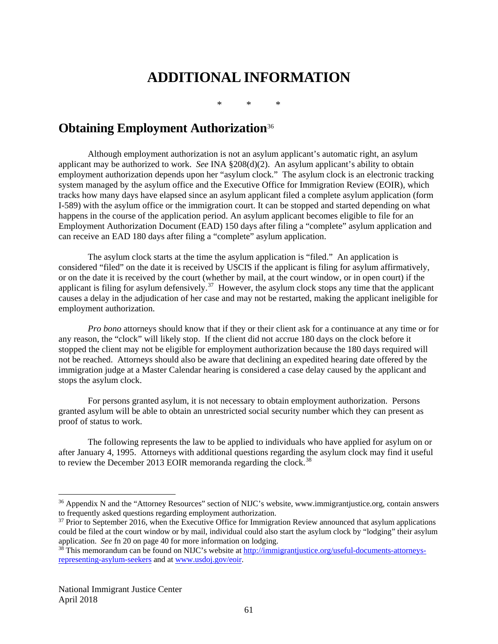# **ADDITIONAL INFORMATION**

\* \* \*

# **Obtaining Employment Authorization**[36](#page-61-0)

Although employment authorization is not an asylum applicant's automatic right, an asylum applicant may be authorized to work. *See* INA §208(d)(2). An asylum applicant's ability to obtain employment authorization depends upon her "asylum clock." The asylum clock is an electronic tracking system managed by the asylum office and the Executive Office for Immigration Review (EOIR), which tracks how many days have elapsed since an asylum applicant filed a complete asylum application (form I-589) with the asylum office or the immigration court. It can be stopped and started depending on what happens in the course of the application period. An asylum applicant becomes eligible to file for an Employment Authorization Document (EAD) 150 days after filing a "complete" asylum application and can receive an EAD 180 days after filing a "complete" asylum application.

The asylum clock starts at the time the asylum application is "filed." An application is considered "filed" on the date it is received by USCIS if the applicant is filing for asylum affirmatively, or on the date it is received by the court (whether by mail, at the court window, or in open court) if the applicant is filing for asylum defensively.<sup>37</sup> However, the asylum clock stops any time that the applicant causes a delay in the adjudication of her case and may not be restarted, making the applicant ineligible for employment authorization.

*Pro bono* attorneys should know that if they or their client ask for a continuance at any time or for any reason, the "clock" will likely stop. If the client did not accrue 180 days on the clock before it stopped the client may not be eligible for employment authorization because the 180 days required will not be reached. Attorneys should also be aware that declining an expedited hearing date offered by the immigration judge at a Master Calendar hearing is considered a case delay caused by the applicant and stops the asylum clock.

For persons granted asylum, it is not necessary to obtain employment authorization. Persons granted asylum will be able to obtain an unrestricted social security number which they can present as proof of status to work.

The following represents the law to be applied to individuals who have applied for asylum on or after January 4, 1995. Attorneys with additional questions regarding the asylum clock may find it useful to review the December 2013 EOIR memoranda regarding the clock.<sup>[38](#page-61-2)</sup>

<span id="page-61-0"></span><sup>&</sup>lt;sup>36</sup> Appendix N and the "Attorney Resources" section of NIJC's website, [www.immigrantjustice.org,](http://www.immigrantjustice.org/) contain answers to frequently asked questions regarding employment authorization.

<span id="page-61-1"></span> $37$  Prior to September 2016, when the Executive Office for Immigration Review announced that asylum applications could be filed at the court window or by mail, individual could also start the asylum clock by "lodging" their asylum application. *See* fn 20 on page 40 for more information on lodging.

<span id="page-61-2"></span><sup>&</sup>lt;sup>38</sup> This memorandum can be found on NIJC's website a[t http://immigrantjustice.org/useful-documents-attorneys](http://immigrantjustice.org/useful-documents-attorneys-representing-asylum-seekers)[representing-asylum-seekers](http://immigrantjustice.org/useful-documents-attorneys-representing-asylum-seekers) and a[t www.usdoj.gov/eoir.](http://www.usdoj.gov/eoir)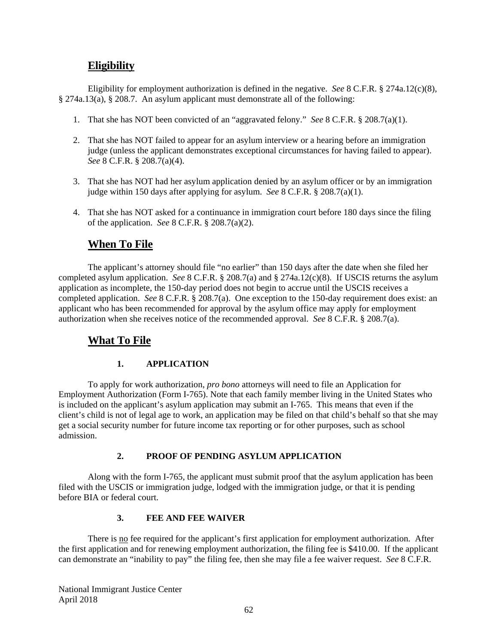# **Eligibility**

Eligibility for employment authorization is defined in the negative. *See* 8 C.F.R. § 274a.12(c)(8), § 274a.13(a), § 208.7. An asylum applicant must demonstrate all of the following:

- 1. That she has NOT been convicted of an "aggravated felony." *See* 8 C.F.R. § 208.7(a)(1).
- 2. That she has NOT failed to appear for an asylum interview or a hearing before an immigration judge (unless the applicant demonstrates exceptional circumstances for having failed to appear). *See* 8 C.F.R. § 208.7(a)(4).
- 3. That she has NOT had her asylum application denied by an asylum officer or by an immigration judge within 150 days after applying for asylum. *See* 8 C.F.R. § 208.7(a)(1).
- 4. That she has NOT asked for a continuance in immigration court before 180 days since the filing of the application. *See* 8 C.F.R. § 208.7(a)(2).

# **When To File**

The applicant's attorney should file "no earlier" than 150 days after the date when she filed her completed asylum application. *See* 8 C.F.R. § 208.7(a) and § 274a.12(c)(8). If USCIS returns the asylum application as incomplete, the 150-day period does not begin to accrue until the USCIS receives a completed application. *See* 8 C.F.R. § 208.7(a). One exception to the 150-day requirement does exist: an applicant who has been recommended for approval by the asylum office may apply for employment authorization when she receives notice of the recommended approval. *See* 8 C.F.R. § 208.7(a).

# **What To File**

## **1. APPLICATION**

To apply for work authorization, *pro bono* attorneys will need to file an Application for Employment Authorization (Form I-765). Note that each family member living in the United States who is included on the applicant's asylum application may submit an I-765. This means that even if the client's child is not of legal age to work, an application may be filed on that child's behalf so that she may get a social security number for future income tax reporting or for other purposes, such as school admission.

## **2. PROOF OF PENDING ASYLUM APPLICATION**

Along with the form I-765, the applicant must submit proof that the asylum application has been filed with the USCIS or immigration judge, lodged with the immigration judge, or that it is pending before BIA or federal court.

### **3. FEE AND FEE WAIVER**

There is no fee required for the applicant's first application for employment authorization. After the first application and for renewing employment authorization, the filing fee is \$410.00. If the applicant can demonstrate an "inability to pay" the filing fee, then she may file a fee waiver request. *See* 8 C.F.R.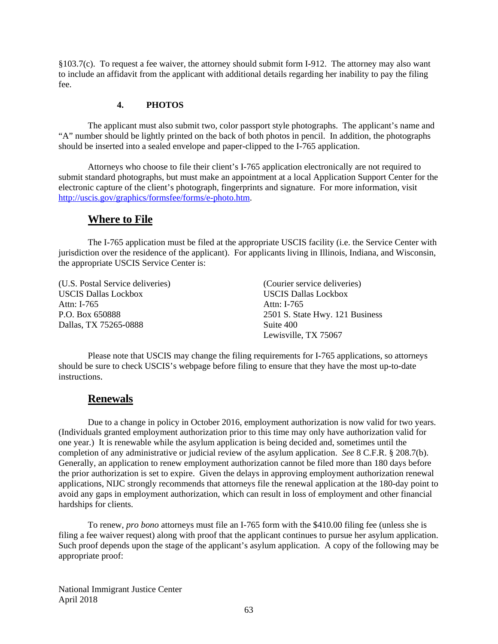§103.7(c). To request a fee waiver, the attorney should submit form I-912. The attorney may also want to include an affidavit from the applicant with additional details regarding her inability to pay the filing fee.

### **4. PHOTOS**

The applicant must also submit two, color passport style photographs. The applicant's name and "A" number should be lightly printed on the back of both photos in pencil. In addition, the photographs should be inserted into a sealed envelope and paper-clipped to the I-765 application.

Attorneys who choose to file their client's I-765 application electronically are not required to submit standard photographs, but must make an appointment at a local Application Support Center for the electronic capture of the client's photograph, fingerprints and signature. For more information, visit [http://uscis.gov/graphics/formsfee/forms/e-photo.htm.](http://uscis.gov/graphics/formsfee/forms/e-photo.htm)

## **Where to File**

The I-765 application must be filed at the appropriate USCIS facility (i.e. the Service Center with jurisdiction over the residence of the applicant). For applicants living in Illinois, Indiana, and Wisconsin, the appropriate USCIS Service Center is:

(U.S. Postal Service deliveries) (Courier service deliveries) USCIS Dallas Lockbox USCIS Dallas Lockbox Attn: I-765 Attn: I-765 Dallas, TX 75265-0888 Suite 400

P.O. Box 650888 2501 S. State Hwy. 121 Business Lewisville, TX 75067

Please note that USCIS may change the filing requirements for I-765 applications, so attorneys should be sure to check USCIS's webpage before filing to ensure that they have the most up-to-date instructions.

## **Renewals**

Due to a change in policy in October 2016, employment authorization is now valid for two years. (Individuals granted employment authorization prior to this time may only have authorization valid for one year.) It is renewable while the asylum application is being decided and, sometimes until the completion of any administrative or judicial review of the asylum application. *See* 8 C.F.R. § 208.7(b). Generally, an application to renew employment authorization cannot be filed more than 180 days before the prior authorization is set to expire. Given the delays in approving employment authorization renewal applications, NIJC strongly recommends that attorneys file the renewal application at the 180-day point to avoid any gaps in employment authorization, which can result in loss of employment and other financial hardships for clients.

To renew, *pro bono* attorneys must file an I-765 form with the \$410.00 filing fee (unless she is filing a fee waiver request) along with proof that the applicant continues to pursue her asylum application. Such proof depends upon the stage of the applicant's asylum application. A copy of the following may be appropriate proof: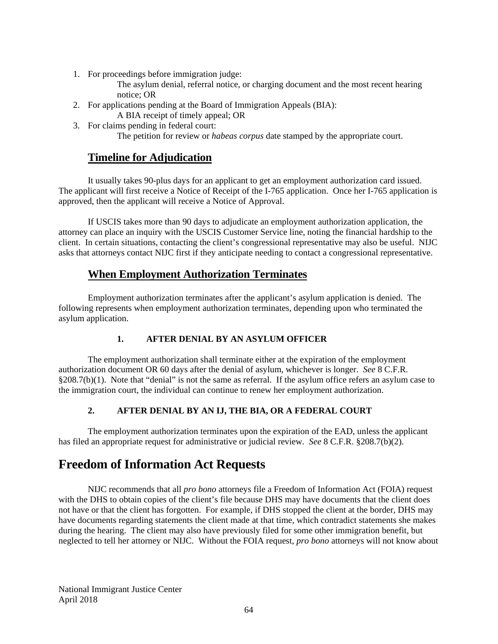1. For proceedings before immigration judge:

The asylum denial, referral notice, or charging document and the most recent hearing notice; OR

- 2. For applications pending at the Board of Immigration Appeals (BIA):
	- A BIA receipt of timely appeal; OR
- 3. For claims pending in federal court:

The petition for review or *habeas corpus* date stamped by the appropriate court.

# **Timeline for Adjudication**

It usually takes 90-plus days for an applicant to get an employment authorization card issued. The applicant will first receive a Notice of Receipt of the I-765 application. Once her I-765 application is approved, then the applicant will receive a Notice of Approval.

If USCIS takes more than 90 days to adjudicate an employment authorization application, the attorney can place an inquiry with the USCIS Customer Service line, noting the financial hardship to the client. In certain situations, contacting the client's congressional representative may also be useful. NIJC asks that attorneys contact NIJC first if they anticipate needing to contact a congressional representative.

# **When Employment Authorization Terminates**

Employment authorization terminates after the applicant's asylum application is denied. The following represents when employment authorization terminates, depending upon who terminated the asylum application.

## **1. AFTER DENIAL BY AN ASYLUM OFFICER**

The employment authorization shall terminate either at the expiration of the employment authorization document OR 60 days after the denial of asylum, whichever is longer. *See* 8 C.F.R. §208.7(b)(1). Note that "denial" is not the same as referral. If the asylum office refers an asylum case to the immigration court, the individual can continue to renew her employment authorization.

# **2. AFTER DENIAL BY AN IJ, THE BIA, OR A FEDERAL COURT**

The employment authorization terminates upon the expiration of the EAD, unless the applicant has filed an appropriate request for administrative or judicial review. *See* 8 C.F.R. §208.7(b)(2).

# **Freedom of Information Act Requests**

NIJC recommends that all *pro bono* attorneys file a Freedom of Information Act (FOIA) request with the DHS to obtain copies of the client's file because DHS may have documents that the client does not have or that the client has forgotten. For example, if DHS stopped the client at the border, DHS may have documents regarding statements the client made at that time, which contradict statements she makes during the hearing. The client may also have previously filed for some other immigration benefit, but neglected to tell her attorney or NIJC. Without the FOIA request, *pro bono* attorneys will not know about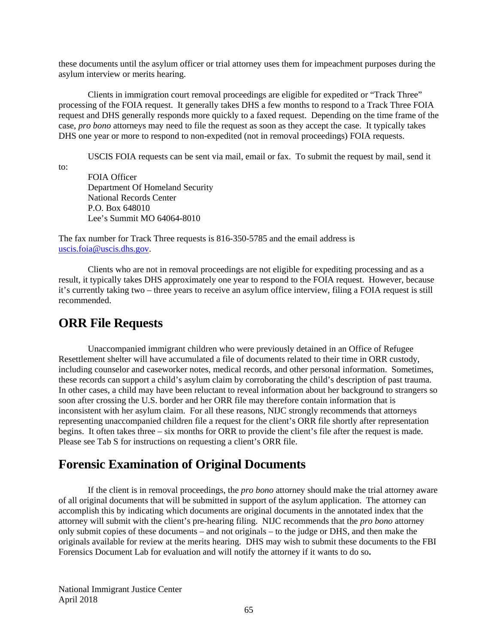these documents until the asylum officer or trial attorney uses them for impeachment purposes during the asylum interview or merits hearing.

Clients in immigration court removal proceedings are eligible for expedited or "Track Three" processing of the FOIA request. It generally takes DHS a few months to respond to a Track Three FOIA request and DHS generally responds more quickly to a faxed request. Depending on the time frame of the case, *pro bono* attorneys may need to file the request as soon as they accept the case. It typically takes DHS one year or more to respond to non-expedited (not in removal proceedings) FOIA requests.

USCIS FOIA requests can be sent via mail, email or fax. To submit the request by mail, send it

to:

FOIA Officer Department Of Homeland Security National Records Center P.O. Box 648010 Lee's Summit MO 64064-8010

The fax number for Track Three requests is 816-350-5785 and the email address is [uscis.foia@uscis.dhs.gov.](mailto:uscis.foia@uscis.dhs.gov)

Clients who are not in removal proceedings are not eligible for expediting processing and as a result, it typically takes DHS approximately one year to respond to the FOIA request. However, because it's currently taking two – three years to receive an asylum office interview, filing a FOIA request is still recommended.

# **ORR File Requests**

Unaccompanied immigrant children who were previously detained in an Office of Refugee Resettlement shelter will have accumulated a file of documents related to their time in ORR custody, including counselor and caseworker notes, medical records, and other personal information. Sometimes, these records can support a child's asylum claim by corroborating the child's description of past trauma. In other cases, a child may have been reluctant to reveal information about her background to strangers so soon after crossing the U.S. border and her ORR file may therefore contain information that is inconsistent with her asylum claim. For all these reasons, NIJC strongly recommends that attorneys representing unaccompanied children file a request for the client's ORR file shortly after representation begins. It often takes three – six months for ORR to provide the client's file after the request is made. Please see Tab S for instructions on requesting a client's ORR file.

# **Forensic Examination of Original Documents**

If the client is in removal proceedings, the *pro bono* attorney should make the trial attorney aware of all original documents that will be submitted in support of the asylum application. The attorney can accomplish this by indicating which documents are original documents in the annotated index that the attorney will submit with the client's pre-hearing filing. NIJC recommends that the *pro bono* attorney only submit copies of these documents – and not originals – to the judge or DHS, and then make the originals available for review at the merits hearing. DHS may wish to submit these documents to the FBI Forensics Document Lab for evaluation and will notify the attorney if it wants to do so**.**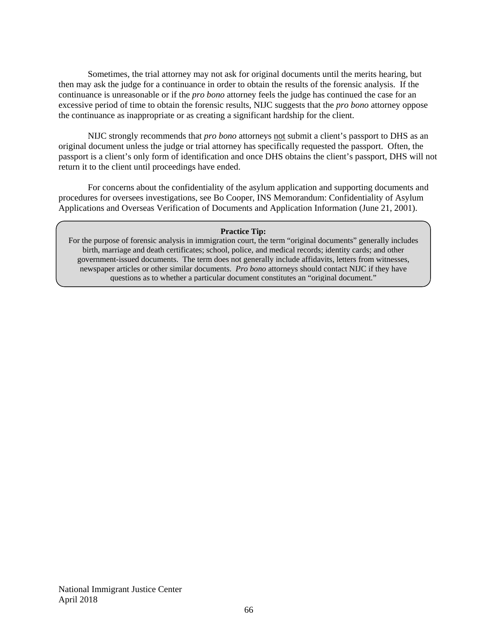Sometimes, the trial attorney may not ask for original documents until the merits hearing, but then may ask the judge for a continuance in order to obtain the results of the forensic analysis. If the continuance is unreasonable or if the *pro bono* attorney feels the judge has continued the case for an excessive period of time to obtain the forensic results, NIJC suggests that the *pro bono* attorney oppose the continuance as inappropriate or as creating a significant hardship for the client.

NIJC strongly recommends that *pro bono* attorneys not submit a client's passport to DHS as an original document unless the judge or trial attorney has specifically requested the passport. Often, the passport is a client's only form of identification and once DHS obtains the client's passport, DHS will not return it to the client until proceedings have ended.

For concerns about the confidentiality of the asylum application and supporting documents and procedures for oversees investigations, see Bo Cooper, INS Memorandum: Confidentiality of Asylum Applications and Overseas Verification of Documents and Application Information (June 21, 2001).

#### **Practice Tip:**

For the purpose of forensic analysis in immigration court, the term "original documents" generally includes birth, marriage and death certificates; school, police, and medical records; identity cards; and other government-issued documents. The term does not generally include affidavits, letters from witnesses, newspaper articles or other similar documents. *Pro bono* attorneys should contact NIJC if they have questions as to whether a particular document constitutes an "original document."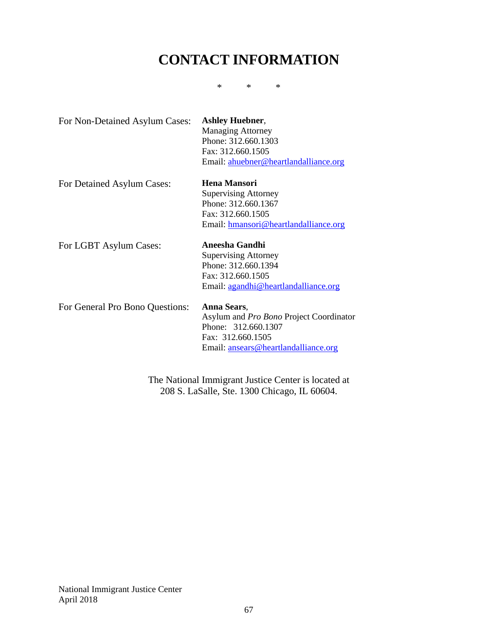# **CONTACT INFORMATION**

\* \* \*

| For Non-Detained Asylum Cases:  | <b>Ashley Huebner,</b><br><b>Managing Attorney</b><br>Phone: 312.660.1303<br>Fax: 312.660.1505<br>Email: ahuebner@heartlandalliance.org    |
|---------------------------------|--------------------------------------------------------------------------------------------------------------------------------------------|
| For Detained Asylum Cases:      | Hena Mansori<br><b>Supervising Attorney</b><br>Phone: 312.660.1367<br>Fax: 312.660.1505<br>Email: hmansori@heartlandalliance.org           |
| For LGBT Asylum Cases:          | Aneesha Gandhi<br><b>Supervising Attorney</b><br>Phone: 312.660.1394<br>Fax: 312.660.1505<br>Email: agandhi@heartlandalliance.org          |
| For General Pro Bono Questions: | Anna Sears,<br>Asylum and Pro Bono Project Coordinator<br>Phone: 312.660.1307<br>Fax: 312.660.1505<br>Email: ansears@heartlandalliance.org |

The National Immigrant Justice Center is located at 208 S. LaSalle, Ste. 1300 Chicago, IL 60604.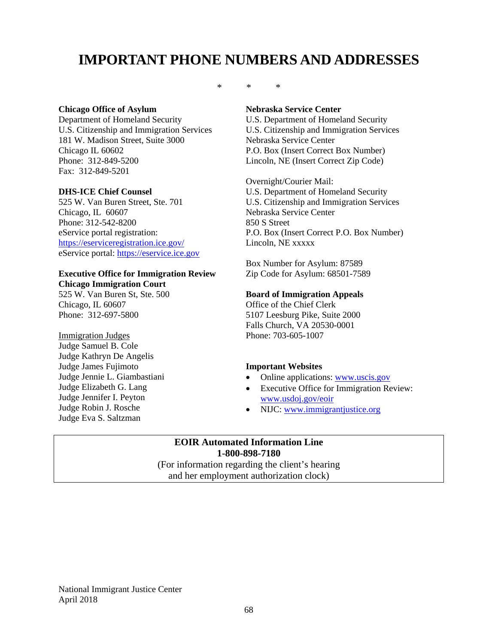# **IMPORTANT PHONE NUMBERS AND ADDRESSES**

### **Chicago Office of Asylum**

Department of Homeland Security U.S. Citizenship and Immigration Services 181 W. Madison Street, Suite 3000 Chicago IL 60602 Phone: 312-849-5200 Fax: 312-849-5201

### **DHS-ICE Chief Counsel**

525 W. Van Buren Street, Ste. 701 Chicago, IL 60607 Phone: 312-542-8200 eService portal registration: <https://eserviceregistration.ice.gov/> eService portal: [https://eservice.ice.gov](https://eservice.ice.gov/)

### **Executive Office for Immigration Review Chicago Immigration Court**

525 W. Van Buren St, Ste. 500 Chicago, IL 60607 Phone: 312-697-5800

Immigration Judges Judge Samuel B. Cole Judge Kathryn De Angelis Judge James Fujimoto Judge Jennie L. Giambastiani Judge Elizabeth G. Lang Judge Jennifer I. Peyton Judge Robin J. Rosche Judge Eva S. Saltzman

\* \* \*

#### **Nebraska Service Center**

U.S. Department of Homeland Security U.S. Citizenship and Immigration Services Nebraska Service Center P.O. Box (Insert Correct Box Number) Lincoln, NE (Insert Correct Zip Code)

Overnight/Courier Mail: U.S. Department of Homeland Security U.S. Citizenship and Immigration Services Nebraska Service Center 850 S Street P.O. Box (Insert Correct P.O. Box Number) Lincoln, NE xxxxx

Box Number for Asylum: 87589 Zip Code for Asylum: 68501-7589

### **Board of Immigration Appeals**

Office of the Chief Clerk 5107 Leesburg Pike, Suite 2000 Falls Church, VA 20530-0001 Phone: 703-605-1007

### **Important Websites**

- Online applications: [www.uscis.gov](http://www.uscis.gov/)
- Executive Office for Immigration Review: [www.usdoj.gov/eoir](http://www.usdoj.gov/eoir)
- NIJC: [www.immigrantjustice.org](http://www.immigrantjustice.org/)

### **EOIR Automated Information Line 1-800-898-7180**

(For information regarding the client's hearing and her employment authorization clock)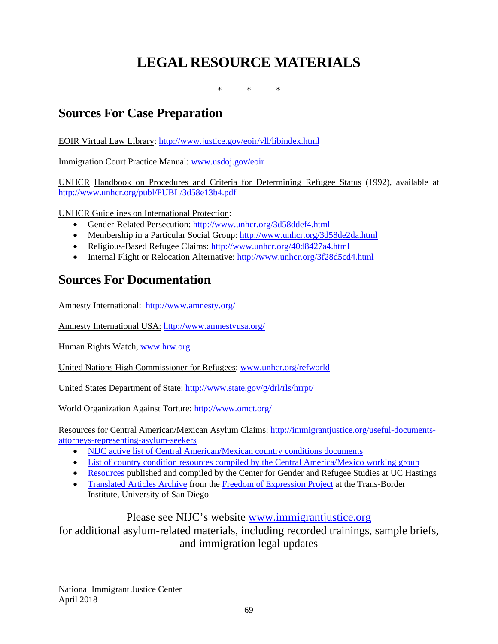# **LEGAL RESOURCE MATERIALS**

\* \* \*

# **Sources For Case Preparation**

EOIR Virtual Law Library:<http://www.justice.gov/eoir/vll/libindex.html>

Immigration Court Practice Manual: [www.usdoj.gov/eoir](http://www.usdoj.gov/eoir)

UNHCR Handbook on Procedures and Criteria for Determining Refugee Status (1992), available at <http://www.unhcr.org/publ/PUBL/3d58e13b4.pdf>

UNHCR Guidelines on International Protection:

- Gender-Related Persecution:<http://www.unhcr.org/3d58ddef4.html>
- Membership in a Particular Social Group:<http://www.unhcr.org/3d58de2da.html>
- Religious-Based Refugee Claims:<http://www.unhcr.org/40d8427a4.html>
- Internal Flight or Relocation Alternative:<http://www.unhcr.org/3f28d5cd4.html>

# **Sources For Documentation**

Amnesty International: <http://www.amnesty.org/>

Amnesty International USA: <http://www.amnestyusa.org/>

Human Rights Watch, [www.hrw.org](http://www.hrw.org/)

United Nations High Commissioner for Refugees: [www.unhcr.org/refworld](http://www.unhcr.org/refworld)

United States Department of State:<http://www.state.gov/g/drl/rls/hrrpt/>

World Organization Against Torture: <http://www.omct.org/>

Resources for Central American/Mexican Asylum Claims: [http://immigrantjustice.org/useful-documents](http://immigrantjustice.org/useful-documents-attorneys-representing-asylum-seekers)[attorneys-representing-asylum-seekers](http://immigrantjustice.org/useful-documents-attorneys-representing-asylum-seekers) 

- [NIJC active list of Central American/Mexican country conditions documents](https://docs.google.com/spreadsheets/d/1WwYiRi-3XyMW4pOaeYbUBTLlSte7etHISPCboiI42Jo/edit?usp=sharing)
- [List of country condition resources compiled by the Central America/Mexico working group](https://docs.google.com/spreadsheet/ccc?key=0AjpC1N7O22rAdDVnQW9qSUxxT182TkQ5U25tUkpkMWc&usp=sharing#gid=0)
- [Resources](http://cgrs.uchastings.edu/search-materials/cgrs-litigation-support-materials) published and compiled by the Center for Gender and Refugee Studies at UC Hastings
- [Translated Articles Archive](http://www.sandiego.edu/peacestudies/institutes/tbi/from-the-field/freedom-expression-archives.php) from the [Freedom of Expression Project](http://www.sandiego.edu/peacestudies/institutes/tbi/from-the-field/freedom-expression-project.php) at the Trans-Border Institute, University of San Diego

# Please see NIJC's website [www.immigrantjustice.org](http://www.immigrantjustice.org/)

for additional asylum-related materials, including recorded trainings, sample briefs, and immigration legal updates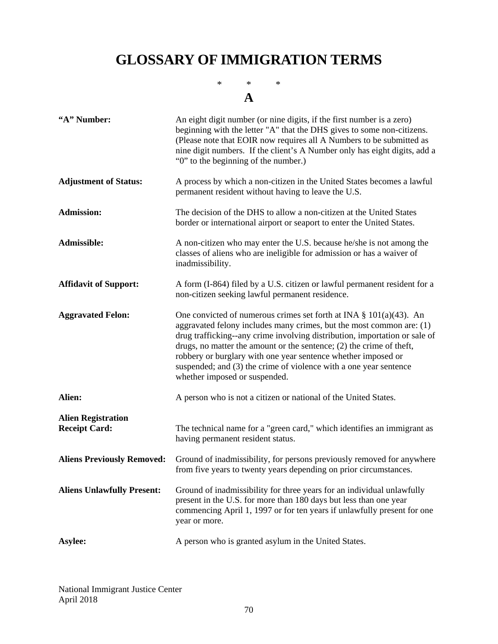# **GLOSSARY OF IMMIGRATION TERMS**

\* \* \* **A**

| "A" Number:                                       | An eight digit number (or nine digits, if the first number is a zero)<br>beginning with the letter "A" that the DHS gives to some non-citizens.<br>(Please note that EOIR now requires all A Numbers to be submitted as<br>nine digit numbers. If the client's A Number only has eight digits, add a<br>"0" to the beginning of the number.)                                                                                                                                   |
|---------------------------------------------------|--------------------------------------------------------------------------------------------------------------------------------------------------------------------------------------------------------------------------------------------------------------------------------------------------------------------------------------------------------------------------------------------------------------------------------------------------------------------------------|
| <b>Adjustment of Status:</b>                      | A process by which a non-citizen in the United States becomes a lawful<br>permanent resident without having to leave the U.S.                                                                                                                                                                                                                                                                                                                                                  |
| <b>Admission:</b>                                 | The decision of the DHS to allow a non-citizen at the United States<br>border or international airport or seaport to enter the United States.                                                                                                                                                                                                                                                                                                                                  |
| Admissible:                                       | A non-citizen who may enter the U.S. because he/she is not among the<br>classes of aliens who are ineligible for admission or has a waiver of<br>inadmissibility.                                                                                                                                                                                                                                                                                                              |
| <b>Affidavit of Support:</b>                      | A form (I-864) filed by a U.S. citizen or lawful permanent resident for a<br>non-citizen seeking lawful permanent residence.                                                                                                                                                                                                                                                                                                                                                   |
| <b>Aggravated Felon:</b>                          | One convicted of numerous crimes set forth at INA $\S$ 101(a)(43). An<br>aggravated felony includes many crimes, but the most common are: $(1)$<br>drug trafficking--any crime involving distribution, importation or sale of<br>drugs, no matter the amount or the sentence; $(2)$ the crime of theft,<br>robbery or burglary with one year sentence whether imposed or<br>suspended; and (3) the crime of violence with a one year sentence<br>whether imposed or suspended. |
| Alien:                                            | A person who is not a citizen or national of the United States.                                                                                                                                                                                                                                                                                                                                                                                                                |
| <b>Alien Registration</b><br><b>Receipt Card:</b> | The technical name for a "green card," which identifies an immigrant as<br>having permanent resident status.                                                                                                                                                                                                                                                                                                                                                                   |
| <b>Aliens Previously Removed:</b>                 | Ground of inadmissibility, for persons previously removed for anywhere<br>from five years to twenty years depending on prior circumstances.                                                                                                                                                                                                                                                                                                                                    |
| <b>Aliens Unlawfully Present:</b>                 | Ground of inadmissibility for three years for an individual unlawfully<br>present in the U.S. for more than 180 days but less than one year<br>commencing April 1, 1997 or for ten years if unlawfully present for one<br>year or more.                                                                                                                                                                                                                                        |
| Asylee:                                           | A person who is granted asylum in the United States.                                                                                                                                                                                                                                                                                                                                                                                                                           |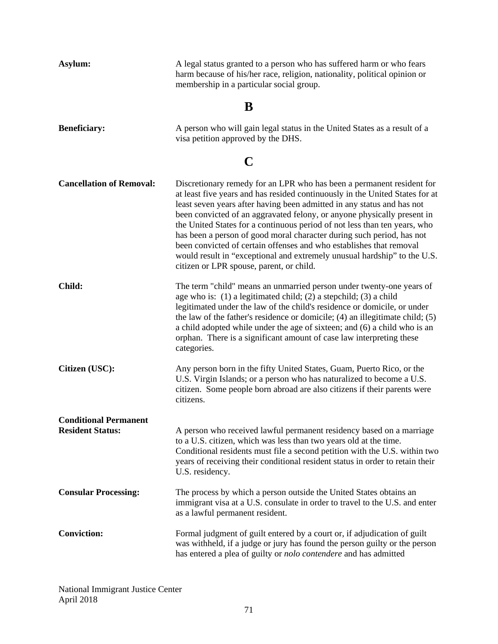| Asylum:                         | A legal status granted to a person who has suffered harm or who fears<br>harm because of his/her race, religion, nationality, political opinion or<br>membership in a particular social group.                                                                                                                                                                                                                                                                                                                                                                                                                                                                  |  |  |
|---------------------------------|-----------------------------------------------------------------------------------------------------------------------------------------------------------------------------------------------------------------------------------------------------------------------------------------------------------------------------------------------------------------------------------------------------------------------------------------------------------------------------------------------------------------------------------------------------------------------------------------------------------------------------------------------------------------|--|--|
| B                               |                                                                                                                                                                                                                                                                                                                                                                                                                                                                                                                                                                                                                                                                 |  |  |
| <b>Beneficiary:</b>             | A person who will gain legal status in the United States as a result of a<br>visa petition approved by the DHS.                                                                                                                                                                                                                                                                                                                                                                                                                                                                                                                                                 |  |  |
| C                               |                                                                                                                                                                                                                                                                                                                                                                                                                                                                                                                                                                                                                                                                 |  |  |
| <b>Cancellation of Removal:</b> | Discretionary remedy for an LPR who has been a permanent resident for<br>at least five years and has resided continuously in the United States for at<br>least seven years after having been admitted in any status and has not<br>been convicted of an aggravated felony, or anyone physically present in<br>the United States for a continuous period of not less than ten years, who<br>has been a person of good moral character during such period, has not<br>been convicted of certain offenses and who establishes that removal<br>would result in "exceptional and extremely unusual hardship" to the U.S.<br>citizen or LPR spouse, parent, or child. |  |  |
| Child:                          | The term "child" means an unmarried person under twenty-one years of<br>age who is: $(1)$ a legitimated child; $(2)$ a stepchild; $(3)$ a child<br>legitimated under the law of the child's residence or domicile, or under<br>the law of the father's residence or domicile; $(4)$ an illegitimate child; $(5)$<br>a child adopted while under the age of sixteen; and (6) a child who is an<br>orphan. There is a significant amount of case law interpreting these<br>categories.                                                                                                                                                                            |  |  |
| Citizen (USC):                  | Any person born in the fifty United States, Guam, Puerto Rico, or the<br>U.S. Virgin Islands; or a person who has naturalized to become a U.S.<br>citizen. Some people born abroad are also citizens if their parents were<br>citizens.                                                                                                                                                                                                                                                                                                                                                                                                                         |  |  |
| <b>Conditional Permanent</b>    |                                                                                                                                                                                                                                                                                                                                                                                                                                                                                                                                                                                                                                                                 |  |  |
| <b>Resident Status:</b>         | A person who received lawful permanent residency based on a marriage<br>to a U.S. citizen, which was less than two years old at the time.<br>Conditional residents must file a second petition with the U.S. within two<br>years of receiving their conditional resident status in order to retain their<br>U.S. residency.                                                                                                                                                                                                                                                                                                                                     |  |  |
| <b>Consular Processing:</b>     | The process by which a person outside the United States obtains an<br>immigrant visa at a U.S. consulate in order to travel to the U.S. and enter<br>as a lawful permanent resident.                                                                                                                                                                                                                                                                                                                                                                                                                                                                            |  |  |
| <b>Conviction:</b>              | Formal judgment of guilt entered by a court or, if adjudication of guilt<br>was withheld, if a judge or jury has found the person guilty or the person<br>has entered a plea of guilty or nolo contendere and has admitted                                                                                                                                                                                                                                                                                                                                                                                                                                      |  |  |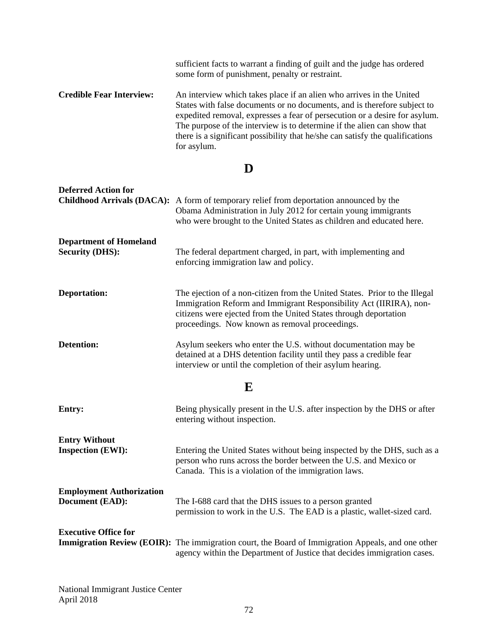|                                 | sufficient facts to warrant a finding of guilt and the judge has ordered<br>some form of punishment, penalty or restraint.                                                                                                                                                                                                                                                                                |
|---------------------------------|-----------------------------------------------------------------------------------------------------------------------------------------------------------------------------------------------------------------------------------------------------------------------------------------------------------------------------------------------------------------------------------------------------------|
| <b>Credible Fear Interview:</b> | An interview which takes place if an alien who arrives in the United<br>States with false documents or no documents, and is therefore subject to<br>expedited removal, expresses a fear of persecution or a desire for asylum.<br>The purpose of the interview is to determine if the alien can show that<br>there is a significant possibility that he/she can satisfy the qualifications<br>for asylum. |

# **D**

| <b>Deferred Action for</b>                                | <b>Childhood Arrivals (DACA):</b> A form of temporary relief from deportation announced by the<br>Obama Administration in July 2012 for certain young immigrants<br>who were brought to the United States as children and educated here.                               |
|-----------------------------------------------------------|------------------------------------------------------------------------------------------------------------------------------------------------------------------------------------------------------------------------------------------------------------------------|
| <b>Department of Homeland</b><br><b>Security (DHS):</b>   | The federal department charged, in part, with implementing and<br>enforcing immigration law and policy.                                                                                                                                                                |
| <b>Deportation:</b>                                       | The ejection of a non-citizen from the United States. Prior to the Illegal<br>Immigration Reform and Immigrant Responsibility Act (IIRIRA), non-<br>citizens were ejected from the United States through deportation<br>proceedings. Now known as removal proceedings. |
| <b>Detention:</b>                                         | Asylum seekers who enter the U.S. without documentation may be<br>detained at a DHS detention facility until they pass a credible fear<br>interview or until the completion of their asylum hearing.                                                                   |
| E                                                         |                                                                                                                                                                                                                                                                        |
| <b>Entry:</b>                                             | Being physically present in the U.S. after inspection by the DHS or after<br>entering without inspection.                                                                                                                                                              |
| <b>Entry Without</b><br><b>Inspection (EWI):</b>          | Entering the United States without being inspected by the DHS, such as a<br>person who runs across the border between the U.S. and Mexico or<br>Canada. This is a violation of the immigration laws.                                                                   |
| <b>Employment Authorization</b><br><b>Document (EAD):</b> | The I-688 card that the DHS issues to a person granted<br>permission to work in the U.S. The EAD is a plastic, wallet-sized card.                                                                                                                                      |
| <b>Executive Office for</b>                               | <b>Immigration Review (EOIR):</b> The immigration court, the Board of Immigration Appeals, and one other<br>agency within the Department of Justice that decides immigration cases.                                                                                    |

National Immigrant Justice Center April 2018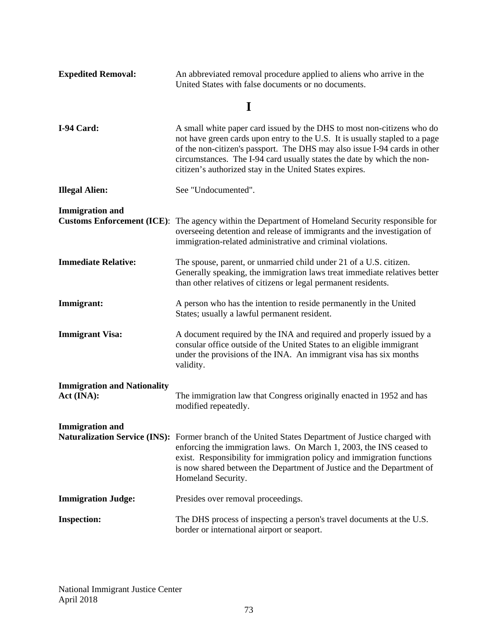| <b>Expedited Removal:</b>                        | An abbreviated removal procedure applied to aliens who arrive in the<br>United States with false documents or no documents.                                                                                                                                                                                                                                             |
|--------------------------------------------------|-------------------------------------------------------------------------------------------------------------------------------------------------------------------------------------------------------------------------------------------------------------------------------------------------------------------------------------------------------------------------|
|                                                  | I                                                                                                                                                                                                                                                                                                                                                                       |
| I-94 Card:                                       | A small white paper card issued by the DHS to most non-citizens who do<br>not have green cards upon entry to the U.S. It is usually stapled to a page<br>of the non-citizen's passport. The DHS may also issue I-94 cards in other<br>circumstances. The I-94 card usually states the date by which the non-<br>citizen's authorized stay in the United States expires. |
| <b>Illegal Alien:</b>                            | See "Undocumented".                                                                                                                                                                                                                                                                                                                                                     |
| <b>Immigration and</b>                           | <b>Customs Enforcement (ICE):</b> The agency within the Department of Homeland Security responsible for<br>overseeing detention and release of immigrants and the investigation of<br>immigration-related administrative and criminal violations.                                                                                                                       |
| <b>Immediate Relative:</b>                       | The spouse, parent, or unmarried child under 21 of a U.S. citizen.<br>Generally speaking, the immigration laws treat immediate relatives better<br>than other relatives of citizens or legal permanent residents.                                                                                                                                                       |
| Immigrant:                                       | A person who has the intention to reside permanently in the United<br>States; usually a lawful permanent resident.                                                                                                                                                                                                                                                      |
| <b>Immigrant Visa:</b>                           | A document required by the INA and required and properly issued by a<br>consular office outside of the United States to an eligible immigrant<br>under the provisions of the INA. An immigrant visa has six months<br>validity.                                                                                                                                         |
| <b>Immigration and Nationality</b><br>Act (INA): | The immigration law that Congress originally enacted in 1952 and has<br>modified repeatedly.                                                                                                                                                                                                                                                                            |
| <b>Immigration</b> and                           | <b>Naturalization Service (INS):</b> Former branch of the United States Department of Justice charged with<br>enforcing the immigration laws. On March 1, 2003, the INS ceased to<br>exist. Responsibility for immigration policy and immigration functions<br>is now shared between the Department of Justice and the Department of<br>Homeland Security.              |
| <b>Immigration Judge:</b>                        | Presides over removal proceedings.                                                                                                                                                                                                                                                                                                                                      |
| <b>Inspection:</b>                               | The DHS process of inspecting a person's travel documents at the U.S.<br>border or international airport or seaport.                                                                                                                                                                                                                                                    |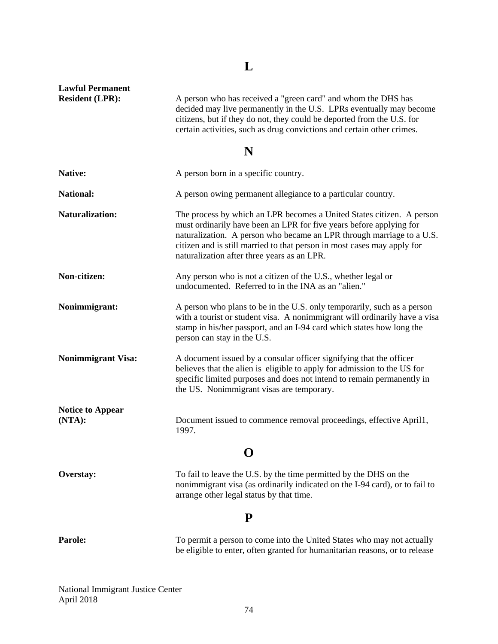# **L**

**Lawful Permanent** 

A person who has received a "green card" and whom the DHS has decided may live permanently in the U.S. LPRs eventually may become citizens, but if they do not, they could be deported from the U.S. for certain activities, such as drug convictions and certain other crimes.

## **N**

| Native:                           | A person born in a specific country.                                                                                                                                                                                                                                                                                                            |
|-----------------------------------|-------------------------------------------------------------------------------------------------------------------------------------------------------------------------------------------------------------------------------------------------------------------------------------------------------------------------------------------------|
| <b>National:</b>                  | A person owing permanent allegiance to a particular country.                                                                                                                                                                                                                                                                                    |
| <b>Naturalization:</b>            | The process by which an LPR becomes a United States citizen. A person<br>must ordinarily have been an LPR for five years before applying for<br>naturalization. A person who became an LPR through marriage to a U.S.<br>citizen and is still married to that person in most cases may apply for<br>naturalization after three years as an LPR. |
| Non-citizen:                      | Any person who is not a citizen of the U.S., whether legal or<br>undocumented. Referred to in the INA as an "alien."                                                                                                                                                                                                                            |
| Nonimmigrant:                     | A person who plans to be in the U.S. only temporarily, such as a person<br>with a tourist or student visa. A nonimmigrant will ordinarily have a visa<br>stamp in his/her passport, and an I-94 card which states how long the<br>person can stay in the U.S.                                                                                   |
| <b>Nonimmigrant Visa:</b>         | A document issued by a consular officer signifying that the officer<br>believes that the alien is eligible to apply for admission to the US for<br>specific limited purposes and does not intend to remain permanently in<br>the US. Nonimmigrant visas are temporary.                                                                          |
| <b>Notice to Appear</b><br>(NTA): | Document issued to commence removal proceedings, effective April1,<br>1997.                                                                                                                                                                                                                                                                     |
| $\mathbf 0$                       |                                                                                                                                                                                                                                                                                                                                                 |
| Overstay:                         | To fail to leave the U.S. by the time permitted by the DHS on the<br>nonimmigrant visa (as ordinarily indicated on the I-94 card), or to fail to<br>arrange other legal status by that time.                                                                                                                                                    |
| P                                 |                                                                                                                                                                                                                                                                                                                                                 |
| Parole:                           | To permit a person to come into the United States who may not actually<br>be eligible to enter, often granted for humanitarian reasons, or to release                                                                                                                                                                                           |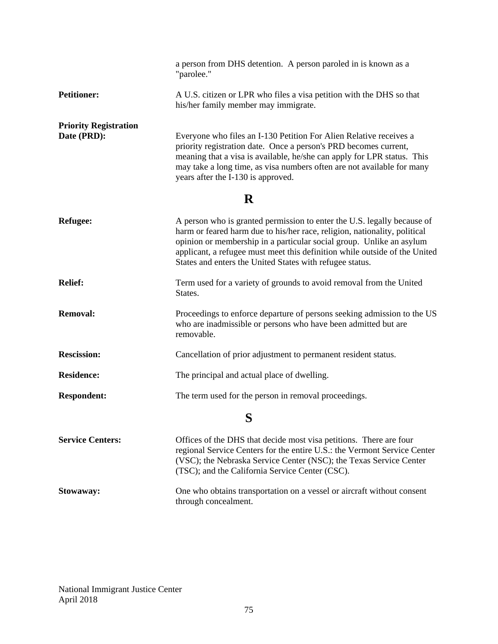|                                             | a person from DHS detention. A person paroled in is known as a<br>"parolee."                                                                                                                                                                                                                                                                                           |
|---------------------------------------------|------------------------------------------------------------------------------------------------------------------------------------------------------------------------------------------------------------------------------------------------------------------------------------------------------------------------------------------------------------------------|
| <b>Petitioner:</b>                          | A U.S. citizen or LPR who files a visa petition with the DHS so that<br>his/her family member may immigrate.                                                                                                                                                                                                                                                           |
| <b>Priority Registration</b><br>Date (PRD): | Everyone who files an I-130 Petition For Alien Relative receives a<br>priority registration date. Once a person's PRD becomes current,<br>meaning that a visa is available, he/she can apply for LPR status. This<br>may take a long time, as visa numbers often are not available for many<br>years after the I-130 is approved.<br>R                                 |
| <b>Refugee:</b>                             | A person who is granted permission to enter the U.S. legally because of<br>harm or feared harm due to his/her race, religion, nationality, political<br>opinion or membership in a particular social group. Unlike an asylum<br>applicant, a refugee must meet this definition while outside of the United<br>States and enters the United States with refugee status. |
| <b>Relief:</b>                              | Term used for a variety of grounds to avoid removal from the United<br>States.                                                                                                                                                                                                                                                                                         |
| <b>Removal:</b>                             | Proceedings to enforce departure of persons seeking admission to the US<br>who are inadmissible or persons who have been admitted but are<br>removable.                                                                                                                                                                                                                |
| <b>Rescission:</b>                          | Cancellation of prior adjustment to permanent resident status.                                                                                                                                                                                                                                                                                                         |
| <b>Residence:</b>                           | The principal and actual place of dwelling.                                                                                                                                                                                                                                                                                                                            |
| <b>Respondent:</b>                          | The term used for the person in removal proceedings.                                                                                                                                                                                                                                                                                                                   |
| S                                           |                                                                                                                                                                                                                                                                                                                                                                        |
| <b>Service Centers:</b>                     | Offices of the DHS that decide most visa petitions. There are four<br>regional Service Centers for the entire U.S.: the Vermont Service Center<br>(VSC); the Nebraska Service Center (NSC); the Texas Service Center<br>(TSC); and the California Service Center (CSC).                                                                                                |
| Stowaway:                                   | One who obtains transportation on a vessel or aircraft without consent<br>through concealment.                                                                                                                                                                                                                                                                         |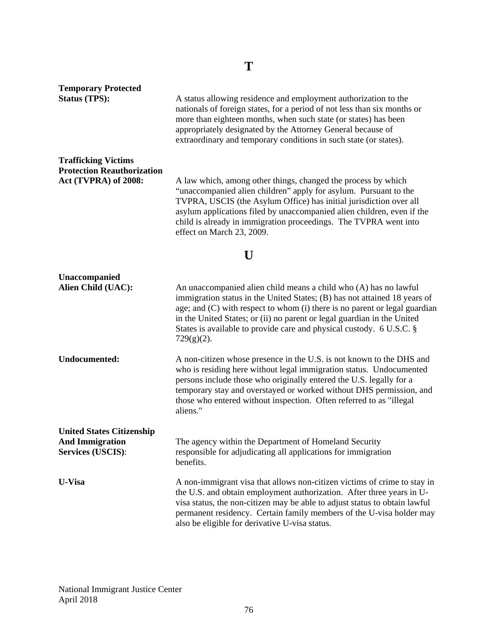| <b>Temporary Protected</b><br><b>Status (TPS):</b>                                      | A status allowing residence and employment authorization to the<br>nationals of foreign states, for a period of not less than six months or<br>more than eighteen months, when such state (or states) has been<br>appropriately designated by the Attorney General because of<br>extraordinary and temporary conditions in such state (or states).                                              |
|-----------------------------------------------------------------------------------------|-------------------------------------------------------------------------------------------------------------------------------------------------------------------------------------------------------------------------------------------------------------------------------------------------------------------------------------------------------------------------------------------------|
| <b>Trafficking Victims</b><br><b>Protection Reauthorization</b><br>Act (TVPRA) of 2008: | A law which, among other things, changed the process by which<br>"unaccompanied alien children" apply for asylum. Pursuant to the<br>TVPRA, USCIS (the Asylum Office) has initial jurisdiction over all<br>asylum applications filed by unaccompanied alien children, even if the<br>child is already in immigration proceedings. The TVPRA went into<br>effect on March 23, 2009.              |
| U                                                                                       |                                                                                                                                                                                                                                                                                                                                                                                                 |
| Unaccompanied<br>Alien Child (UAC):                                                     | An unaccompanied alien child means a child who (A) has no lawful<br>immigration status in the United States; (B) has not attained 18 years of<br>age; and (C) with respect to whom (i) there is no parent or legal guardian<br>in the United States; or (ii) no parent or legal guardian in the United<br>States is available to provide care and physical custody. 6 U.S.C. §<br>$729(g)(2)$ . |
| <b>Undocumented:</b>                                                                    | A non-citizen whose presence in the U.S. is not known to the DHS and<br>who is residing here without legal immigration status. Undocumented<br>persons include those who originally entered the U.S. legally for a<br>temporary stay and overstayed or worked without DHS permission, and<br>those who entered without inspection. Often referred to as "illegal<br>aliens."                    |
| <b>United States Citizenship</b><br><b>And Immigration</b><br><b>Services (USCIS):</b>  | The agency within the Department of Homeland Security<br>responsible for adjudicating all applications for immigration<br>benefits.                                                                                                                                                                                                                                                             |
| <b>U-Visa</b>                                                                           | A non-immigrant visa that allows non-citizen victims of crime to stay in<br>the U.S. and obtain employment authorization. After three years in U-<br>visa status, the non-citizen may be able to adjust status to obtain lawful<br>permanent residency. Certain family members of the U-visa holder may<br>also be eligible for derivative U-visa status.                                       |

**T**

National Immigrant Justice Center April 2018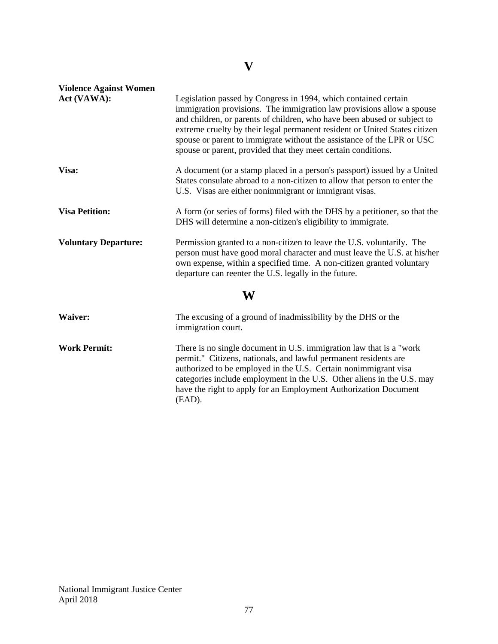# **V**

| <b>Violence Against Women</b> |                                                                                                                                                                                                                                                                                                                                                                                                                                               |
|-------------------------------|-----------------------------------------------------------------------------------------------------------------------------------------------------------------------------------------------------------------------------------------------------------------------------------------------------------------------------------------------------------------------------------------------------------------------------------------------|
| Act (VAWA):                   | Legislation passed by Congress in 1994, which contained certain<br>immigration provisions. The immigration law provisions allow a spouse<br>and children, or parents of children, who have been abused or subject to<br>extreme cruelty by their legal permanent resident or United States citizen<br>spouse or parent to immigrate without the assistance of the LPR or USC<br>spouse or parent, provided that they meet certain conditions. |
| Visa:                         | A document (or a stamp placed in a person's passport) issued by a United<br>States consulate abroad to a non-citizen to allow that person to enter the<br>U.S. Visas are either nonimmigrant or immigrant visas.                                                                                                                                                                                                                              |
| <b>Visa Petition:</b>         | A form (or series of forms) filed with the DHS by a petitioner, so that the<br>DHS will determine a non-citizen's eligibility to immigrate.                                                                                                                                                                                                                                                                                                   |
| <b>Voluntary Departure:</b>   | Permission granted to a non-citizen to leave the U.S. voluntarily. The<br>person must have good moral character and must leave the U.S. at his/her<br>own expense, within a specified time. A non-citizen granted voluntary<br>departure can reenter the U.S. legally in the future.                                                                                                                                                          |
| W                             |                                                                                                                                                                                                                                                                                                                                                                                                                                               |
| <b>Waiver:</b>                | The excusing of a ground of inadmissibility by the DHS or the<br>immigration court.                                                                                                                                                                                                                                                                                                                                                           |
| <b>Work Permit:</b>           | There is no single document in U.S. immigration law that is a "work"<br>permit." Citizens, nationals, and lawful permanent residents are<br>authorized to be employed in the U.S. Certain nonimmigrant visa<br>categories include employment in the U.S. Other aliens in the U.S. may<br>have the right to apply for an Employment Authorization Document<br>(EAD).                                                                           |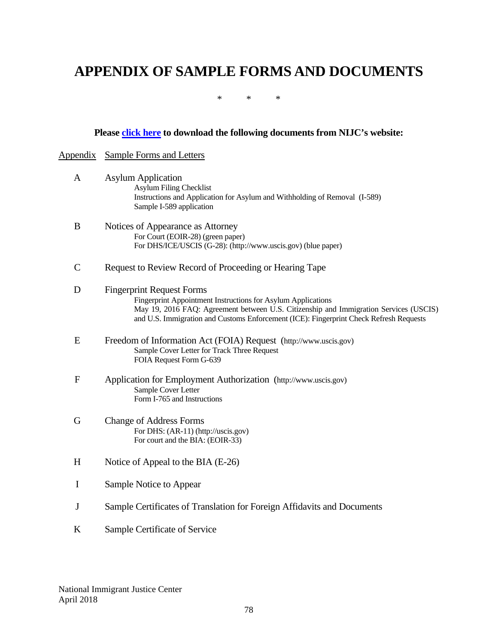# **APPENDIX OF SAMPLE FORMS AND DOCUMENTS**

\* \* \*

## **Please [click here](http://immigrantjustice.org/appendices-nijcs-basic-procedural-manual-asylum-representation) to download the following documents from NIJC's website:**

## Appendix Sample Forms and Letters

| A            | <b>Asylum Application</b>                                                                                                                                                       |
|--------------|---------------------------------------------------------------------------------------------------------------------------------------------------------------------------------|
|              | <b>Asylum Filing Checklist</b><br>Instructions and Application for Asylum and Withholding of Removal (I-589)                                                                    |
|              | Sample I-589 application                                                                                                                                                        |
| B            | Notices of Appearance as Attorney                                                                                                                                               |
|              | For Court (EOIR-28) (green paper)<br>For DHS/ICE/USCIS (G-28): (http://www.uscis.gov) (blue paper)                                                                              |
| $\mathsf{C}$ | Request to Review Record of Proceeding or Hearing Tape                                                                                                                          |
| D            | <b>Fingerprint Request Forms</b>                                                                                                                                                |
|              | Fingerprint Appointment Instructions for Asylum Applications                                                                                                                    |
|              | May 19, 2016 FAQ: Agreement between U.S. Citizenship and Immigration Services (USCIS)<br>and U.S. Immigration and Customs Enforcement (ICE): Fingerprint Check Refresh Requests |
| E            | Freedom of Information Act (FOIA) Request (http://www.uscis.gov)                                                                                                                |
|              | Sample Cover Letter for Track Three Request<br>FOIA Request Form G-639                                                                                                          |
| $\mathbf{F}$ | Application for Employment Authorization (http://www.uscis.gov)                                                                                                                 |
|              | Sample Cover Letter                                                                                                                                                             |
|              | Form I-765 and Instructions                                                                                                                                                     |
| G            | <b>Change of Address Forms</b>                                                                                                                                                  |
|              | For DHS: (AR-11) (http://uscis.gov)                                                                                                                                             |
|              | For court and the BIA: (EOIR-33)                                                                                                                                                |
| H            | Notice of Appeal to the BIA (E-26)                                                                                                                                              |
| $\bf I$      | Sample Notice to Appear                                                                                                                                                         |
| J            | Sample Certificates of Translation for Foreign Affidavits and Documents                                                                                                         |

K Sample Certificate of Service

National Immigrant Justice Center April 2018